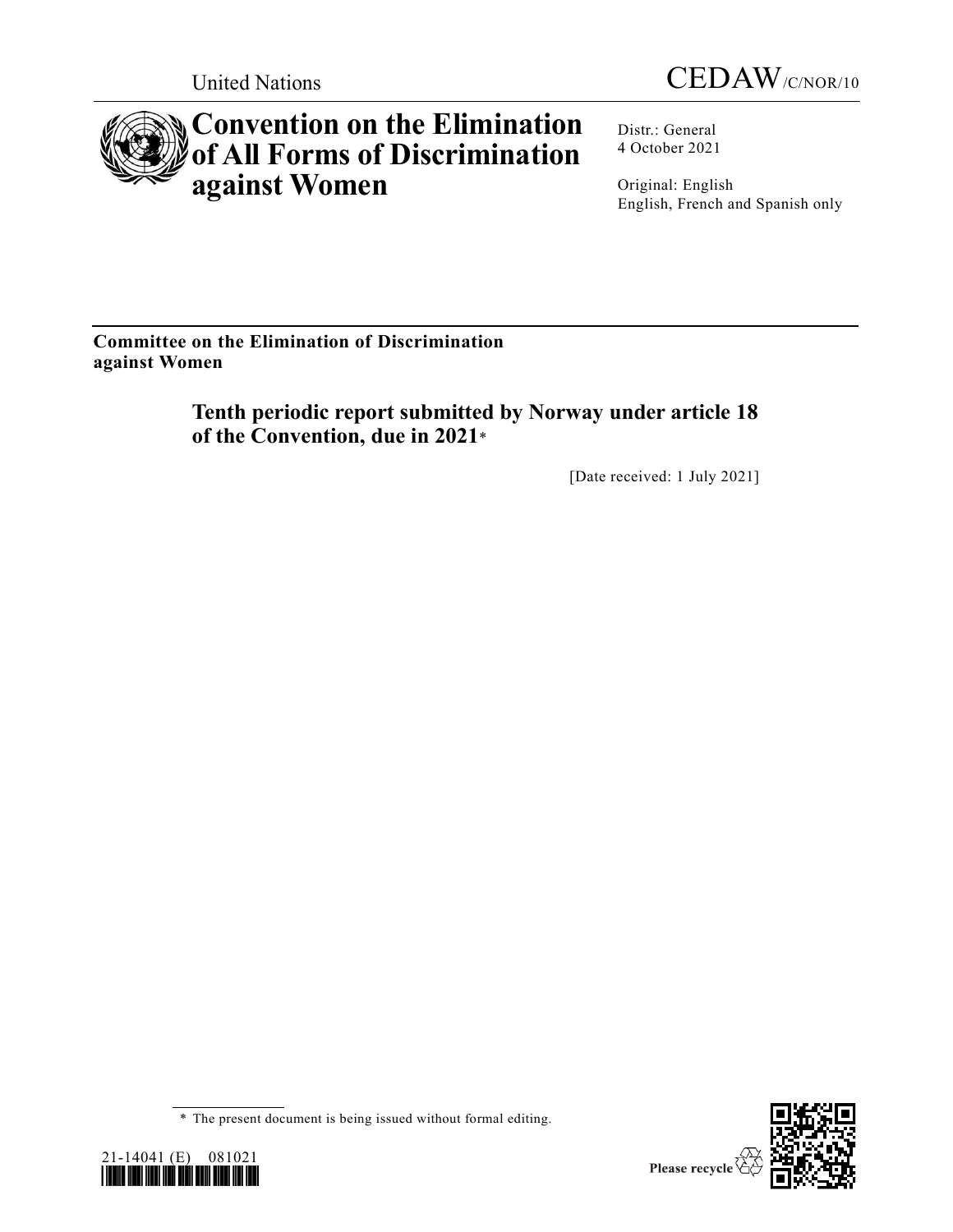



# **Convention on the Elimination of All Forms of Discrimination against Women**

Distr.: General 4 October 2021

Original: English English, French and Spanish only

**Committee on the Elimination of Discrimination against Women**

> **Tenth periodic report submitted by Norway under article 18 of the Convention, due in 2021**\*

> > [Date received: 1 July 2021]

<sup>\*</sup> The present document is being issued without formal editing.



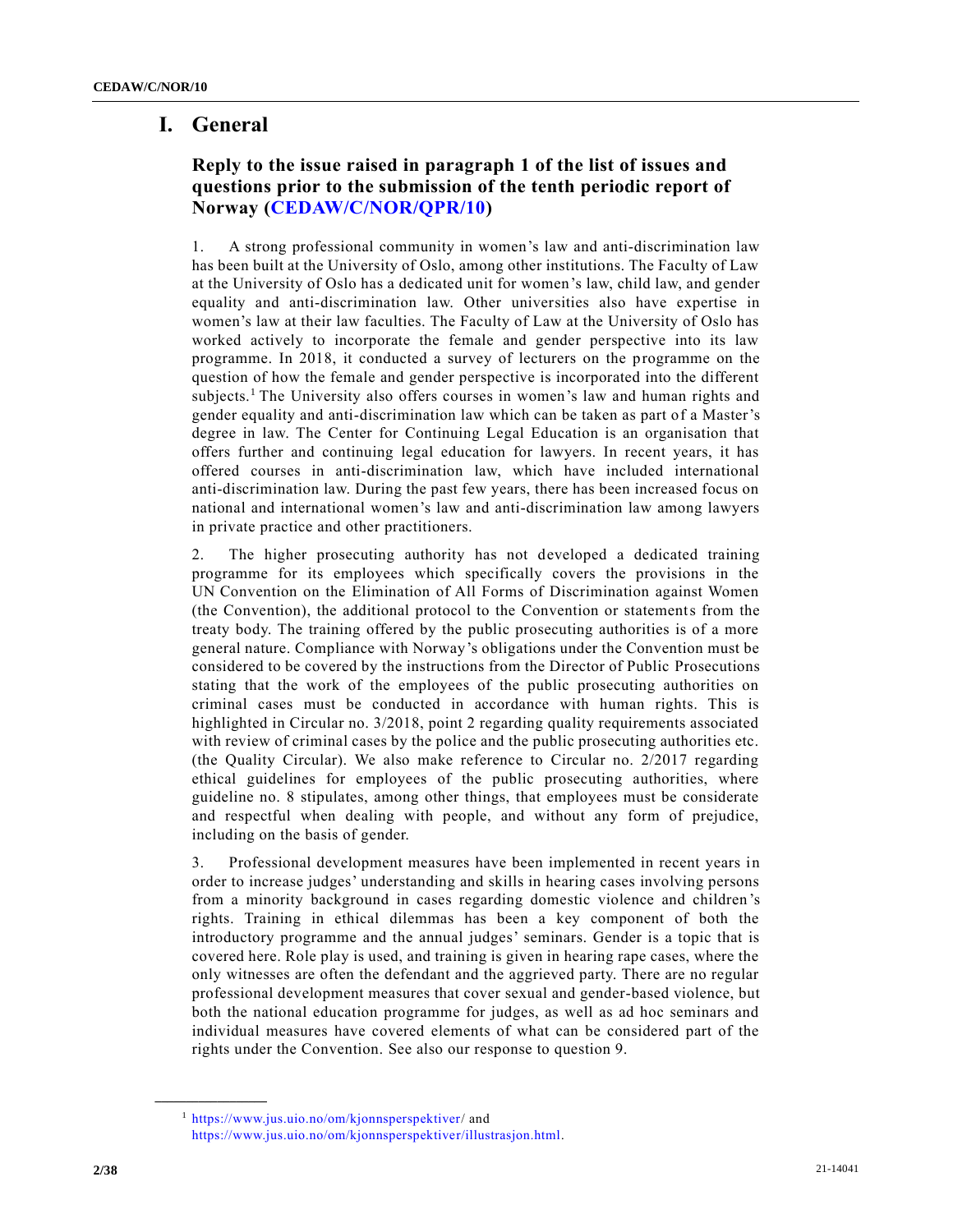# **I. General**

# **Reply to the issue raised in paragraph 1 of the list of issues and questions prior to the submission of the tenth periodic report of Norway [\(CEDAW/C/NOR/QPR/10\)](https://undocs.org/en/CEDAW/C/NOR/QPR/10)**

1. A strong professional community in women's law and anti-discrimination law has been built at the University of Oslo, among other institutions. The Faculty of Law at the University of Oslo has a dedicated unit for women's law, child law, and gender equality and anti-discrimination law. Other universities also have expertise in women's law at their law faculties. The Faculty of Law at the University of Oslo has worked actively to incorporate the female and gender perspective into its law programme. In 2018, it conducted a survey of lecturers on the programme on the question of how the female and gender perspective is incorporated into the different subjects.<sup>1</sup> The University also offers courses in women's law and human rights and gender equality and anti-discrimination law which can be taken as part of a Master's degree in law. The Center for Continuing Legal Education is an organisation that offers further and continuing legal education for lawyers. In recent years, it has offered courses in anti-discrimination law, which have included international anti-discrimination law. During the past few years, there has been increased focus on national and international women's law and anti-discrimination law among lawyers in private practice and other practitioners.

2. The higher prosecuting authority has not developed a dedicated training programme for its employees which specifically covers the provisions in the UN Convention on the Elimination of All Forms of Discrimination against Women (the Convention), the additional protocol to the Convention or statements from the treaty body. The training offered by the public prosecuting authorities is of a more general nature. Compliance with Norway's obligations under the Convention must be considered to be covered by the instructions from the Director of Public Prosecutions stating that the work of the employees of the public prosecuting authorities on criminal cases must be conducted in accordance with human rights. This is highlighted in Circular no. 3/2018, point 2 regarding quality requirements associated with review of criminal cases by the police and the public prosecuting authorities etc. (the Quality Circular). We also make reference to Circular no. 2/2017 regarding ethical guidelines for employees of the public prosecuting authorities, where guideline no. 8 stipulates, among other things, that employees must be considerate and respectful when dealing with people, and without any form of prejudice, including on the basis of gender.

3. Professional development measures have been implemented in recent years in order to increase judges' understanding and skills in hearing cases involving persons from a minority background in cases regarding domestic violence and children 's rights. Training in ethical dilemmas has been a key component of both the introductory programme and the annual judges' seminars. Gender is a topic that is covered here. Role play is used, and training is given in hearing rape cases, where the only witnesses are often the defendant and the aggrieved party. There are no regular professional development measures that cover sexual and gender-based violence, but both the national education programme for judges, as well as ad hoc seminars and individual measures have covered elements of what can be considered part of the rights under the Convention. See also our response to question 9.

**\_\_\_\_\_\_\_\_\_\_\_\_\_\_\_\_\_\_**

<sup>1</sup> [https://www.jus.uio.no/om/kjonnsperspektiver/](https://www.jus.uio.no/om/kjonnsperspektiver) and [https://www.jus.uio.no/om/kjonnsperspektiver/illustrasjon.html.](https://www.jus.uio.no/om/kjonnsperspektiver/illustrasjon.html)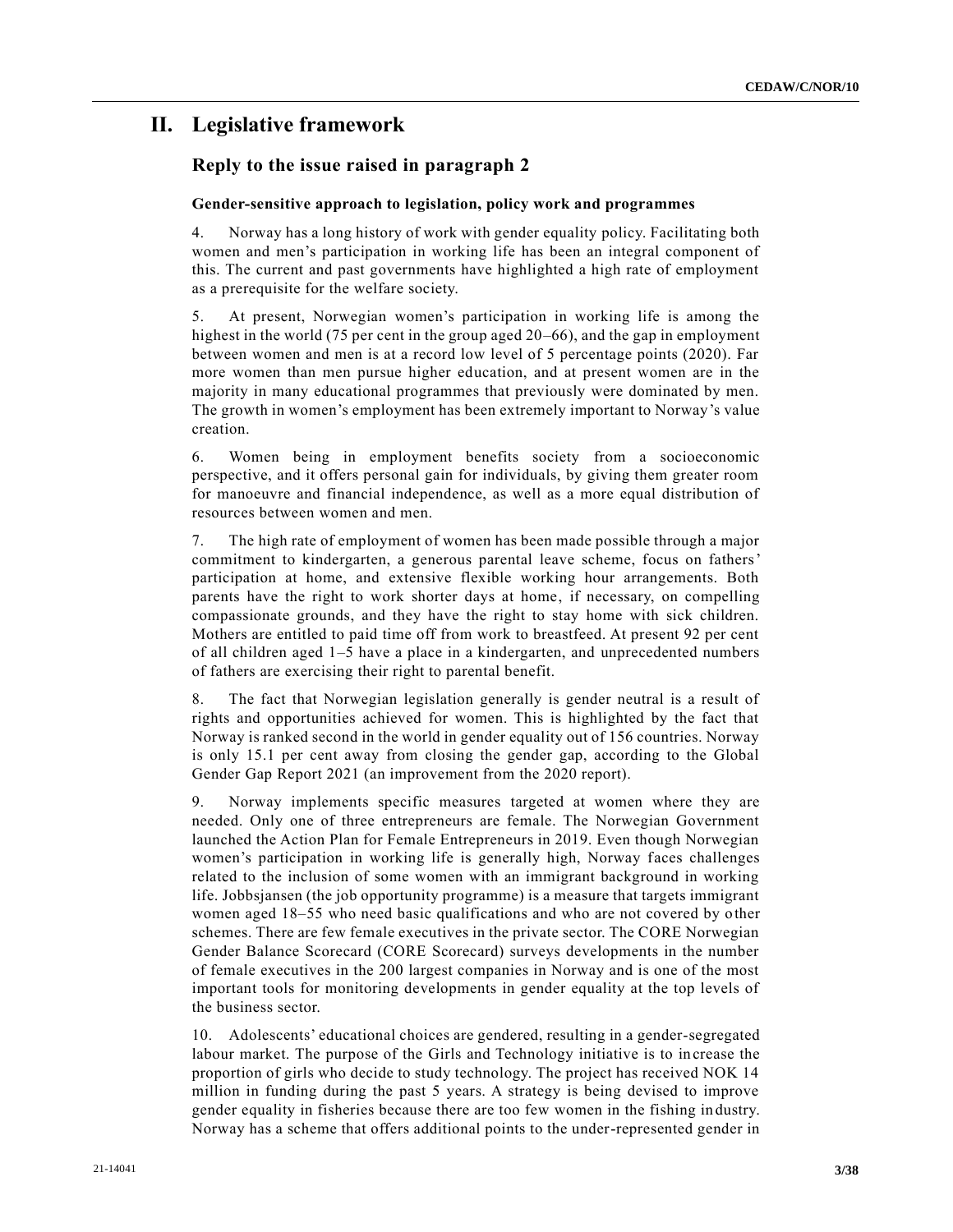# **II. Legislative framework**

### **Reply to the issue raised in paragraph 2**

#### **Gender-sensitive approach to legislation, policy work and programmes**

4. Norway has a long history of work with gender equality policy. Facilitating both women and men's participation in working life has been an integral component of this. The current and past governments have highlighted a high rate of employment as a prerequisite for the welfare society.

5. At present, Norwegian women's participation in working life is among the highest in the world (75 per cent in the group aged 20–66), and the gap in employment between women and men is at a record low level of 5 percentage points (2020). Far more women than men pursue higher education, and at present women are in the majority in many educational programmes that previously were dominated by men. The growth in women's employment has been extremely important to Norway's value creation.

6. Women being in employment benefits society from a socioeconomic perspective, and it offers personal gain for individuals, by giving them greater room for manoeuvre and financial independence, as well as a more equal distribution of resources between women and men.

7. The high rate of employment of women has been made possible through a major commitment to kindergarten, a generous parental leave scheme, focus on fathers' participation at home, and extensive flexible working hour arrangements. Both parents have the right to work shorter days at home, if necessary, on compelling compassionate grounds, and they have the right to stay home with sick children. Mothers are entitled to paid time off from work to breastfeed. At present 92 per cent of all children aged 1–5 have a place in a kindergarten, and unprecedented numbers of fathers are exercising their right to parental benefit.

8. The fact that Norwegian legislation generally is gender neutral is a result of rights and opportunities achieved for women. This is highlighted by the fact that Norway is ranked second in the world in gender equality out of 156 countries. Norway is only 15.1 per cent away from closing the gender gap, according to the Global Gender Gap Report 2021 (an improvement from the 2020 report).

9. Norway implements specific measures targeted at women where they are needed. Only one of three entrepreneurs are female. The Norwegian Government launched the Action Plan for Female Entrepreneurs in 2019. Even though Norwegian women's participation in working life is generally high, Norway faces challenges related to the inclusion of some women with an immigrant background in working life. Jobbsjansen (the job opportunity programme) is a measure that targets immigrant women aged 18–55 who need basic qualifications and who are not covered by other schemes. There are few female executives in the private sector. The CORE Norwegian Gender Balance Scorecard (CORE Scorecard) surveys developments in the number of female executives in the 200 largest companies in Norway and is one of the most important tools for monitoring developments in gender equality at the top levels of the business sector.

10. Adolescents' educational choices are gendered, resulting in a gender-segregated labour market. The purpose of the Girls and Technology initiative is to in crease the proportion of girls who decide to study technology. The project has received NOK 14 million in funding during the past 5 years. A strategy is being devised to improve gender equality in fisheries because there are too few women in the fishing in dustry. Norway has a scheme that offers additional points to the under-represented gender in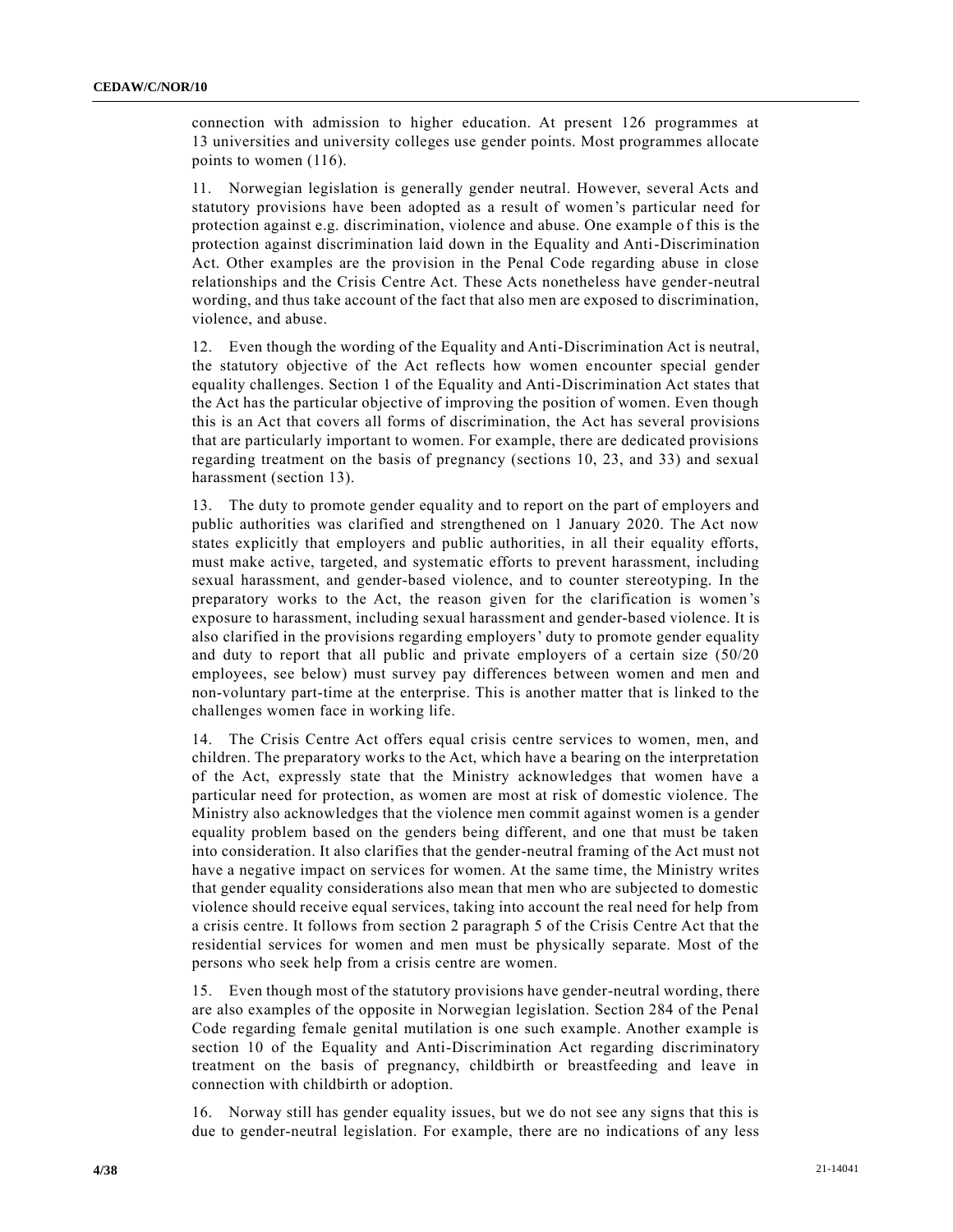connection with admission to higher education. At present 126 programmes at 13 universities and university colleges use gender points. Most programmes allocate points to women (116).

11. Norwegian legislation is generally gender neutral. However, several Acts and statutory provisions have been adopted as a result of women's particular need for protection against e.g. discrimination, violence and abuse. One example o f this is the protection against discrimination laid down in the Equality and Anti-Discrimination Act. Other examples are the provision in the Penal Code regarding abuse in close relationships and the Crisis Centre Act. These Acts nonetheless have gender-neutral wording, and thus take account of the fact that also men are exposed to discrimination, violence, and abuse.

12. Even though the wording of the Equality and Anti-Discrimination Act is neutral, the statutory objective of the Act reflects how women encounter special gender equality challenges. Section 1 of the Equality and Anti-Discrimination Act states that the Act has the particular objective of improving the position of women. Even though this is an Act that covers all forms of discrimination, the Act has several provisions that are particularly important to women. For example, there are dedicated provisions regarding treatment on the basis of pregnancy (sections 10, 23, and 33) and sexual harassment (section 13).

13. The duty to promote gender equality and to report on the part of employers and public authorities was clarified and strengthened on 1 January 2020. The Act now states explicitly that employers and public authorities, in all their equality efforts, must make active, targeted, and systematic efforts to prevent harassment, including sexual harassment, and gender-based violence, and to counter stereotyping. In the preparatory works to the Act, the reason given for the clarification is women 's exposure to harassment, including sexual harassment and gender-based violence. It is also clarified in the provisions regarding employers' duty to promote gender equality and duty to report that all public and private employers of a certain size (50/20 employees, see below) must survey pay differences between women and men and non-voluntary part-time at the enterprise. This is another matter that is linked to the challenges women face in working life.

14. The Crisis Centre Act offers equal crisis centre services to women, men, and children. The preparatory works to the Act, which have a bearing on the interpretation of the Act, expressly state that the Ministry acknowledges that women have a particular need for protection, as women are most at risk of domestic violence. The Ministry also acknowledges that the violence men commit against women is a gender equality problem based on the genders being different, and one that must be taken into consideration. It also clarifies that the gender-neutral framing of the Act must not have a negative impact on services for women. At the same time, the Ministry writes that gender equality considerations also mean that men who are subjected to domestic violence should receive equal services, taking into account the real need for help from a crisis centre. It follows from section 2 paragraph 5 of the Crisis Centre Act that the residential services for women and men must be physically separate. Most of the persons who seek help from a crisis centre are women.

15. Even though most of the statutory provisions have gender-neutral wording, there are also examples of the opposite in Norwegian legislation. Section 284 of the Penal Code regarding female genital mutilation is one such example. Another example is section 10 of the Equality and Anti-Discrimination Act regarding discriminatory treatment on the basis of pregnancy, childbirth or breastfeeding and leave in connection with childbirth or adoption.

16. Norway still has gender equality issues, but we do not see any signs that this is due to gender-neutral legislation. For example, there are no indications of any less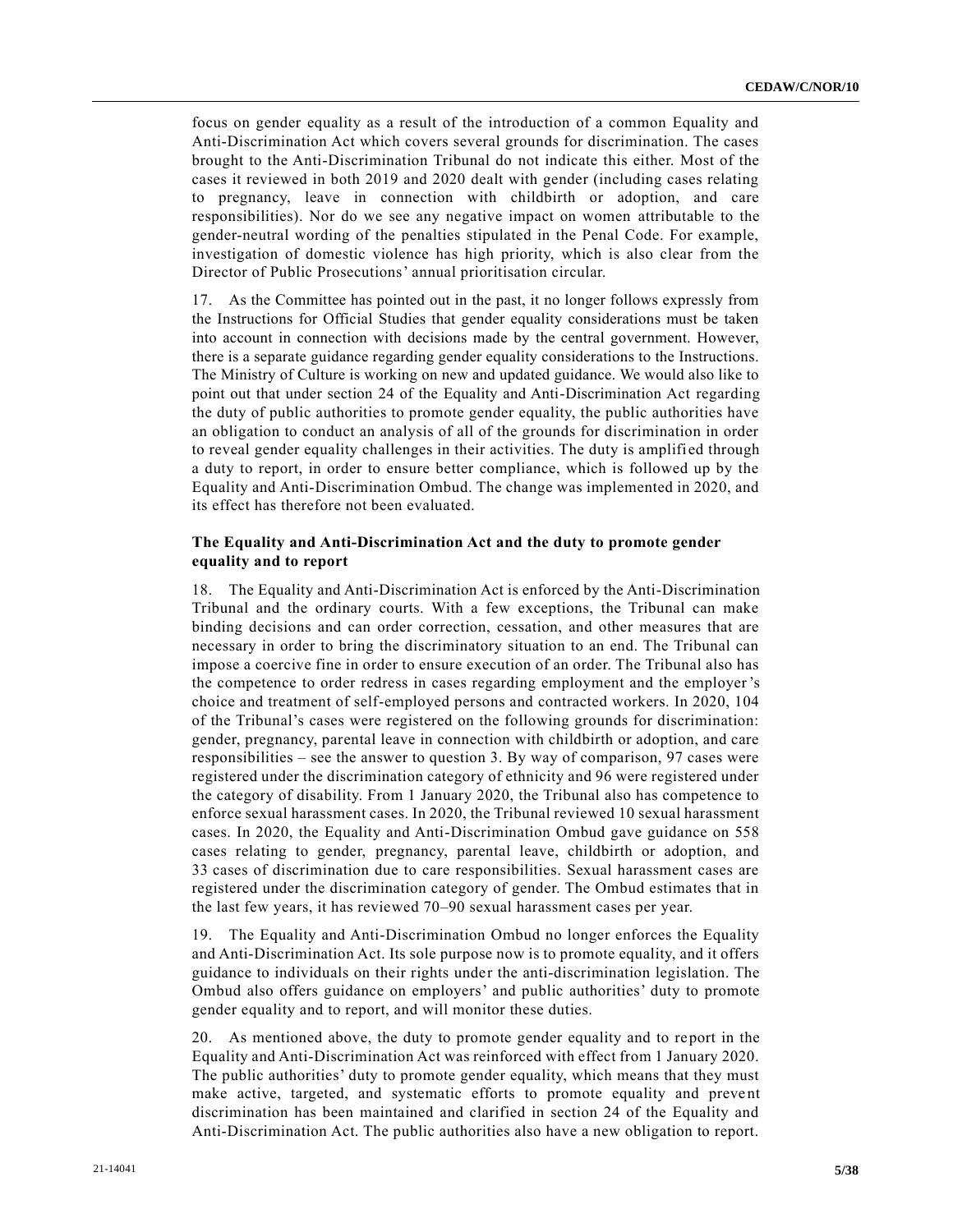focus on gender equality as a result of the introduction of a common Equality and Anti-Discrimination Act which covers several grounds for discrimination. The cases brought to the Anti-Discrimination Tribunal do not indicate this either. Most of the cases it reviewed in both 2019 and 2020 dealt with gender (including cases relating to pregnancy, leave in connection with childbirth or adoption, and care responsibilities). Nor do we see any negative impact on women attributable to the gender-neutral wording of the penalties stipulated in the Penal Code. For example, investigation of domestic violence has high priority, which is also clear from the Director of Public Prosecutions' annual prioritisation circular.

17. As the Committee has pointed out in the past, it no longer follows expressly from the Instructions for Official Studies that gender equality considerations must be taken into account in connection with decisions made by the central government. However, there is a separate guidance regarding gender equality considerations to the Instructions. The Ministry of Culture is working on new and updated guidance. We would also like to point out that under section 24 of the Equality and Anti-Discrimination Act regarding the duty of public authorities to promote gender equality, the public authorities have an obligation to conduct an analysis of all of the grounds for discrimination in order to reveal gender equality challenges in their activities. The duty is amplifi ed through a duty to report, in order to ensure better compliance, which is followed up by the Equality and Anti-Discrimination Ombud. The change was implemented in 2020, and its effect has therefore not been evaluated.

### **The Equality and Anti-Discrimination Act and the duty to promote gender equality and to report**

18. The Equality and Anti-Discrimination Act is enforced by the Anti-Discrimination Tribunal and the ordinary courts. With a few exceptions, the Tribunal can make binding decisions and can order correction, cessation, and other measures that are necessary in order to bring the discriminatory situation to an end. The Tribunal can impose a coercive fine in order to ensure execution of an order. The Tribunal also has the competence to order redress in cases regarding employment and the employer's choice and treatment of self-employed persons and contracted workers. In 2020, 104 of the Tribunal's cases were registered on the following grounds for discrimination: gender, pregnancy, parental leave in connection with childbirth or adoption, and care responsibilities – see the answer to question 3. By way of comparison, 97 cases were registered under the discrimination category of ethnicity and 96 were registered under the category of disability. From 1 January 2020, the Tribunal also has competence to enforce sexual harassment cases. In 2020, the Tribunal reviewed 10 sexual harassment cases. In 2020, the Equality and Anti-Discrimination Ombud gave guidance on 558 cases relating to gender, pregnancy, parental leave, childbirth or adoption, and 33 cases of discrimination due to care responsibilities. Sexual harassment cases are registered under the discrimination category of gender. The Ombud estimates that in the last few years, it has reviewed 70–90 sexual harassment cases per year.

19. The Equality and Anti-Discrimination Ombud no longer enforces the Equality and Anti-Discrimination Act. Its sole purpose now is to promote equality, and it offers guidance to individuals on their rights under the anti-discrimination legislation. The Ombud also offers guidance on employers' and public authorities' duty to promote gender equality and to report, and will monitor these duties.

20. As mentioned above, the duty to promote gender equality and to report in the Equality and Anti-Discrimination Act was reinforced with effect from 1 January 2020. The public authorities' duty to promote gender equality, which means that they must make active, targeted, and systematic efforts to promote equality and prevent discrimination has been maintained and clarified in section 24 of the Equality and Anti-Discrimination Act. The public authorities also have a new obligation to report.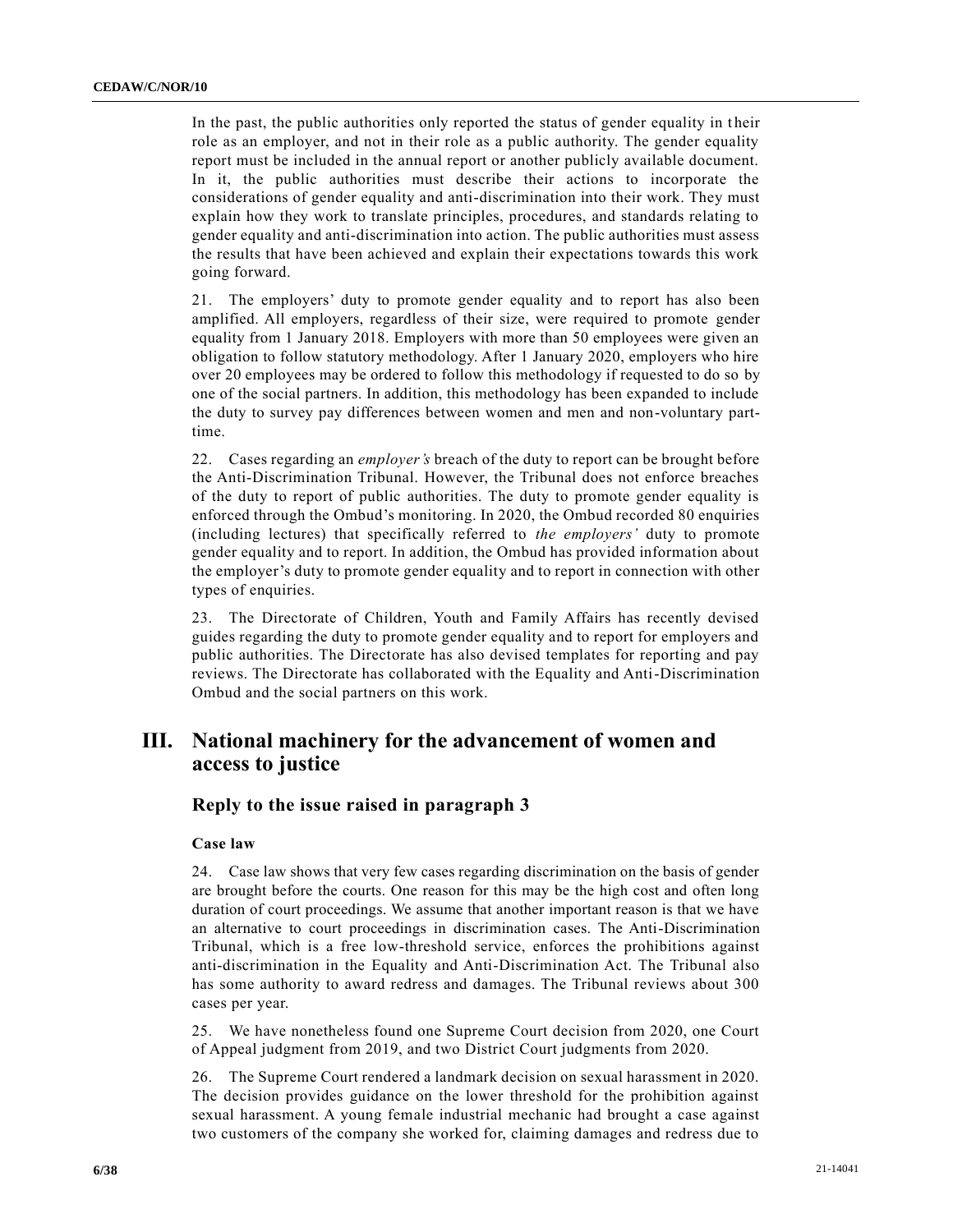In the past, the public authorities only reported the status of gender equality in t heir role as an employer, and not in their role as a public authority. The gender equality report must be included in the annual report or another publicly available document. In it, the public authorities must describe their actions to incorporate the considerations of gender equality and anti-discrimination into their work. They must explain how they work to translate principles, procedures, and standards relating to gender equality and anti-discrimination into action. The public authorities must assess the results that have been achieved and explain their expectations towards this work going forward.

21. The employers' duty to promote gender equality and to report has also been amplified. All employers, regardless of their size, were required to promote gender equality from 1 January 2018. Employers with more than 50 employees were given an obligation to follow statutory methodology. After 1 January 2020, employers who hire over 20 employees may be ordered to follow this methodology if requested to do so by one of the social partners. In addition, this methodology has been expanded to include the duty to survey pay differences between women and men and non-voluntary parttime.

22. Cases regarding an *employer's* breach of the duty to report can be brought before the Anti-Discrimination Tribunal. However, the Tribunal does not enforce breaches of the duty to report of public authorities. The duty to promote gender equality is enforced through the Ombud's monitoring. In 2020, the Ombud recorded 80 enquiries (including lectures) that specifically referred to *the employers'* duty to promote gender equality and to report. In addition, the Ombud has provided information about the employer's duty to promote gender equality and to report in connection with other types of enquiries.

23. The Directorate of Children, Youth and Family Affairs has recently devised guides regarding the duty to promote gender equality and to report for employers and public authorities. The Directorate has also devised templates for reporting and pay reviews. The Directorate has collaborated with the Equality and Anti-Discrimination Ombud and the social partners on this work.

# **III. National machinery for the advancement of women and access to justice**

### **Reply to the issue raised in paragraph 3**

#### **Case law**

24. Case law shows that very few cases regarding discrimination on the basis of gender are brought before the courts. One reason for this may be the high cost and often long duration of court proceedings. We assume that another important reason is that we have an alternative to court proceedings in discrimination cases. The Anti-Discrimination Tribunal, which is a free low-threshold service, enforces the prohibitions against anti-discrimination in the Equality and Anti-Discrimination Act. The Tribunal also has some authority to award redress and damages. The Tribunal reviews about 300 cases per year.

25. We have nonetheless found one Supreme Court decision from 2020, one Court of Appeal judgment from 2019, and two District Court judgments from 2020.

26. The Supreme Court rendered a landmark decision on sexual harassment in 2020. The decision provides guidance on the lower threshold for the prohibition against sexual harassment. A young female industrial mechanic had brought a case against two customers of the company she worked for, claiming damages and redress due to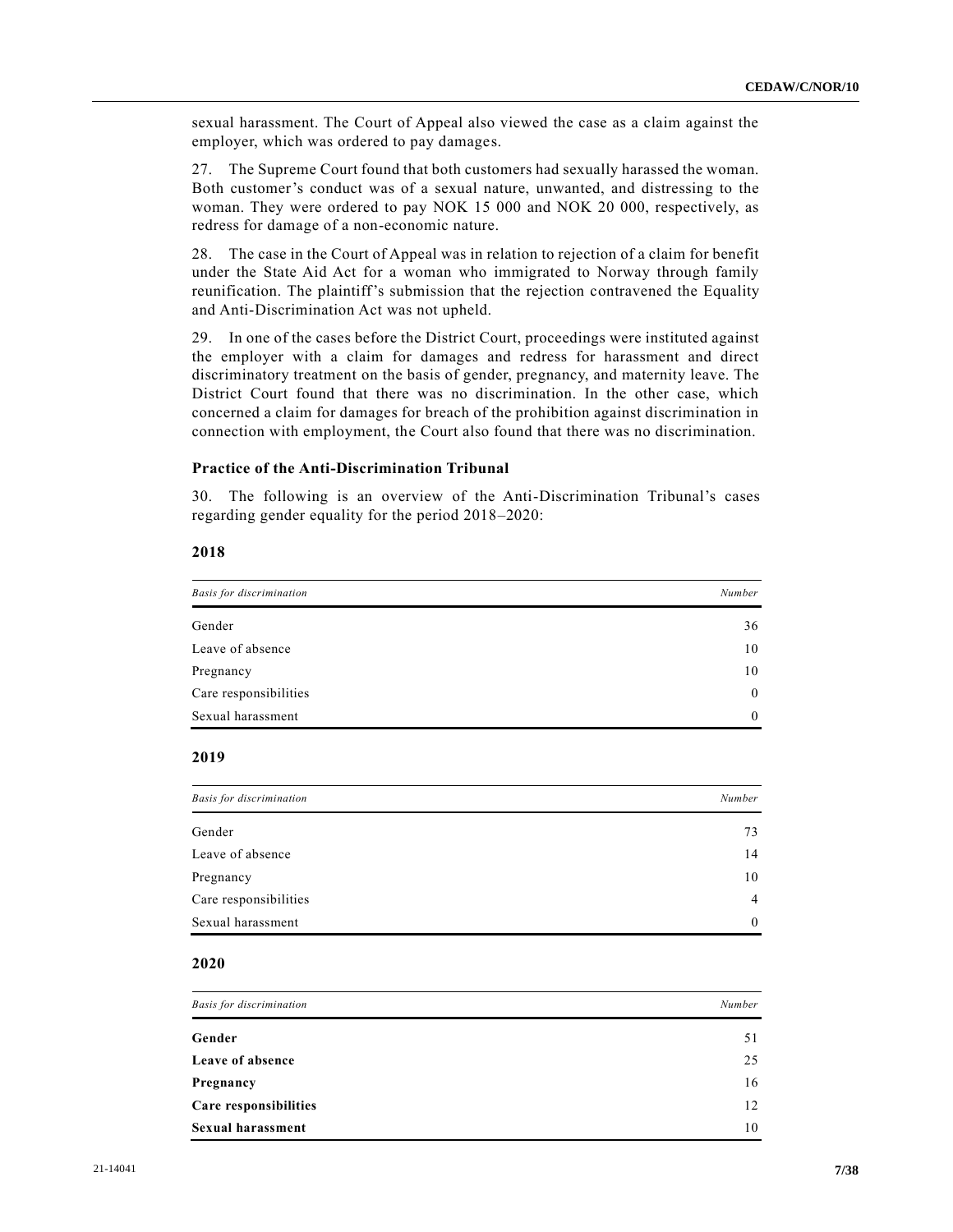sexual harassment. The Court of Appeal also viewed the case as a claim against the employer, which was ordered to pay damages.

27. The Supreme Court found that both customers had sexually harassed the woman. Both customer's conduct was of a sexual nature, unwanted, and distressing to the woman. They were ordered to pay NOK 15 000 and NOK 20 000, respectively, as redress for damage of a non-economic nature.

28. The case in the Court of Appeal was in relation to rejection of a claim for benefit under the State Aid Act for a woman who immigrated to Norway through family reunification. The plaintiff's submission that the rejection contravened the Equality and Anti-Discrimination Act was not upheld.

29. In one of the cases before the District Court, proceedings were instituted against the employer with a claim for damages and redress for harassment and direct discriminatory treatment on the basis of gender, pregnancy, and maternity leave. The District Court found that there was no discrimination. In the other case, which concerned a claim for damages for breach of the prohibition against discrimination in connection with employment, the Court also found that there was no discrimination.

#### **Practice of the Anti-Discrimination Tribunal**

30. The following is an overview of the Anti-Discrimination Tribunal's cases regarding gender equality for the period 2018–2020:

### **2018**

| <b>Basis for discrimination</b> | Number   |  |  |
|---------------------------------|----------|--|--|
| Gender                          | 36       |  |  |
| Leave of absence                | 10       |  |  |
| Pregnancy                       | 10       |  |  |
| Care responsibilities           | $\theta$ |  |  |
| Sexual harassment               | $\theta$ |  |  |

## **2019**

| <b>Basis for discrimination</b> | Number         |
|---------------------------------|----------------|
| Gender                          | 73             |
| Leave of absence                | 14             |
| Pregnancy                       | 10             |
| Care responsibilities           | $\overline{4}$ |
| Sexual harassment               | $\theta$       |

### **2020**

| <b>Basis for discrimination</b> | Number |
|---------------------------------|--------|
| Gender                          | 51     |
| Leave of absence                | 25     |
| Pregnancy                       | 16     |
| Care responsibilities           | 12     |
| <b>Sexual harassment</b>        | 10     |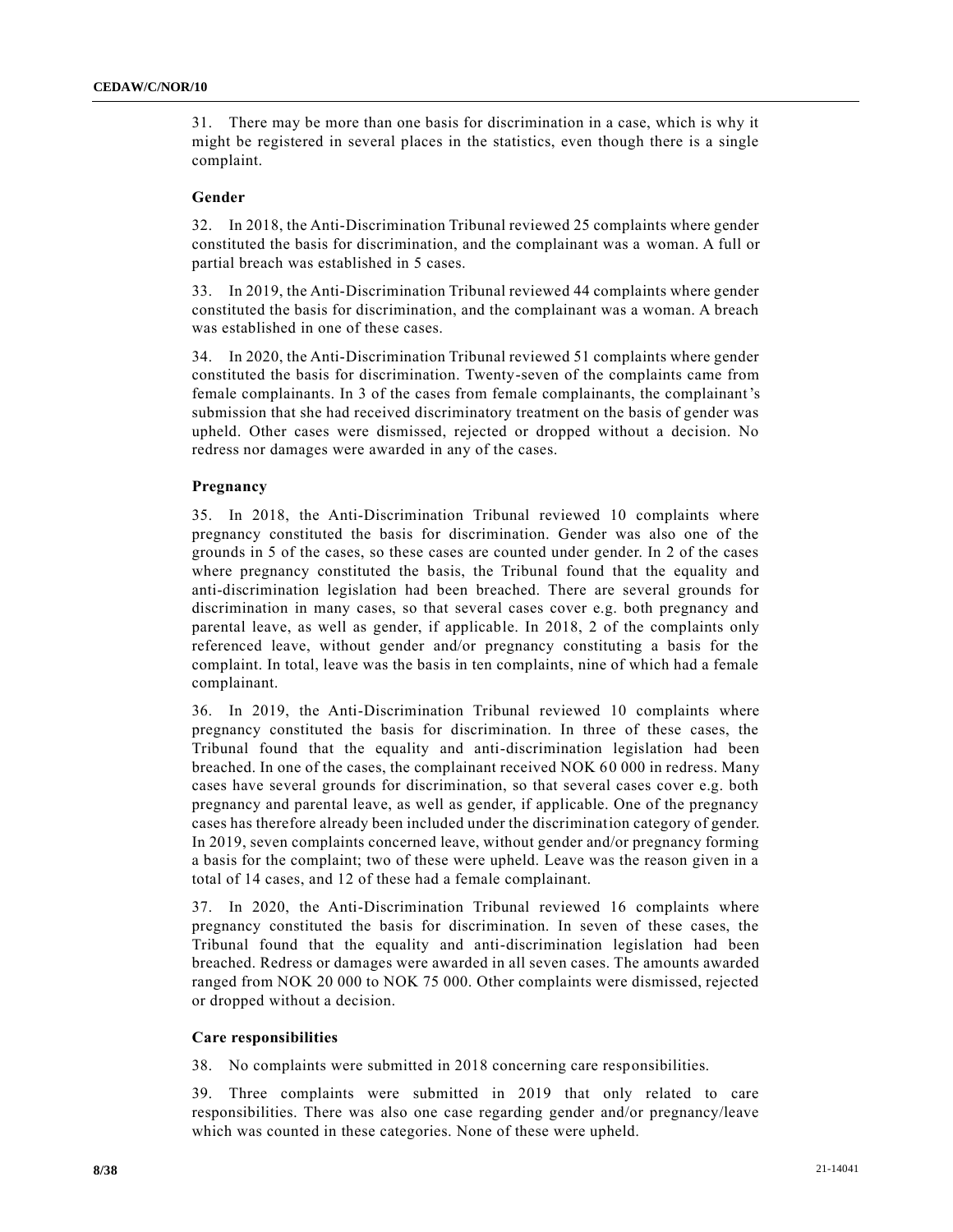31. There may be more than one basis for discrimination in a case, which is why it might be registered in several places in the statistics, even though there is a single complaint.

#### **Gender**

32. In 2018, the Anti-Discrimination Tribunal reviewed 25 complaints where gender constituted the basis for discrimination, and the complainant was a woman. A full or partial breach was established in 5 cases.

33. In 2019, the Anti-Discrimination Tribunal reviewed 44 complaints where gender constituted the basis for discrimination, and the complainant was a woman. A breach was established in one of these cases.

34. In 2020, the Anti-Discrimination Tribunal reviewed 51 complaints where gender constituted the basis for discrimination. Twenty-seven of the complaints came from female complainants. In 3 of the cases from female complainants, the complainant's submission that she had received discriminatory treatment on the basis of gender was upheld. Other cases were dismissed, rejected or dropped without a decision. No redress nor damages were awarded in any of the cases.

### **Pregnancy**

35. In 2018, the Anti-Discrimination Tribunal reviewed 10 complaints where pregnancy constituted the basis for discrimination. Gender was also one of the grounds in 5 of the cases, so these cases are counted under gender. In 2 of the cases where pregnancy constituted the basis, the Tribunal found that the equality and anti-discrimination legislation had been breached. There are several grounds for discrimination in many cases, so that several cases cover e.g. both pregnancy and parental leave, as well as gender, if applicable. In 2018, 2 of the complaints only referenced leave, without gender and/or pregnancy constituting a basis for the complaint. In total, leave was the basis in ten complaints, nine of which had a female complainant.

36. In 2019, the Anti-Discrimination Tribunal reviewed 10 complaints where pregnancy constituted the basis for discrimination. In three of these cases, the Tribunal found that the equality and anti-discrimination legislation had been breached. In one of the cases, the complainant received NOK 60 000 in redress. Many cases have several grounds for discrimination, so that several cases cover e.g. both pregnancy and parental leave, as well as gender, if applicable. One of the pregnancy cases has therefore already been included under the discrimination category of gender. In 2019, seven complaints concerned leave, without gender and/or pregnancy forming a basis for the complaint; two of these were upheld. Leave was the reason given in a total of 14 cases, and 12 of these had a female complainant.

37. In 2020, the Anti-Discrimination Tribunal reviewed 16 complaints where pregnancy constituted the basis for discrimination. In seven of these cases, the Tribunal found that the equality and anti-discrimination legislation had been breached. Redress or damages were awarded in all seven cases. The amounts awarded ranged from NOK 20 000 to NOK 75 000. Other complaints were dismissed, rejected or dropped without a decision.

#### **Care responsibilities**

38. No complaints were submitted in 2018 concerning care responsibilities.

39. Three complaints were submitted in 2019 that only related to care responsibilities. There was also one case regarding gender and/or pregnancy/leave which was counted in these categories. None of these were upheld.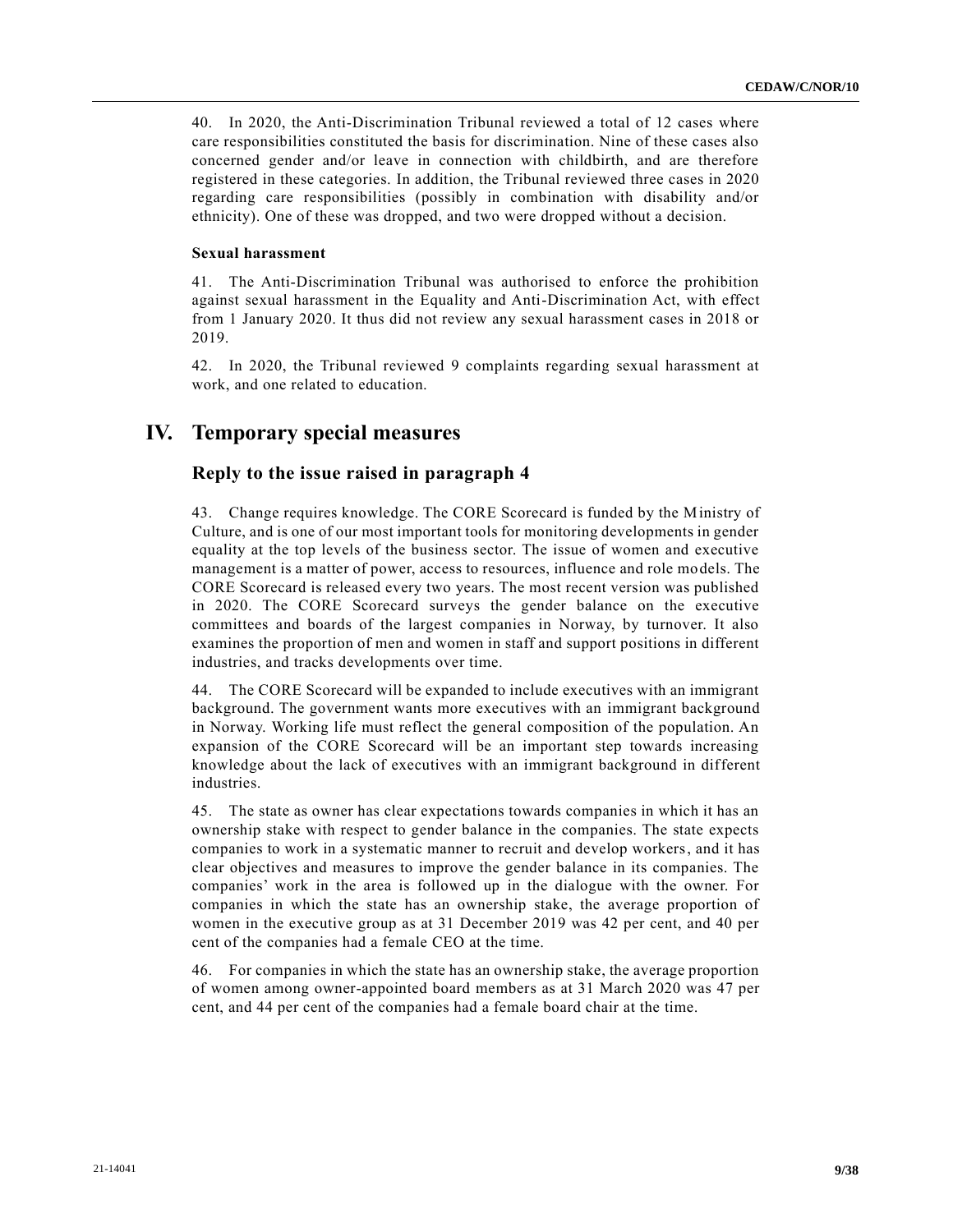40. In 2020, the Anti-Discrimination Tribunal reviewed a total of 12 cases where care responsibilities constituted the basis for discrimination. Nine of these cases also concerned gender and/or leave in connection with childbirth, and are therefore registered in these categories. In addition, the Tribunal reviewed three cases in 2020 regarding care responsibilities (possibly in combination with disability and/or ethnicity). One of these was dropped, and two were dropped without a decision.

#### **Sexual harassment**

41. The Anti-Discrimination Tribunal was authorised to enforce the prohibition against sexual harassment in the Equality and Anti-Discrimination Act, with effect from 1 January 2020. It thus did not review any sexual harassment cases in 2018 or 2019.

42. In 2020, the Tribunal reviewed 9 complaints regarding sexual harassment at work, and one related to education.

# **IV. Temporary special measures**

### **Reply to the issue raised in paragraph 4**

43. Change requires knowledge. The CORE Scorecard is funded by the Ministry of Culture, and is one of our most important tools for monitoring developments in gender equality at the top levels of the business sector. The issue of women and executive management is a matter of power, access to resources, influence and role models. The CORE Scorecard is released every two years. The most recent version was published in 2020. The CORE Scorecard surveys the gender balance on the executive committees and boards of the largest companies in Norway, by turnover. It also examines the proportion of men and women in staff and support positions in different industries, and tracks developments over time.

44. The CORE Scorecard will be expanded to include executives with an immigrant background. The government wants more executives with an immigrant background in Norway. Working life must reflect the general composition of the population. An expansion of the CORE Scorecard will be an important step towards increasing knowledge about the lack of executives with an immigrant background in different industries.

45. The state as owner has clear expectations towards companies in which it has an ownership stake with respect to gender balance in the companies. The state expects companies to work in a systematic manner to recruit and develop workers, and it has clear objectives and measures to improve the gender balance in its companies. The companies' work in the area is followed up in the dialogue with the owner. For companies in which the state has an ownership stake, the average proportion of women in the executive group as at 31 December 2019 was 42 per cent, and 40 per cent of the companies had a female CEO at the time.

46. For companies in which the state has an ownership stake, the average proportion of women among owner-appointed board members as at 31 March 2020 was 47 per cent, and 44 per cent of the companies had a female board chair at the time.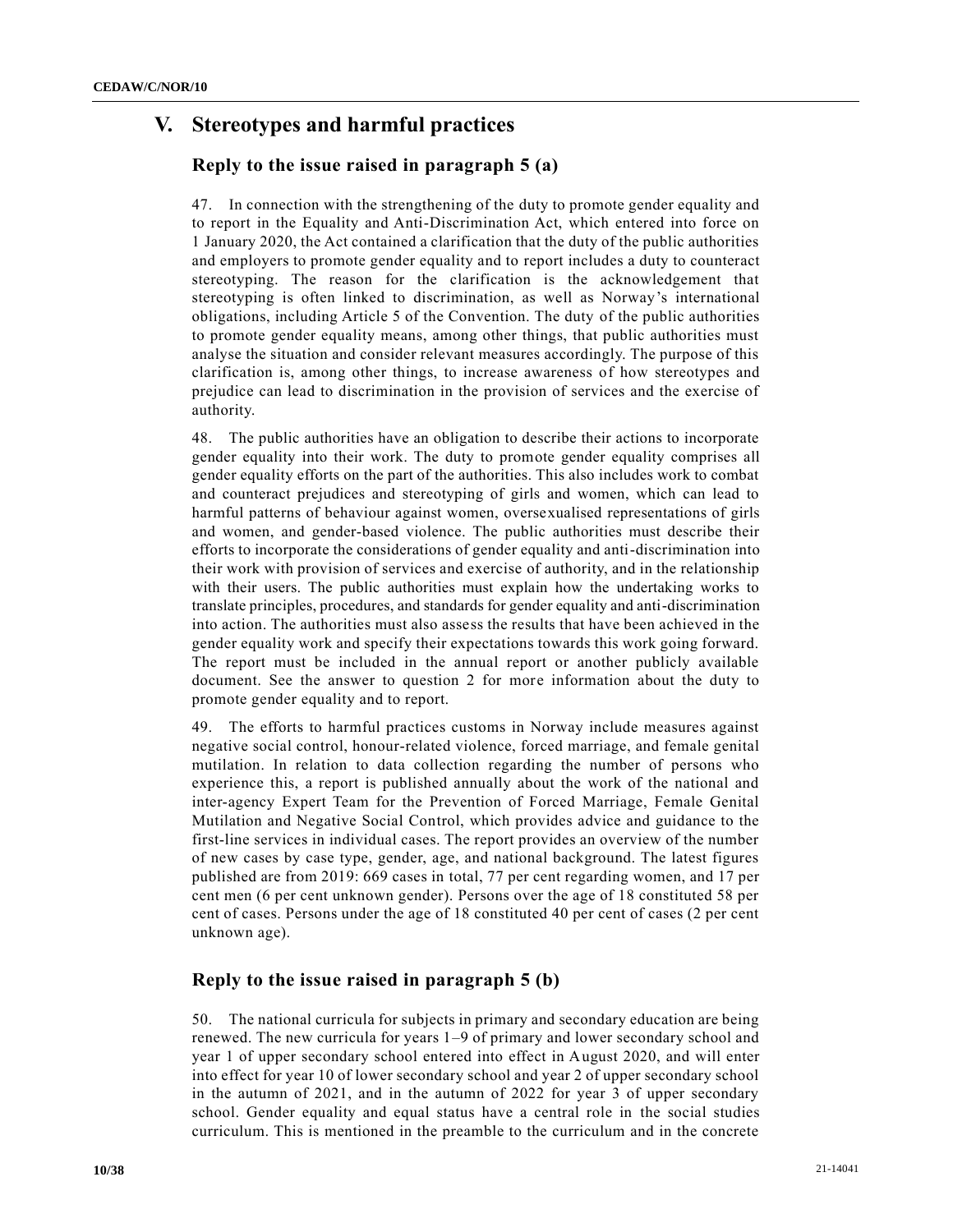# **V. Stereotypes and harmful practices**

# **Reply to the issue raised in paragraph 5 (a)**

47. In connection with the strengthening of the duty to promote gender equality and to report in the Equality and Anti-Discrimination Act, which entered into force on 1 January 2020, the Act contained a clarification that the duty of the public authorities and employers to promote gender equality and to report includes a duty to counteract stereotyping. The reason for the clarification is the acknowledgement that stereotyping is often linked to discrimination, as well as Norway's international obligations, including Article 5 of the Convention. The duty of the public authorities to promote gender equality means, among other things, that public authorities must analyse the situation and consider relevant measures accordingly. The purpose of this clarification is, among other things, to increase awareness of how stereotypes and prejudice can lead to discrimination in the provision of services and the exercise of authority.

48. The public authorities have an obligation to describe their actions to incorporate gender equality into their work. The duty to promote gender equality comprises all gender equality efforts on the part of the authorities. This also includes work to combat and counteract prejudices and stereotyping of girls and women, which can lead to harmful patterns of behaviour against women, oversexualised representations of girls and women, and gender-based violence. The public authorities must describe their efforts to incorporate the considerations of gender equality and anti-discrimination into their work with provision of services and exercise of authority, and in the relationship with their users. The public authorities must explain how the undertaking works to translate principles, procedures, and standards for gender equality and anti-discrimination into action. The authorities must also assess the results that have been achieved in the gender equality work and specify their expectations towards this work going forward. The report must be included in the annual report or another publicly available document. See the answer to question 2 for more information about the duty to promote gender equality and to report.

49. The efforts to harmful practices customs in Norway include measures against negative social control, honour-related violence, forced marriage, and female genital mutilation. In relation to data collection regarding the number of persons who experience this, a report is published annually about the work of the national and inter-agency Expert Team for the Prevention of Forced Marriage, Female Genital Mutilation and Negative Social Control, which provides advice and guidance to the first-line services in individual cases. The report provides an overview of the number of new cases by case type, gender, age, and national background. The latest figures published are from 2019: 669 cases in total, 77 per cent regarding women, and 17 per cent men (6 per cent unknown gender). Persons over the age of 18 constituted 58 per cent of cases. Persons under the age of 18 constituted 40 per cent of cases (2 per cent unknown age).

# **Reply to the issue raised in paragraph 5 (b)**

50. The national curricula for subjects in primary and secondary education are being renewed. The new curricula for years 1–9 of primary and lower secondary school and year 1 of upper secondary school entered into effect in August 2020, and will enter into effect for year 10 of lower secondary school and year 2 of upper secondary school in the autumn of 2021, and in the autumn of 2022 for year 3 of upper secondary school. Gender equality and equal status have a central role in the social studies curriculum. This is mentioned in the preamble to the curriculum and in the concrete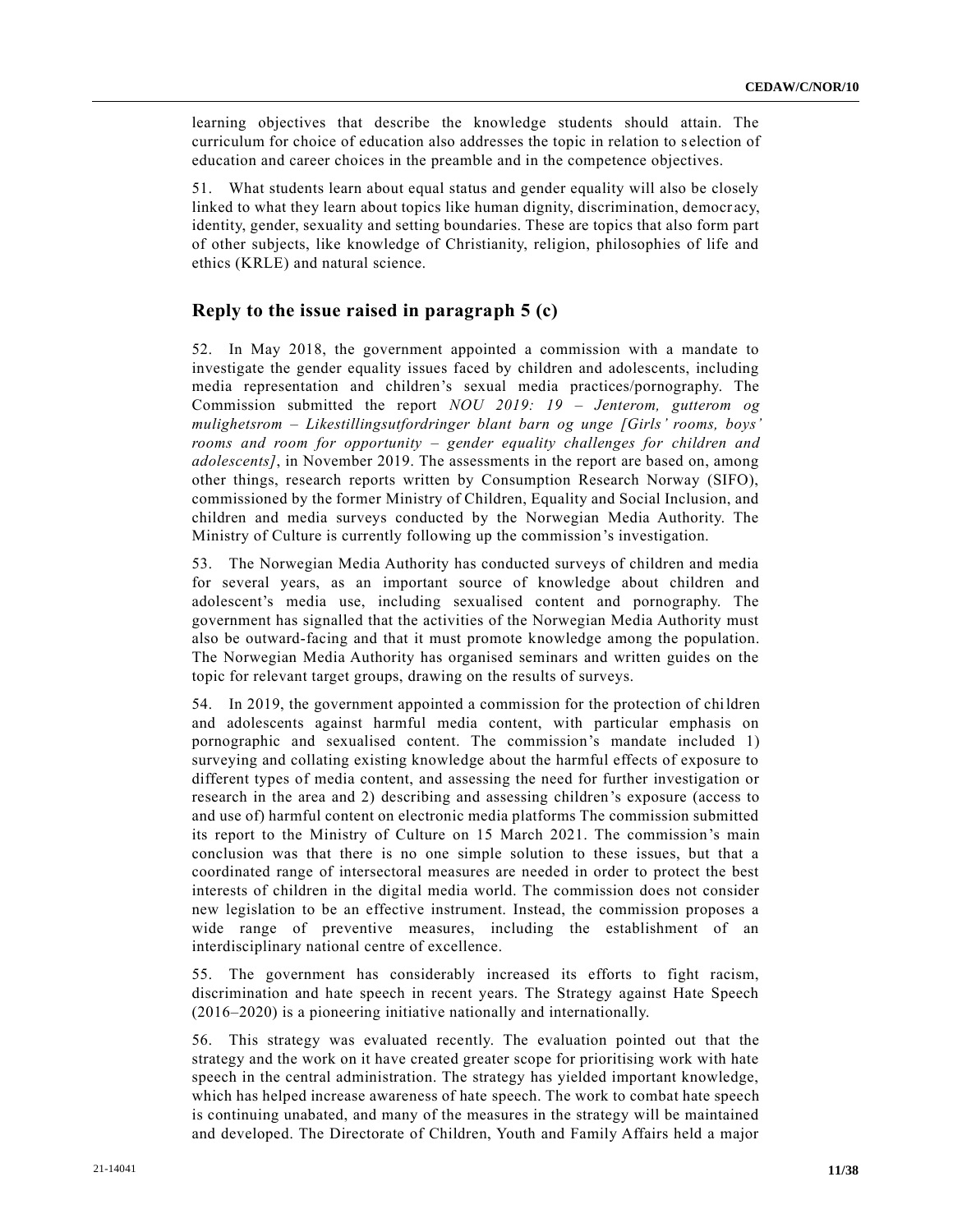learning objectives that describe the knowledge students should attain. The curriculum for choice of education also addresses the topic in relation to s election of education and career choices in the preamble and in the competence objectives.

51. What students learn about equal status and gender equality will also be closely linked to what they learn about topics like human dignity, discrimination, democr acy, identity, gender, sexuality and setting boundaries. These are topics that also form part of other subjects, like knowledge of Christianity, religion, philosophies of life and ethics (KRLE) and natural science.

# **Reply to the issue raised in paragraph 5 (c)**

52. In May 2018, the government appointed a commission with a mandate to investigate the gender equality issues faced by children and adolescents, including media representation and children's sexual media practices/pornography. The Commission submitted the report *NOU 2019: 19 – Jenterom, gutterom og mulighetsrom – Likestillingsutfordringer blant barn og unge [Girls' rooms, boys' rooms and room for opportunity – gender equality challenges for children and adolescents]*, in November 2019. The assessments in the report are based on, among other things, research reports written by Consumption Research Norway (SIFO), commissioned by the former Ministry of Children, Equality and Social Inclusion, and children and media surveys conducted by the Norwegian Media Authority. The Ministry of Culture is currently following up the commission's investigation.

53. The Norwegian Media Authority has conducted surveys of children and media for several years, as an important source of knowledge about children and adolescent's media use, including sexualised content and pornography. The government has signalled that the activities of the Norwegian Media Authority must also be outward-facing and that it must promote knowledge among the population. The Norwegian Media Authority has organised seminars and written guides on the topic for relevant target groups, drawing on the results of surveys.

54. In 2019, the government appointed a commission for the protection of children and adolescents against harmful media content, with particular emphasis on pornographic and sexualised content. The commission's mandate included 1) surveying and collating existing knowledge about the harmful effects of exposure to different types of media content, and assessing the need for further investigation or research in the area and 2) describing and assessing children's exposure (access to and use of) harmful content on electronic media platforms The commission submitted its report to the Ministry of Culture on 15 March 2021. The commission's main conclusion was that there is no one simple solution to these issues, but that a coordinated range of intersectoral measures are needed in order to protect the best interests of children in the digital media world. The commission does not consider new legislation to be an effective instrument. Instead, the commission proposes a wide range of preventive measures, including the establishment of an interdisciplinary national centre of excellence.

55. The government has considerably increased its efforts to fight racism, discrimination and hate speech in recent years. The Strategy against Hate Speech (2016–2020) is a pioneering initiative nationally and internationally.

56. This strategy was evaluated recently. The evaluation pointed out that the strategy and the work on it have created greater scope for prioritising work with hate speech in the central administration. The strategy has yielded important knowledge, which has helped increase awareness of hate speech. The work to combat hate speech is continuing unabated, and many of the measures in the strategy will be maintained and developed. The Directorate of Children, Youth and Family Affairs held a major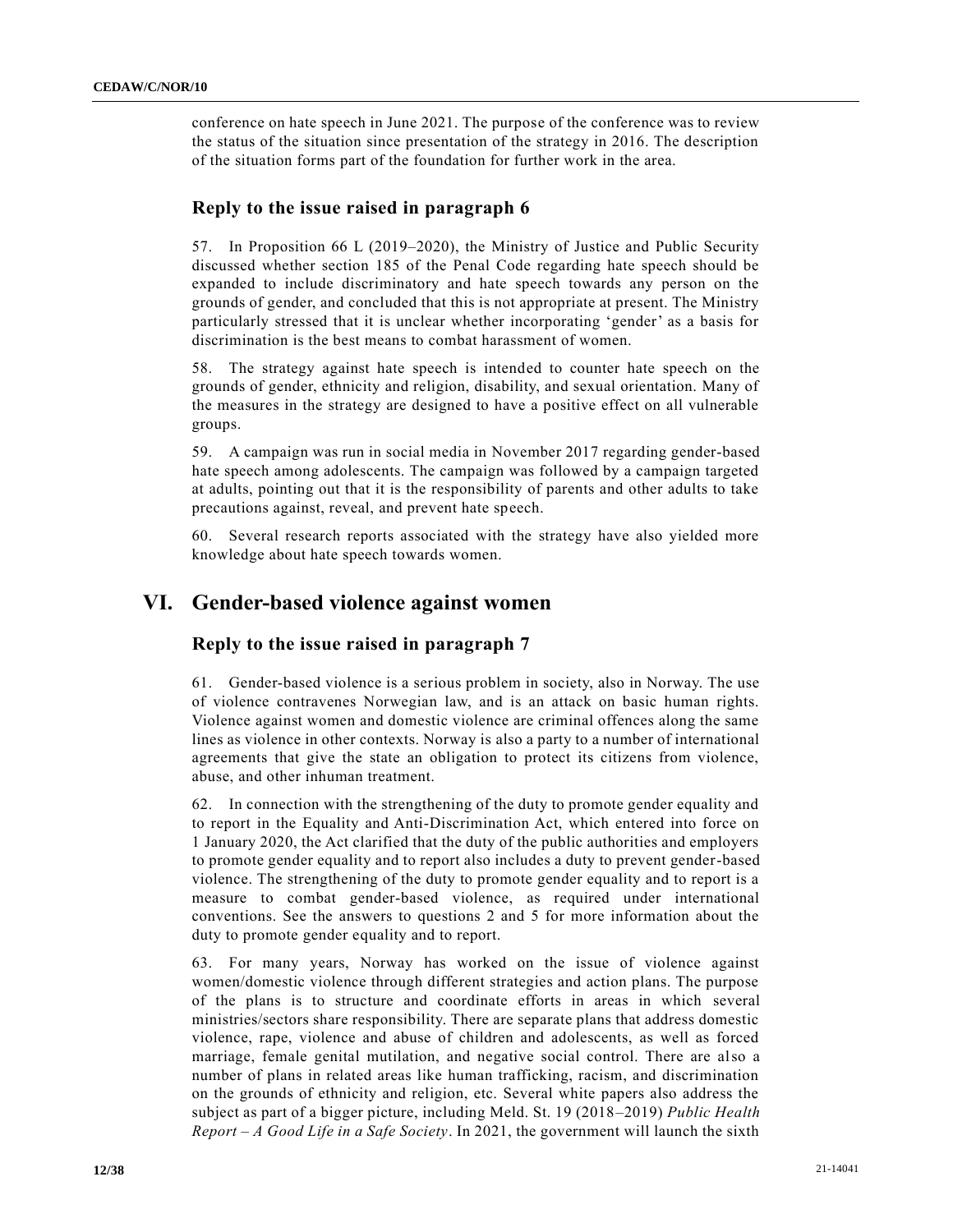conference on hate speech in June 2021. The purpose of the conference was to review the status of the situation since presentation of the strategy in 2016. The description of the situation forms part of the foundation for further work in the area.

### **Reply to the issue raised in paragraph 6**

57. In Proposition 66 L (2019–2020), the Ministry of Justice and Public Security discussed whether section 185 of the Penal Code regarding hate speech should be expanded to include discriminatory and hate speech towards any person on the grounds of gender, and concluded that this is not appropriate at present. The Ministry particularly stressed that it is unclear whether incorporating 'gender' as a basis for discrimination is the best means to combat harassment of women.

58. The strategy against hate speech is intended to counter hate speech on the grounds of gender, ethnicity and religion, disability, and sexual orientation. Many of the measures in the strategy are designed to have a positive effect on all vulnerable groups.

59. A campaign was run in social media in November 2017 regarding gender-based hate speech among adolescents. The campaign was followed by a campaign targeted at adults, pointing out that it is the responsibility of parents and other adults to take precautions against, reveal, and prevent hate speech.

60. Several research reports associated with the strategy have also yielded more knowledge about hate speech towards women.

# **VI. Gender-based violence against women**

# **Reply to the issue raised in paragraph 7**

61. Gender-based violence is a serious problem in society, also in Norway. The use of violence contravenes Norwegian law, and is an attack on basic human rights. Violence against women and domestic violence are criminal offences along the same lines as violence in other contexts. Norway is also a party to a number of international agreements that give the state an obligation to protect its citizens from violence, abuse, and other inhuman treatment.

62. In connection with the strengthening of the duty to promote gender equality and to report in the Equality and Anti-Discrimination Act, which entered into force on 1 January 2020, the Act clarified that the duty of the public authorities and employers to promote gender equality and to report also includes a duty to prevent gender-based violence. The strengthening of the duty to promote gender equality and to report is a measure to combat gender-based violence, as required under international conventions. See the answers to questions 2 and 5 for more information about the duty to promote gender equality and to report.

63. For many years, Norway has worked on the issue of violence against women/domestic violence through different strategies and action plans. The purpose of the plans is to structure and coordinate efforts in areas in which several ministries/sectors share responsibility. There are separate plans that address domestic violence, rape, violence and abuse of children and adolescents, as well as forced marriage, female genital mutilation, and negative social control. There are also a number of plans in related areas like human trafficking, racism, and discrimination on the grounds of ethnicity and religion, etc. Several white papers also address the subject as part of a bigger picture, including Meld. St. 19 (2018–2019) *Public Health Report – A Good Life in a Safe Society*. In 2021, the government will launch the sixth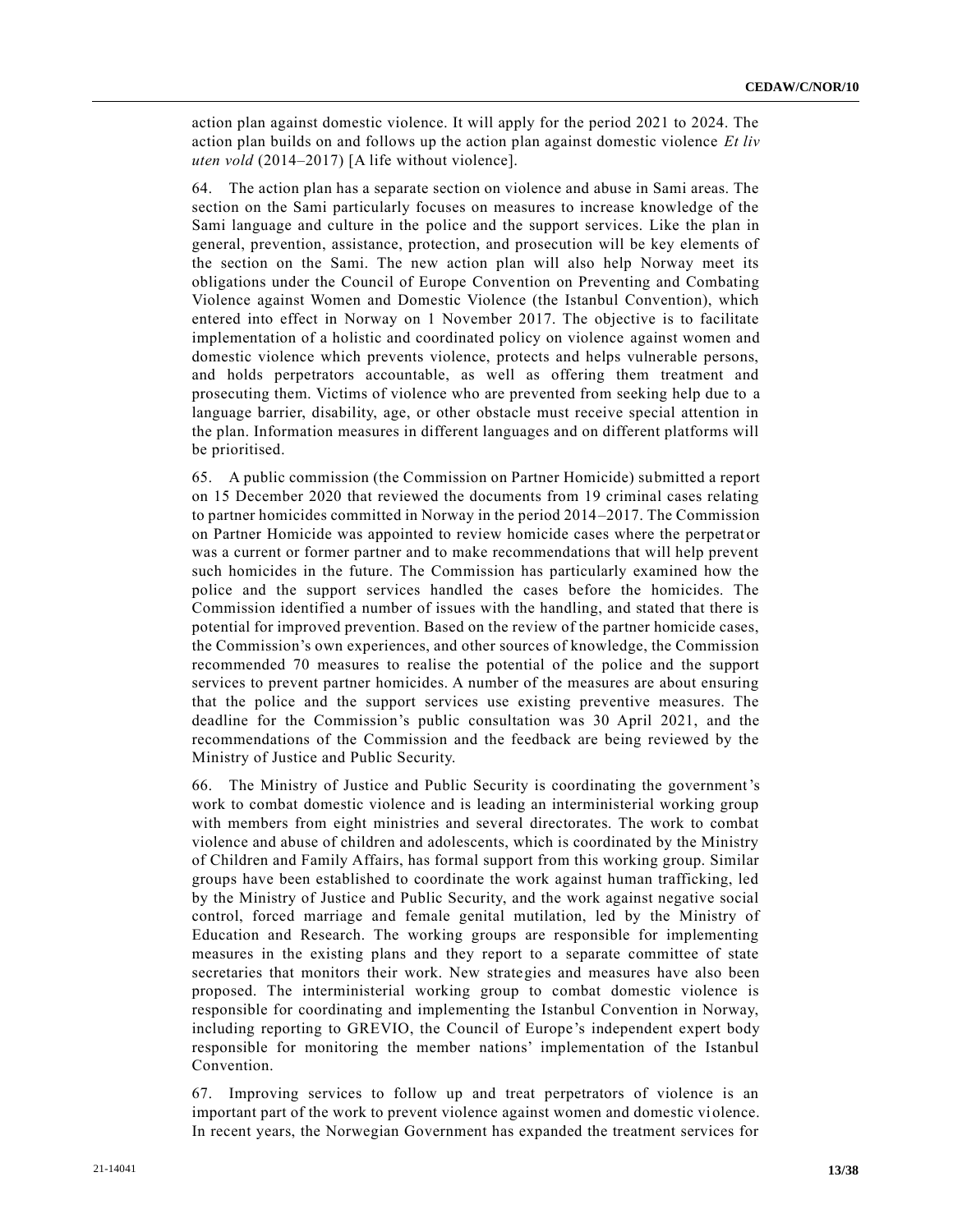action plan against domestic violence. It will apply for the period 2021 to 2024. The action plan builds on and follows up the action plan against domestic violence *Et liv uten vold* (2014–2017) [A life without violence].

64. The action plan has a separate section on violence and abuse in Sami areas. The section on the Sami particularly focuses on measures to increase knowledge of the Sami language and culture in the police and the support services. Like the plan in general, prevention, assistance, protection, and prosecution will be key elements of the section on the Sami. The new action plan will also help Norway meet its obligations under the Council of Europe Convention on Preventing and Combating Violence against Women and Domestic Violence (the Istanbul Convention), which entered into effect in Norway on 1 November 2017. The objective is to facilitate implementation of a holistic and coordinated policy on violence against women and domestic violence which prevents violence, protects and helps vulnerable persons, and holds perpetrators accountable, as well as offering them treatment and prosecuting them. Victims of violence who are prevented from seeking help due to a language barrier, disability, age, or other obstacle must receive special attention in the plan. Information measures in different languages and on different platforms will be prioritised.

65. A public commission (the Commission on Partner Homicide) submitted a report on 15 December 2020 that reviewed the documents from 19 criminal cases relating to partner homicides committed in Norway in the period 2014–2017. The Commission on Partner Homicide was appointed to review homicide cases where the perpetrat or was a current or former partner and to make recommendations that will help prevent such homicides in the future. The Commission has particularly examined how the police and the support services handled the cases before the homicides. The Commission identified a number of issues with the handling, and stated that there is potential for improved prevention. Based on the review of the partner homicide cases, the Commission's own experiences, and other sources of knowledge, the Commission recommended 70 measures to realise the potential of the police and the support services to prevent partner homicides. A number of the measures are about ensuring that the police and the support services use existing preventive measures. The deadline for the Commission's public consultation was 30 April 2021, and the recommendations of the Commission and the feedback are being reviewed by the Ministry of Justice and Public Security.

66. The Ministry of Justice and Public Security is coordinating the government's work to combat domestic violence and is leading an interministerial working group with members from eight ministries and several directorates. The work to combat violence and abuse of children and adolescents, which is coordinated by the Ministry of Children and Family Affairs, has formal support from this working group. Similar groups have been established to coordinate the work against human trafficking, led by the Ministry of Justice and Public Security, and the work against negative social control, forced marriage and female genital mutilation, led by the Ministry of Education and Research. The working groups are responsible for implementing measures in the existing plans and they report to a separate committee of state secretaries that monitors their work. New strategies and measures have also been proposed. The interministerial working group to combat domestic violence is responsible for coordinating and implementing the Istanbul Convention in Norway, including reporting to GREVIO, the Council of Europe's independent expert body responsible for monitoring the member nations' implementation of the Istanbul Convention.

67. Improving services to follow up and treat perpetrators of violence is an important part of the work to prevent violence against women and domestic violence. In recent years, the Norwegian Government has expanded the treatment services for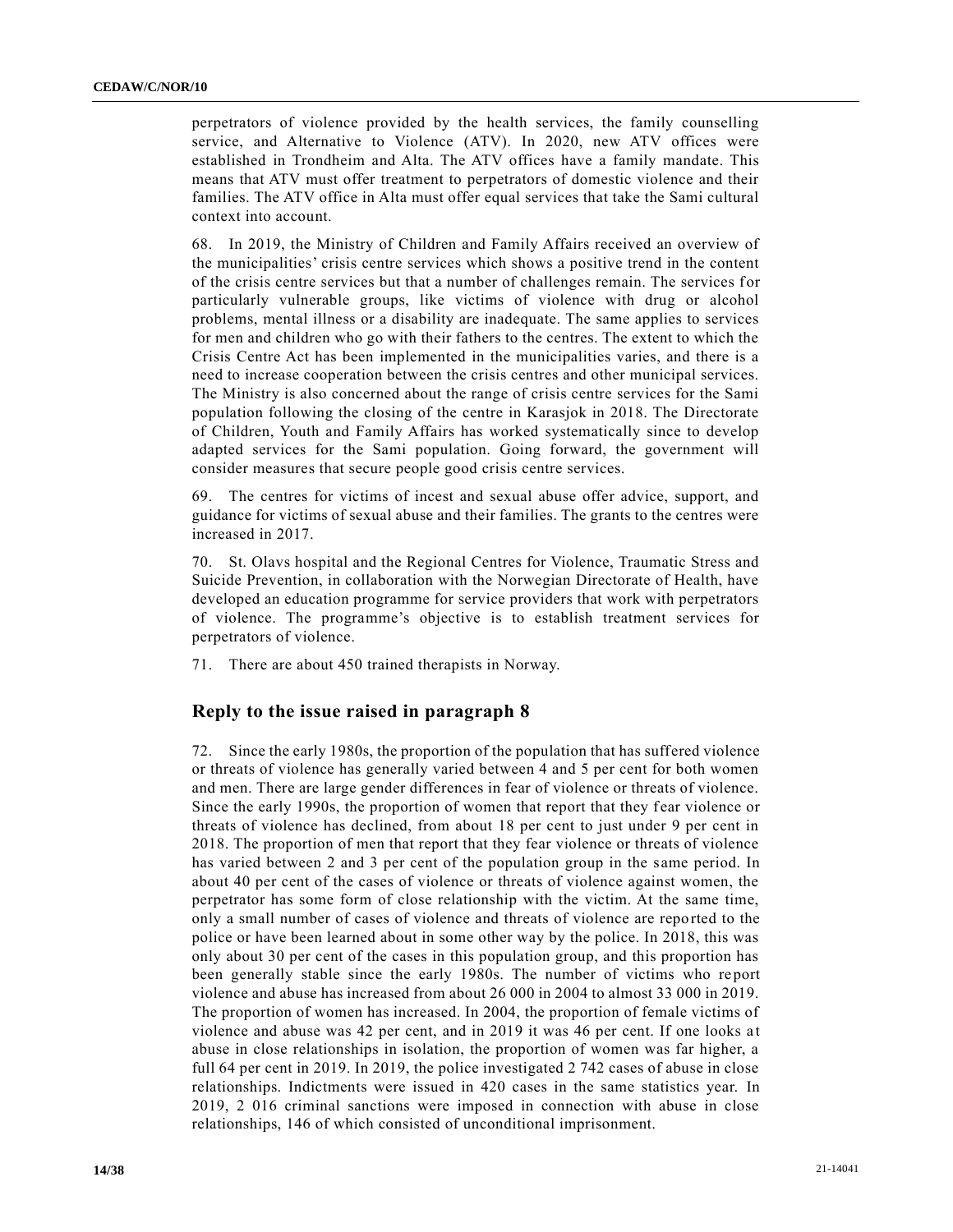perpetrators of violence provided by the health services, the family counselling service, and Alternative to Violence (ATV). In 2020, new ATV offices were established in Trondheim and Alta. The ATV offices have a family mandate. This means that ATV must offer treatment to perpetrators of domestic violence and their families. The ATV office in Alta must offer equal services that take the Sami cultural context into account.

68. In 2019, the Ministry of Children and Family Affairs received an overview of the municipalities' crisis centre services which shows a positive trend in the content of the crisis centre services but that a number of challenges remain. The services for particularly vulnerable groups, like victims of violence with drug or alcohol problems, mental illness or a disability are inadequate. The same applies to services for men and children who go with their fathers to the centres. The extent to which the Crisis Centre Act has been implemented in the municipalities varies, and there is a need to increase cooperation between the crisis centres and other municipal services. The Ministry is also concerned about the range of crisis centre services for the Sami population following the closing of the centre in Karasjok in 2018. The Directorate of Children, Youth and Family Affairs has worked systematically since to develop adapted services for the Sami population. Going forward, the government will consider measures that secure people good crisis centre services.

69. The centres for victims of incest and sexual abuse offer advice, support, and guidance for victims of sexual abuse and their families. The grants to the centres were increased in 2017.

70. St. Olavs hospital and the Regional Centres for Violence, Traumatic Stress and Suicide Prevention, in collaboration with the Norwegian Directorate of Health, have developed an education programme for service providers that work with perpetrators of violence. The programme's objective is to establish treatment services for perpetrators of violence.

71. There are about 450 trained therapists in Norway.

### **Reply to the issue raised in paragraph 8**

72. Since the early 1980s, the proportion of the population that has suffered violence or threats of violence has generally varied between 4 and 5 per cent for both women and men. There are large gender differences in fear of violence or threats of violence. Since the early 1990s, the proportion of women that report that they fear violence or threats of violence has declined, from about 18 per cent to just under 9 per cent in 2018. The proportion of men that report that they fear violence or threats of violence has varied between 2 and 3 per cent of the population group in the same period. In about 40 per cent of the cases of violence or threats of violence against women, the perpetrator has some form of close relationship with the victim. At the same time, only a small number of cases of violence and threats of violence are reported to the police or have been learned about in some other way by the police. In 2018, this was only about 30 per cent of the cases in this population group, and this proportion has been generally stable since the early 1980s. The number of victims who report violence and abuse has increased from about 26 000 in 2004 to almost 33 000 in 2019. The proportion of women has increased. In 2004, the proportion of female victims of violence and abuse was 42 per cent, and in 2019 it was 46 per cent. If one looks a t abuse in close relationships in isolation, the proportion of women was far higher, a full 64 per cent in 2019. In 2019, the police investigated 2 742 cases of abuse in close relationships. Indictments were issued in 420 cases in the same statistics year. In 2019, 2 016 criminal sanctions were imposed in connection with abuse in close relationships, 146 of which consisted of unconditional imprisonment.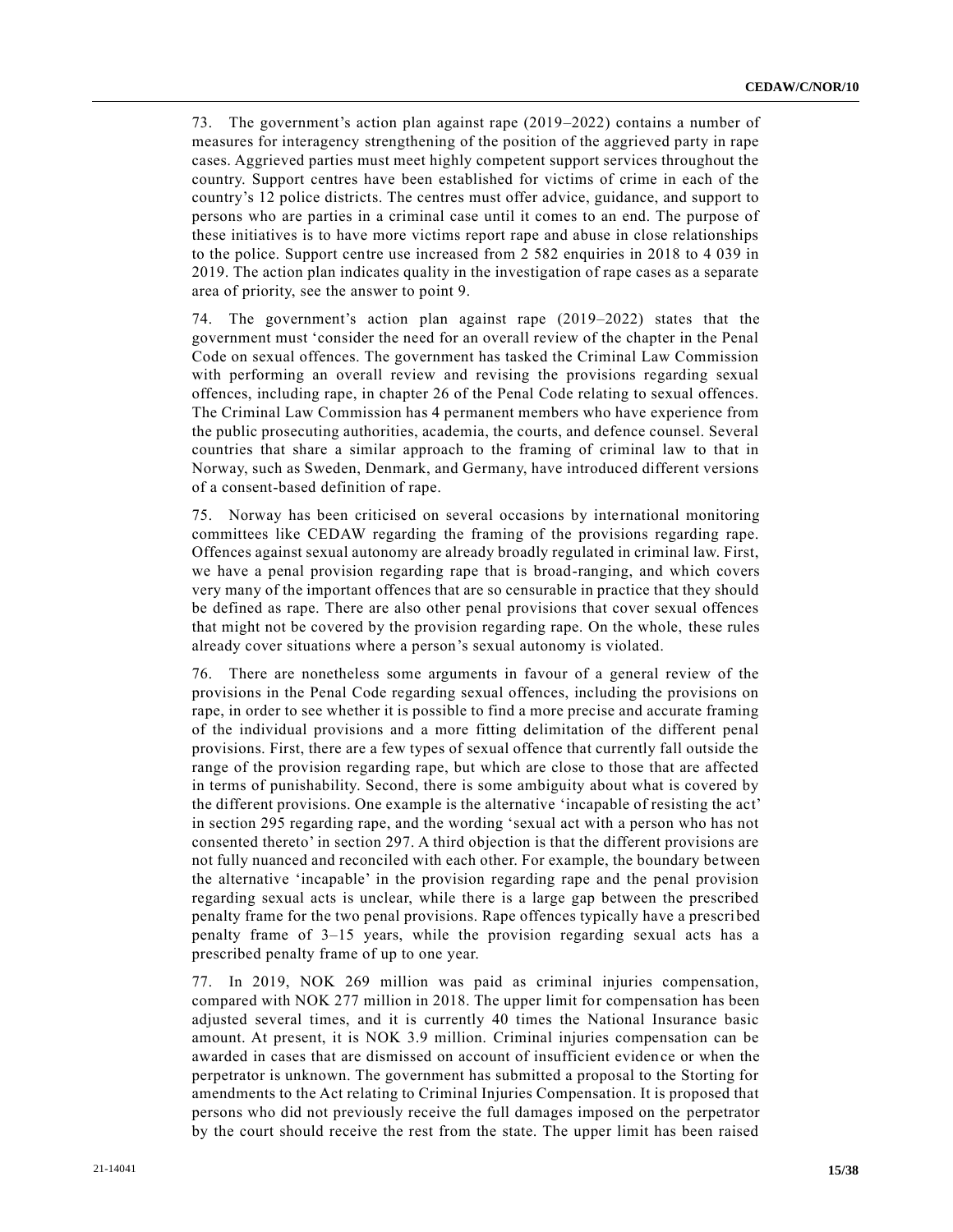73. The government's action plan against rape (2019–2022) contains a number of measures for interagency strengthening of the position of the aggrieved party in rape cases. Aggrieved parties must meet highly competent support services throughout the country. Support centres have been established for victims of crime in each of the country's 12 police districts. The centres must offer advice, guidance, and support to persons who are parties in a criminal case until it comes to an end. The purpose of these initiatives is to have more victims report rape and abuse in close relationships to the police. Support centre use increased from 2 582 enquiries in 2018 to 4 039 in 2019. The action plan indicates quality in the investigation of rape cases as a separate area of priority, see the answer to point 9.

74. The government's action plan against rape (2019–2022) states that the government must 'consider the need for an overall review of the chapter in the Penal Code on sexual offences. The government has tasked the Criminal Law Commission with performing an overall review and revising the provisions regarding sexual offences, including rape, in chapter 26 of the Penal Code relating to sexual offences. The Criminal Law Commission has 4 permanent members who have experience from the public prosecuting authorities, academia, the courts, and defence counsel. Several countries that share a similar approach to the framing of criminal law to that in Norway, such as Sweden, Denmark, and Germany, have introduced different versions of a consent-based definition of rape.

75. Norway has been criticised on several occasions by international monitoring committees like CEDAW regarding the framing of the provisions regarding rape. Offences against sexual autonomy are already broadly regulated in criminal law. First, we have a penal provision regarding rape that is broad-ranging, and which covers very many of the important offences that are so censurable in practice that they should be defined as rape. There are also other penal provisions that cover sexual offences that might not be covered by the provision regarding rape. On the whole, these rules already cover situations where a person's sexual autonomy is violated.

76. There are nonetheless some arguments in favour of a general review of the provisions in the Penal Code regarding sexual offences, including the provisions on rape, in order to see whether it is possible to find a more precise and accurate framing of the individual provisions and a more fitting delimitation of the different penal provisions. First, there are a few types of sexual offence that currently fall outside the range of the provision regarding rape, but which are close to those that are affected in terms of punishability. Second, there is some ambiguity about what is covered by the different provisions. One example is the alternative 'incapable of resisting the act' in section 295 regarding rape, and the wording 'sexual act with a person who has not consented thereto' in section 297. A third objection is that the different provisions are not fully nuanced and reconciled with each other. For example, the boundary be tween the alternative 'incapable' in the provision regarding rape and the penal provision regarding sexual acts is unclear, while there is a large gap between the prescribed penalty frame for the two penal provisions. Rape offences typically have a prescribed penalty frame of 3–15 years, while the provision regarding sexual acts has a prescribed penalty frame of up to one year.

77. In 2019, NOK 269 million was paid as criminal injuries compensation, compared with NOK 277 million in 2018. The upper limit for compensation has been adjusted several times, and it is currently 40 times the National Insurance basic amount. At present, it is NOK 3.9 million. Criminal injuries compensation can be awarded in cases that are dismissed on account of insufficient evidence or when the perpetrator is unknown. The government has submitted a proposal to the Storting for amendments to the Act relating to Criminal Injuries Compensation. It is proposed that persons who did not previously receive the full damages imposed on the perpetrator by the court should receive the rest from the state. The upper limit has been raised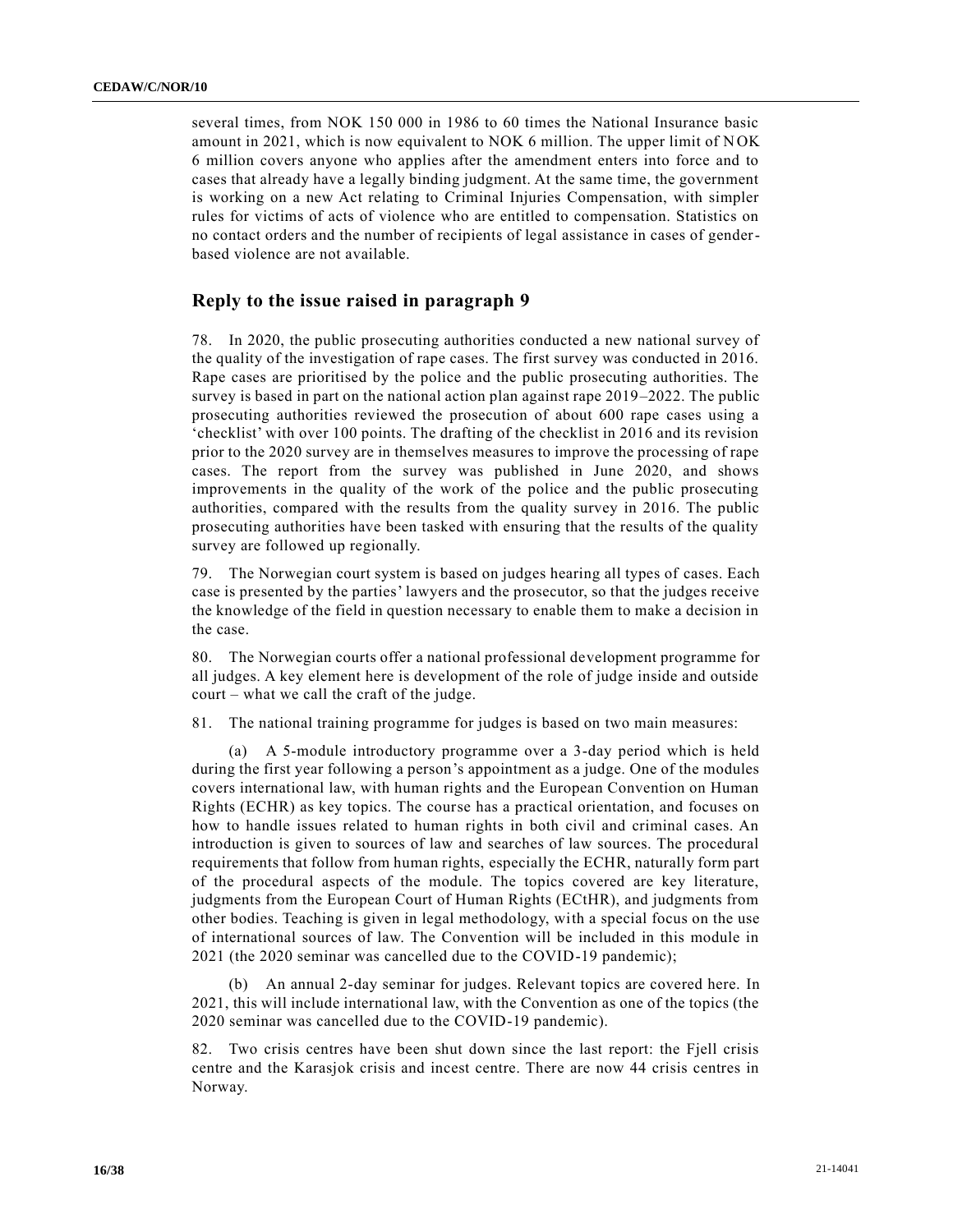several times, from NOK 150 000 in 1986 to 60 times the National Insurance basic amount in 2021, which is now equivalent to NOK 6 million. The upper limit of NOK 6 million covers anyone who applies after the amendment enters into force and to cases that already have a legally binding judgment. At the same time, the government is working on a new Act relating to Criminal Injuries Compensation, with simpler rules for victims of acts of violence who are entitled to compensation. Statistics on no contact orders and the number of recipients of legal assistance in cases of genderbased violence are not available.

### **Reply to the issue raised in paragraph 9**

78. In 2020, the public prosecuting authorities conducted a new national survey of the quality of the investigation of rape cases. The first survey was conducted in 2016. Rape cases are prioritised by the police and the public prosecuting authorities. The survey is based in part on the national action plan against rape 2019–2022. The public prosecuting authorities reviewed the prosecution of about 600 rape cases using a 'checklist' with over 100 points. The drafting of the checklist in 2016 and its revision prior to the 2020 survey are in themselves measures to improve the processing of rape cases. The report from the survey was published in June 2020, and shows improvements in the quality of the work of the police and the public prosecuting authorities, compared with the results from the quality survey in 2016. The public prosecuting authorities have been tasked with ensuring that the results of the quality survey are followed up regionally.

79. The Norwegian court system is based on judges hearing all types of cases. Each case is presented by the parties' lawyers and the prosecutor, so that the judges receive the knowledge of the field in question necessary to enable them to make a decision in the case.

80. The Norwegian courts offer a national professional development programme for all judges. A key element here is development of the role of judge inside and outside court – what we call the craft of the judge.

81. The national training programme for judges is based on two main measures:

(a) A 5-module introductory programme over a 3-day period which is held during the first year following a person's appointment as a judge. One of the modules covers international law, with human rights and the European Convention on Human Rights (ECHR) as key topics. The course has a practical orientation, and focuses on how to handle issues related to human rights in both civil and criminal cases. An introduction is given to sources of law and searches of law sources. The procedural requirements that follow from human rights, especially the ECHR, naturally form part of the procedural aspects of the module. The topics covered are key literature, judgments from the European Court of Human Rights (ECtHR), and judgments from other bodies. Teaching is given in legal methodology, with a special focus on the use of international sources of law. The Convention will be included in this module in 2021 (the 2020 seminar was cancelled due to the COVID-19 pandemic);

(b) An annual 2-day seminar for judges. Relevant topics are covered here. In 2021, this will include international law, with the Convention as one of the topics (the 2020 seminar was cancelled due to the COVID-19 pandemic).

82. Two crisis centres have been shut down since the last report: the Fjell crisis centre and the Karasjok crisis and incest centre. There are now 44 crisis centres in Norway.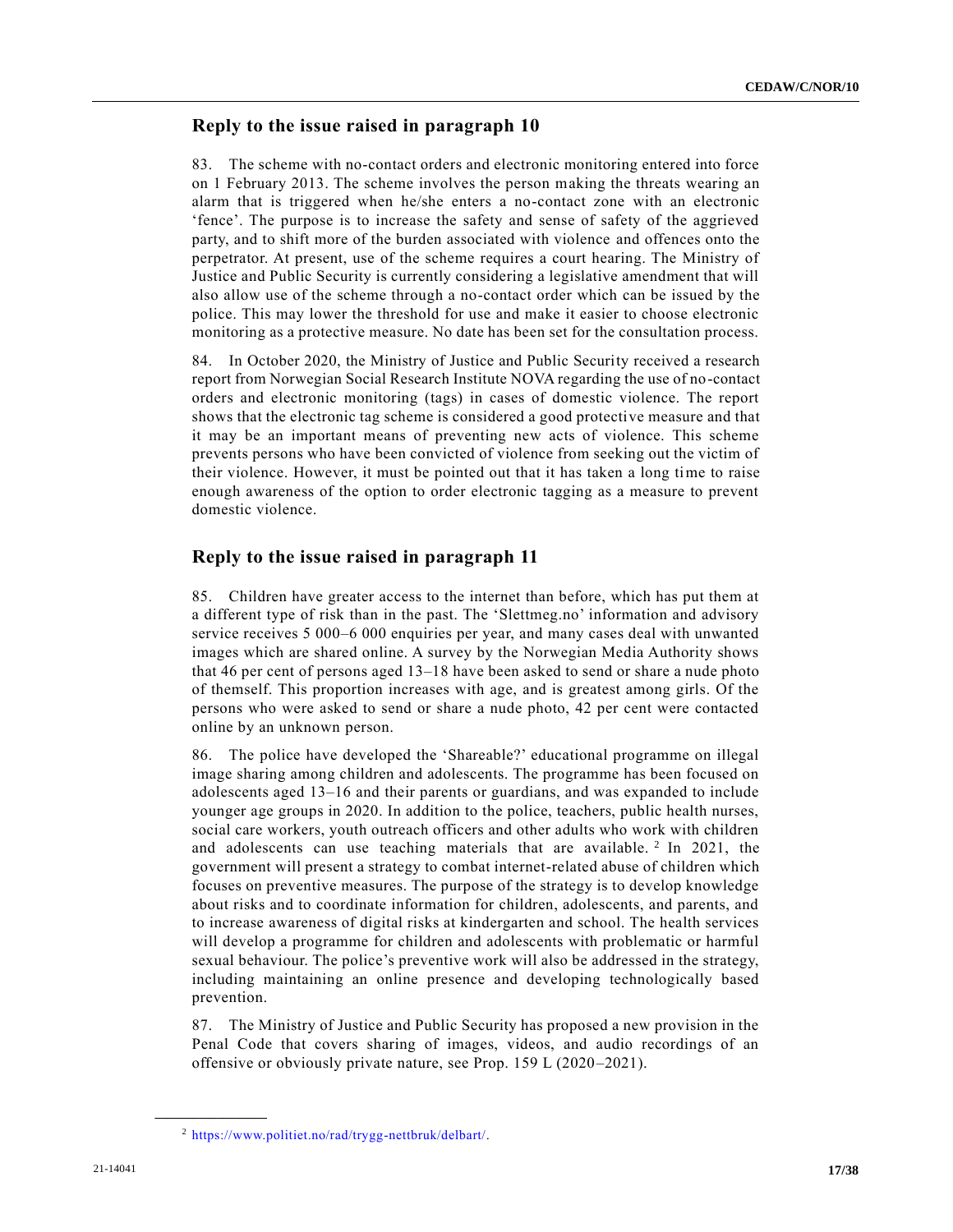## **Reply to the issue raised in paragraph 10**

83. The scheme with no-contact orders and electronic monitoring entered into force on 1 February 2013. The scheme involves the person making the threats wearing an alarm that is triggered when he/she enters a no-contact zone with an electronic 'fence'. The purpose is to increase the safety and sense of safety of the aggrieved party, and to shift more of the burden associated with violence and offences onto the perpetrator. At present, use of the scheme requires a court hearing. The Ministry of Justice and Public Security is currently considering a legislative amendment that will also allow use of the scheme through a no-contact order which can be issued by the police. This may lower the threshold for use and make it easier to choose electronic monitoring as a protective measure. No date has been set for the consultation process.

84. In October 2020, the Ministry of Justice and Public Security received a research report from Norwegian Social Research Institute NOVA regarding the use of no-contact orders and electronic monitoring (tags) in cases of domestic violence. The report shows that the electronic tag scheme is considered a good protective measure and that it may be an important means of preventing new acts of violence. This scheme prevents persons who have been convicted of violence from seeking out the victim of their violence. However, it must be pointed out that it has taken a long time to raise enough awareness of the option to order electronic tagging as a measure to prevent domestic violence.

## **Reply to the issue raised in paragraph 11**

85. Children have greater access to the internet than before, which has put them at a different type of risk than in the past. The 'Slettmeg.no' information and advisory service receives 5 000–6 000 enquiries per year, and many cases deal with unwanted images which are shared online. A survey by the Norwegian Media Authority shows that 46 per cent of persons aged 13–18 have been asked to send or share a nude photo of themself. This proportion increases with age, and is greatest among girls. Of the persons who were asked to send or share a nude photo, 42 per cent were contacted online by an unknown person.

86. The police have developed the 'Shareable?' educational programme on illegal image sharing among children and adolescents. The programme has been focused on adolescents aged 13–16 and their parents or guardians, and was expanded to include younger age groups in 2020. In addition to the police, teachers, public health nurses, social care workers, youth outreach officers and other adults who work with children and adolescents can use teaching materials that are available.  $2 \text{ In } 2021$ , the government will present a strategy to combat internet-related abuse of children which focuses on preventive measures. The purpose of the strategy is to develop knowledge about risks and to coordinate information for children, adolescents, and parents, and to increase awareness of digital risks at kindergarten and school. The health services will develop a programme for children and adolescents with problematic or harmful sexual behaviour. The police's preventive work will also be addressed in the strategy, including maintaining an online presence and developing technologically based prevention.

87. The Ministry of Justice and Public Security has proposed a new provision in the Penal Code that covers sharing of images, videos, and audio recordings of an offensive or obviously private nature, see Prop. 159 L (2020–2021).

**\_\_\_\_\_\_\_\_\_\_\_\_\_\_\_\_\_\_**

<sup>2</sup> [https://www.politiet.no/rad/trygg-nettbruk/delbart/.](https://www.politiet.no/rad/trygg-nettbruk/delbart/)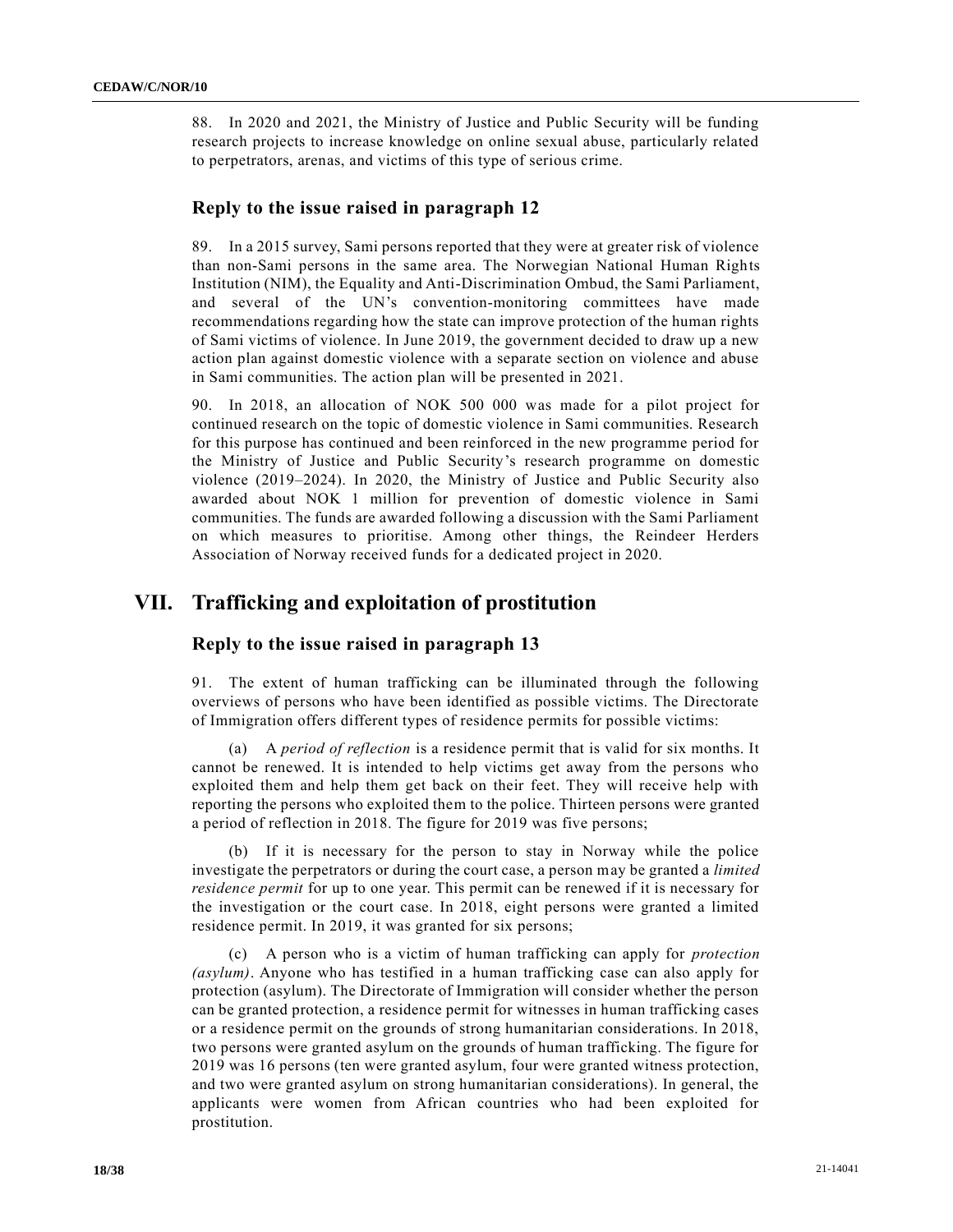88. In 2020 and 2021, the Ministry of Justice and Public Security will be funding research projects to increase knowledge on online sexual abuse, particularly related to perpetrators, arenas, and victims of this type of serious crime.

### **Reply to the issue raised in paragraph 12**

89. In a 2015 survey, Sami persons reported that they were at greater risk of violence than non-Sami persons in the same area. The Norwegian National Human Rights Institution (NIM), the Equality and Anti-Discrimination Ombud, the Sami Parliament, and several of the UN's convention-monitoring committees have made recommendations regarding how the state can improve protection of the human rights of Sami victims of violence. In June 2019, the government decided to draw up a new action plan against domestic violence with a separate section on violence and abuse in Sami communities. The action plan will be presented in 2021.

90. In 2018, an allocation of NOK 500 000 was made for a pilot project for continued research on the topic of domestic violence in Sami communities. Research for this purpose has continued and been reinforced in the new programme period for the Ministry of Justice and Public Security's research programme on domestic violence (2019–2024). In 2020, the Ministry of Justice and Public Security also awarded about NOK 1 million for prevention of domestic violence in Sami communities. The funds are awarded following a discussion with the Sami Parliament on which measures to prioritise. Among other things, the Reindeer Herders Association of Norway received funds for a dedicated project in 2020.

# **VII. Trafficking and exploitation of prostitution**

### **Reply to the issue raised in paragraph 13**

91. The extent of human trafficking can be illuminated through the following overviews of persons who have been identified as possible victims. The Directorate of Immigration offers different types of residence permits for possible victims:

(a) A *period of reflection* is a residence permit that is valid for six months. It cannot be renewed. It is intended to help victims get away from the persons who exploited them and help them get back on their feet. They will receive help with reporting the persons who exploited them to the police. Thirteen persons were granted a period of reflection in 2018. The figure for 2019 was five persons;

(b) If it is necessary for the person to stay in Norway while the police investigate the perpetrators or during the court case, a person may be granted a *limited residence permit* for up to one year. This permit can be renewed if it is necessary for the investigation or the court case. In 2018, eight persons were granted a limited residence permit. In 2019, it was granted for six persons;

(c) A person who is a victim of human trafficking can apply for *protection (asylum)*. Anyone who has testified in a human trafficking case can also apply for protection (asylum). The Directorate of Immigration will consider whether the person can be granted protection, a residence permit for witnesses in human trafficking cases or a residence permit on the grounds of strong humanitarian considerations. In 2018, two persons were granted asylum on the grounds of human trafficking. The figure for 2019 was 16 persons (ten were granted asylum, four were granted witness protection, and two were granted asylum on strong humanitarian considerations). In general, the applicants were women from African countries who had been exploited for prostitution.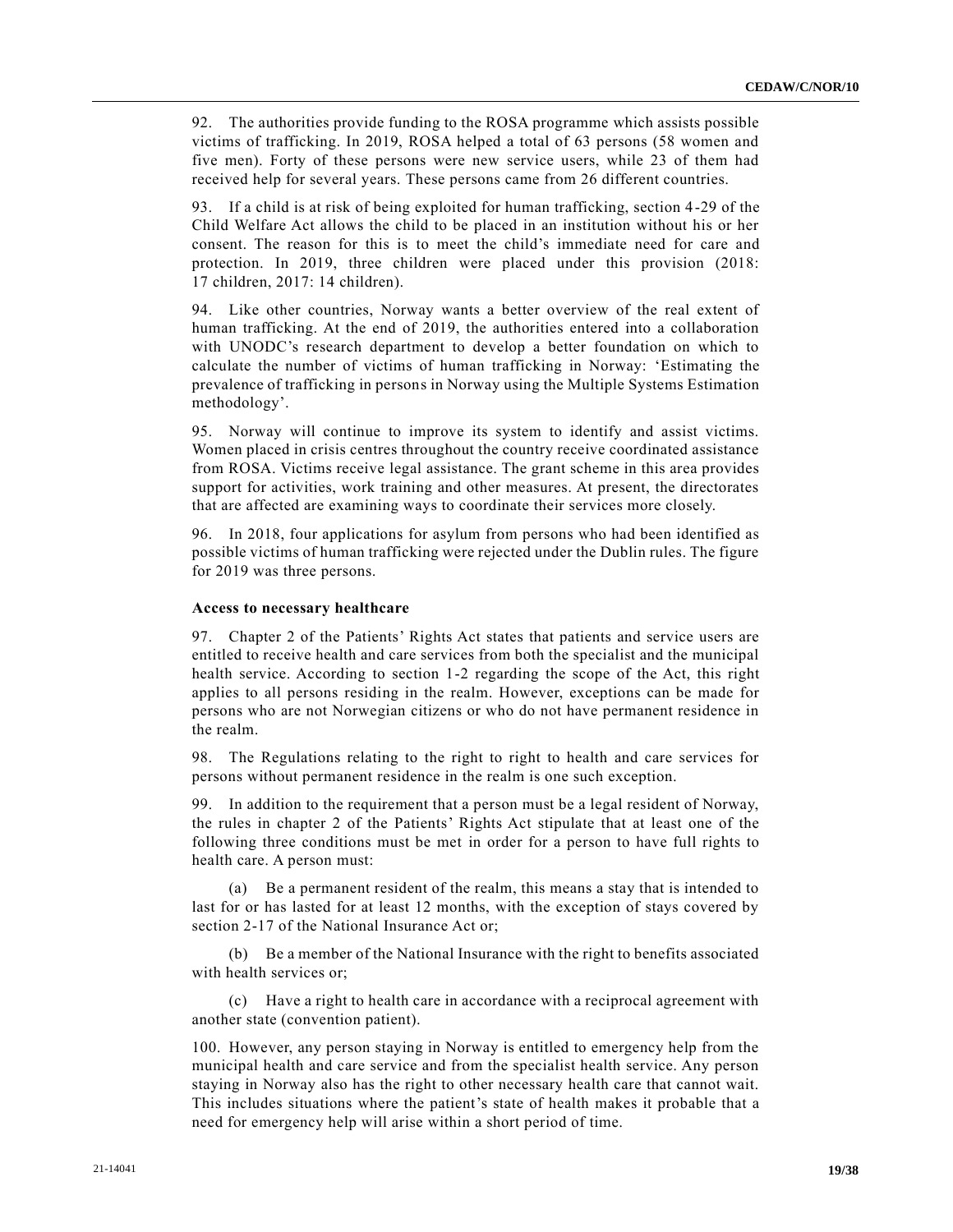92. The authorities provide funding to the ROSA programme which assists possible victims of trafficking. In 2019, ROSA helped a total of 63 persons (58 women and five men). Forty of these persons were new service users, while 23 of them had received help for several years. These persons came from 26 different countries.

93. If a child is at risk of being exploited for human trafficking, section 4-29 of the Child Welfare Act allows the child to be placed in an institution without his or her consent. The reason for this is to meet the child's immediate need for care and protection. In 2019, three children were placed under this provision (2018: 17 children, 2017: 14 children).

94. Like other countries, Norway wants a better overview of the real extent of human trafficking. At the end of 2019, the authorities entered into a collaboration with UNODC's research department to develop a better foundation on which to calculate the number of victims of human trafficking in Norway: 'Estimating the prevalence of trafficking in persons in Norway using the Multiple Systems Estimation methodology'.

95. Norway will continue to improve its system to identify and assist victims. Women placed in crisis centres throughout the country receive coordinated assistance from ROSA. Victims receive legal assistance. The grant scheme in this area provides support for activities, work training and other measures. At present, the directorates that are affected are examining ways to coordinate their services more closely.

96. In 2018, four applications for asylum from persons who had been identified as possible victims of human trafficking were rejected under the Dublin rules. The figure for 2019 was three persons.

#### **Access to necessary healthcare**

97. Chapter 2 of the Patients' Rights Act states that patients and service users are entitled to receive health and care services from both the specialist and the municipal health service. According to section 1-2 regarding the scope of the Act, this right applies to all persons residing in the realm. However, exceptions can be made for persons who are not Norwegian citizens or who do not have permanent residence in the realm.

98. The Regulations relating to the right to right to health and care services for persons without permanent residence in the realm is one such exception.

99. In addition to the requirement that a person must be a legal resident of Norway, the rules in chapter 2 of the Patients' Rights Act stipulate that at least one of the following three conditions must be met in order for a person to have full rights to health care. A person must:

(a) Be a permanent resident of the realm, this means a stay that is intended to last for or has lasted for at least 12 months, with the exception of stays covered by section 2-17 of the National Insurance Act or;

(b) Be a member of the National Insurance with the right to benefits associated with health services or;

(c) Have a right to health care in accordance with a reciprocal agreement with another state (convention patient).

100. However, any person staying in Norway is entitled to emergency help from the municipal health and care service and from the specialist health service. Any person staying in Norway also has the right to other necessary health care that cannot wait. This includes situations where the patient's state of health makes it probable that a need for emergency help will arise within a short period of time.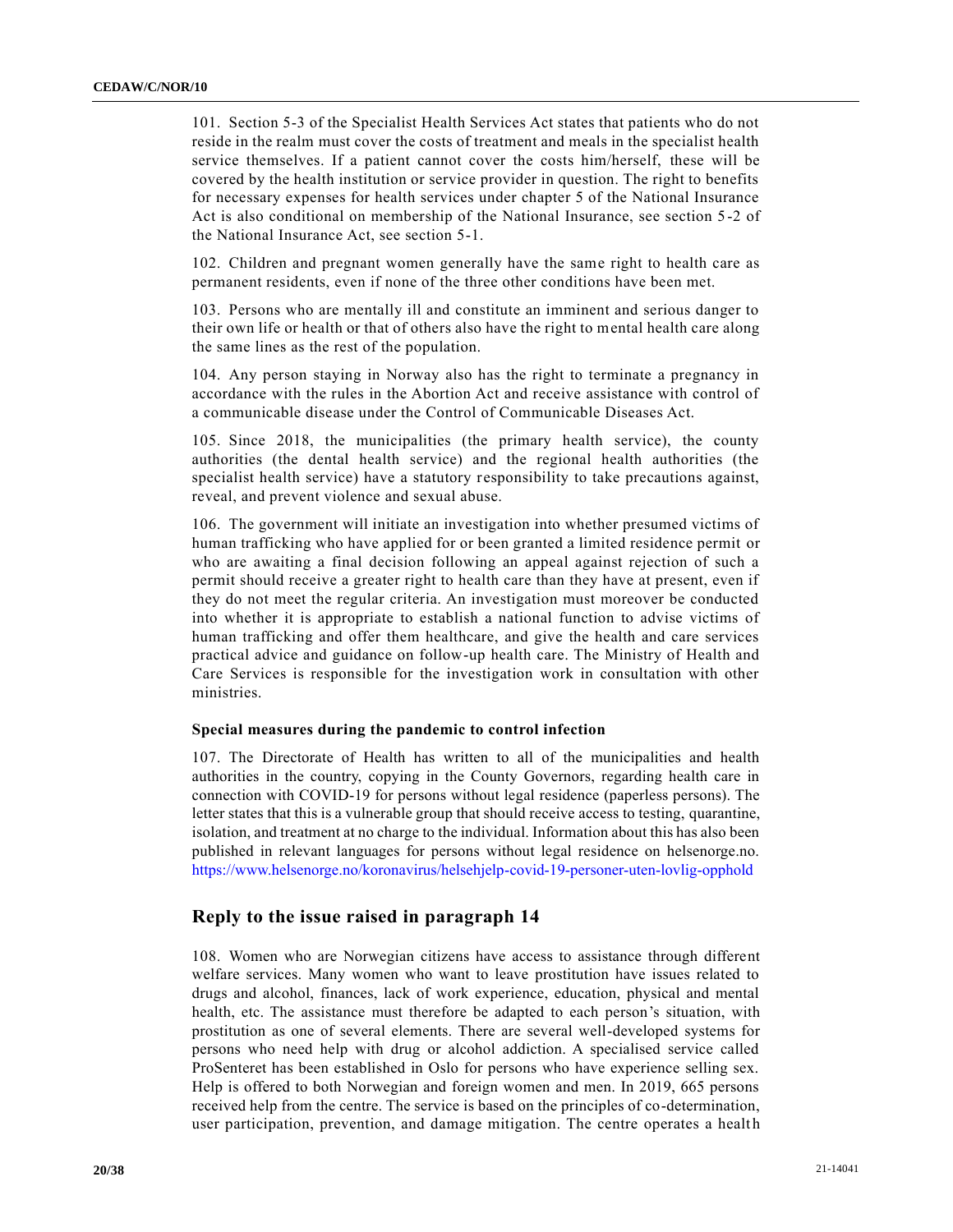101. Section 5-3 of the Specialist Health Services Act states that patients who do not reside in the realm must cover the costs of treatment and meals in the specialist health service themselves. If a patient cannot cover the costs him/herself, these will be covered by the health institution or service provider in question. The right to benefits for necessary expenses for health services under chapter 5 of the National Insurance Act is also conditional on membership of the National Insurance, see section 5 -2 of the National Insurance Act, see section 5-1.

102. Children and pregnant women generally have the same right to health care as permanent residents, even if none of the three other conditions have been met.

103. Persons who are mentally ill and constitute an imminent and serious danger to their own life or health or that of others also have the right to mental health care along the same lines as the rest of the population.

104. Any person staying in Norway also has the right to terminate a pregnancy in accordance with the rules in the Abortion Act and receive assistance with control of a communicable disease under the Control of Communicable Diseases Act.

105. Since 2018, the municipalities (the primary health service), the county authorities (the dental health service) and the regional health authorities (the specialist health service) have a statutory responsibility to take precautions against, reveal, and prevent violence and sexual abuse.

106. The government will initiate an investigation into whether presumed victims of human trafficking who have applied for or been granted a limited residence permit or who are awaiting a final decision following an appeal against rejection of such a permit should receive a greater right to health care than they have at present, even if they do not meet the regular criteria. An investigation must moreover be conducted into whether it is appropriate to establish a national function to advise victims of human trafficking and offer them healthcare, and give the health and care services practical advice and guidance on follow-up health care. The Ministry of Health and Care Services is responsible for the investigation work in consultation with other ministries.

#### **Special measures during the pandemic to control infection**

107. The Directorate of Health has written to all of the municipalities and health authorities in the country, copying in the County Governors, regarding health care in connection with COVID-19 for persons without legal residence (paperless persons). The letter states that this is a vulnerable group that should receive access to testing, quarantine, isolation, and treatment at no charge to the individual. Information about this has also been published in relevant languages for persons without legal residence on helsenorge.no. <https://www.helsenorge.no/koronavirus/helsehjelp-covid-19-personer-uten-lovlig-opphold>

### **Reply to the issue raised in paragraph 14**

108. Women who are Norwegian citizens have access to assistance through different welfare services. Many women who want to leave prostitution have issues related to drugs and alcohol, finances, lack of work experience, education, physical and mental health, etc. The assistance must therefore be adapted to each person's situation, with prostitution as one of several elements. There are several well-developed systems for persons who need help with drug or alcohol addiction. A specialised service called ProSenteret has been established in Oslo for persons who have experience selling sex. Help is offered to both Norwegian and foreign women and men. In 2019, 665 persons received help from the centre. The service is based on the principles of co-determination, user participation, prevention, and damage mitigation. The centre operates a health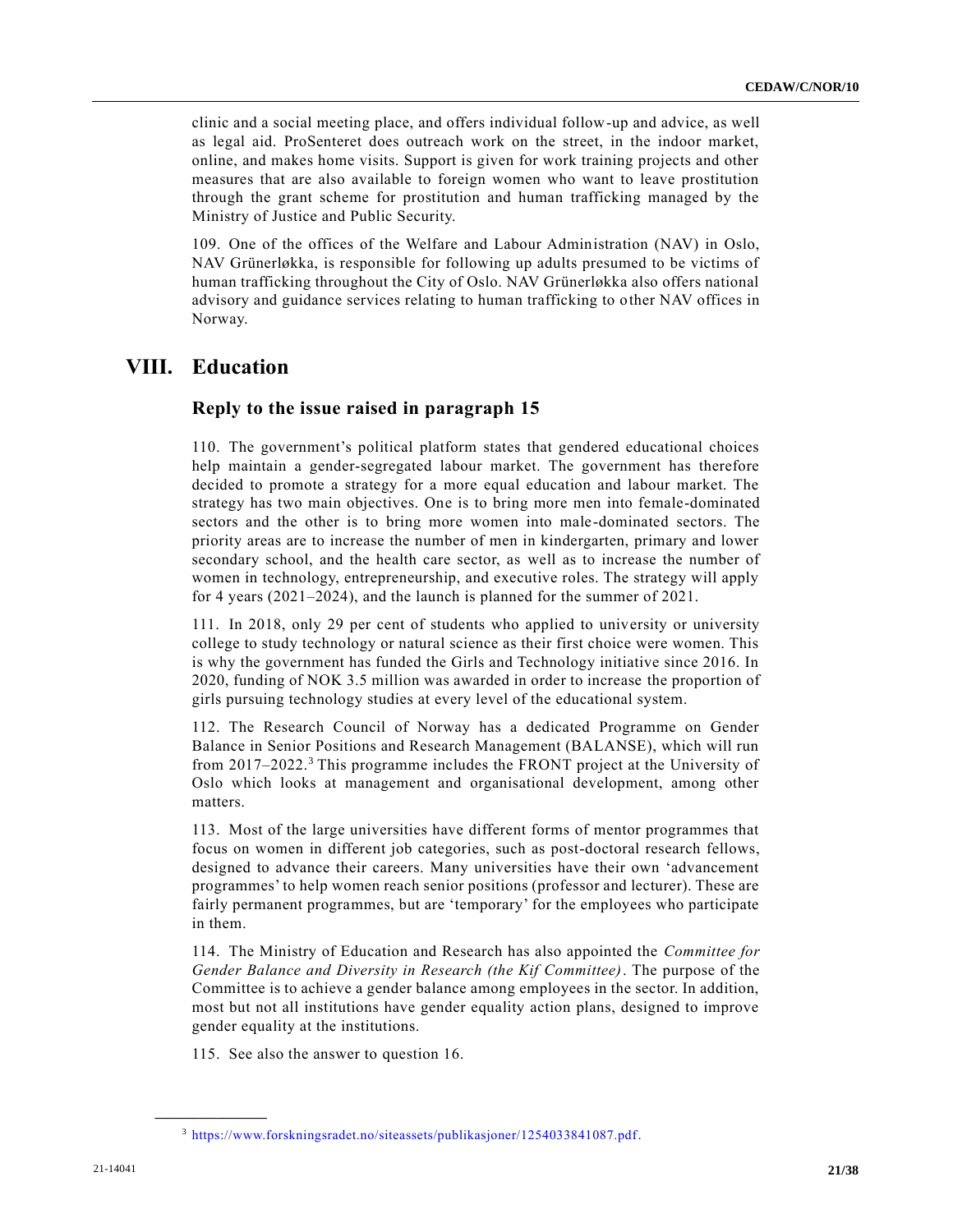clinic and a social meeting place, and offers individual follow-up and advice, as well as legal aid. ProSenteret does outreach work on the street, in the indoor market, online, and makes home visits. Support is given for work training projects and other measures that are also available to foreign women who want to leave prostitution through the grant scheme for prostitution and human trafficking managed by the Ministry of Justice and Public Security.

109. One of the offices of the Welfare and Labour Administration (NAV) in Oslo, NAV Grünerløkka, is responsible for following up adults presumed to be victims of human trafficking throughout the City of Oslo. NAV Grünerløkka also offers national advisory and guidance services relating to human trafficking to other NAV offices in Norway.

# **VIII. Education**

### **Reply to the issue raised in paragraph 15**

110. The government's political platform states that gendered educational choices help maintain a gender-segregated labour market. The government has therefore decided to promote a strategy for a more equal education and labour market. The strategy has two main objectives. One is to bring more men into female-dominated sectors and the other is to bring more women into male-dominated sectors. The priority areas are to increase the number of men in kindergarten, primary and lower secondary school, and the health care sector, as well as to increase the number of women in technology, entrepreneurship, and executive roles. The strategy will apply for 4 years (2021–2024), and the launch is planned for the summer of 2021.

111. In 2018, only 29 per cent of students who applied to university or university college to study technology or natural science as their first choice were women. This is why the government has funded the Girls and Technology initiative since 2016. In 2020, funding of NOK 3.5 million was awarded in order to increase the proportion of girls pursuing technology studies at every level of the educational system.

112. The Research Council of Norway has a dedicated Programme on Gender Balance in Senior Positions and Research Management (BALANSE), which will run from 2017–2022.<sup>3</sup> This programme includes the FRONT project at the University of Oslo which looks at management and organisational development, among other matters.

113. Most of the large universities have different forms of mentor programmes that focus on women in different job categories, such as post-doctoral research fellows, designed to advance their careers. Many universities have their own 'advancement programmes' to help women reach senior positions (professor and lecturer). These are fairly permanent programmes, but are 'temporary' for the employees who participate in them.

114. The Ministry of Education and Research has also appointed the *Committee for Gender Balance and Diversity in Research (the Kif Committee)*. The purpose of the Committee is to achieve a gender balance among employees in the sector. In addition, most but not all institutions have gender equality action plans, designed to improve gender equality at the institutions.

115. See also the answer to question 16.

**\_\_\_\_\_\_\_\_\_\_\_\_\_\_\_\_\_\_**

<sup>3</sup> [https://www.forskningsradet.no/siteassets/publikasjoner/1254033841087.pdf.](https://www.forskningsradet.no/siteassets/publikasjoner/1254033841087.pdf)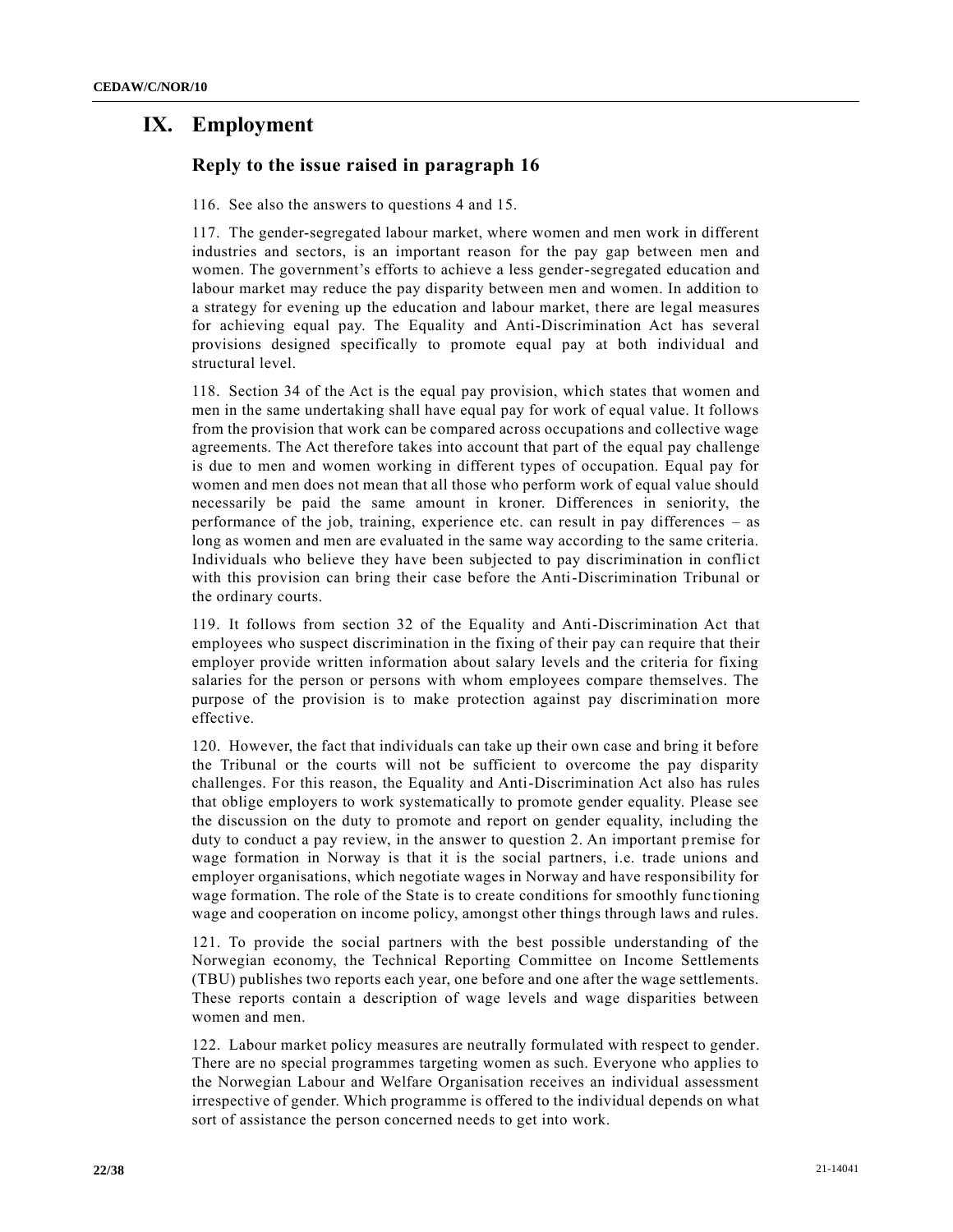# **IX. Employment**

# **Reply to the issue raised in paragraph 16**

116. See also the answers to questions 4 and 15.

117. The gender-segregated labour market, where women and men work in different industries and sectors, is an important reason for the pay gap between men and women. The government's efforts to achieve a less gender-segregated education and labour market may reduce the pay disparity between men and women. In addition to a strategy for evening up the education and labour market, there are legal measures for achieving equal pay. The Equality and Anti-Discrimination Act has several provisions designed specifically to promote equal pay at both individual and structural level.

118. Section 34 of the Act is the equal pay provision, which states that women and men in the same undertaking shall have equal pay for work of equal value. It follows from the provision that work can be compared across occupations and collective wage agreements. The Act therefore takes into account that part of the equal pay challenge is due to men and women working in different types of occupation. Equal pay for women and men does not mean that all those who perform work of equal value should necessarily be paid the same amount in kroner. Differences in seniority, the performance of the job, training, experience etc. can result in pay differences – as long as women and men are evaluated in the same way according to the same criteria. Individuals who believe they have been subjected to pay discrimination in conflict with this provision can bring their case before the Anti-Discrimination Tribunal or the ordinary courts.

119. It follows from section 32 of the Equality and Anti-Discrimination Act that employees who suspect discrimination in the fixing of their pay can require that their employer provide written information about salary levels and the criteria for fixing salaries for the person or persons with whom employees compare themselves. The purpose of the provision is to make protection against pay discrimination more effective.

120. However, the fact that individuals can take up their own case and bring it before the Tribunal or the courts will not be sufficient to overcome the pay disparity challenges. For this reason, the Equality and Anti-Discrimination Act also has rules that oblige employers to work systematically to promote gender equality. Please see the discussion on the duty to promote and report on gender equality, including the duty to conduct a pay review, in the answer to question 2. An important premise for wage formation in Norway is that it is the social partners, i.e. trade unions and employer organisations, which negotiate wages in Norway and have responsibility for wage formation. The role of the State is to create conditions for smoothly functioning wage and cooperation on income policy, amongst other things through laws and rules.

121. To provide the social partners with the best possible understanding of the Norwegian economy, the Technical Reporting Committee on Income Settlements (TBU) publishes two reports each year, one before and one after the wage settlements. These reports contain a description of wage levels and wage disparities between women and men.

122. Labour market policy measures are neutrally formulated with respect to gender. There are no special programmes targeting women as such. Everyone who applies to the Norwegian Labour and Welfare Organisation receives an individual assessment irrespective of gender. Which programme is offered to the individual depends on what sort of assistance the person concerned needs to get into work.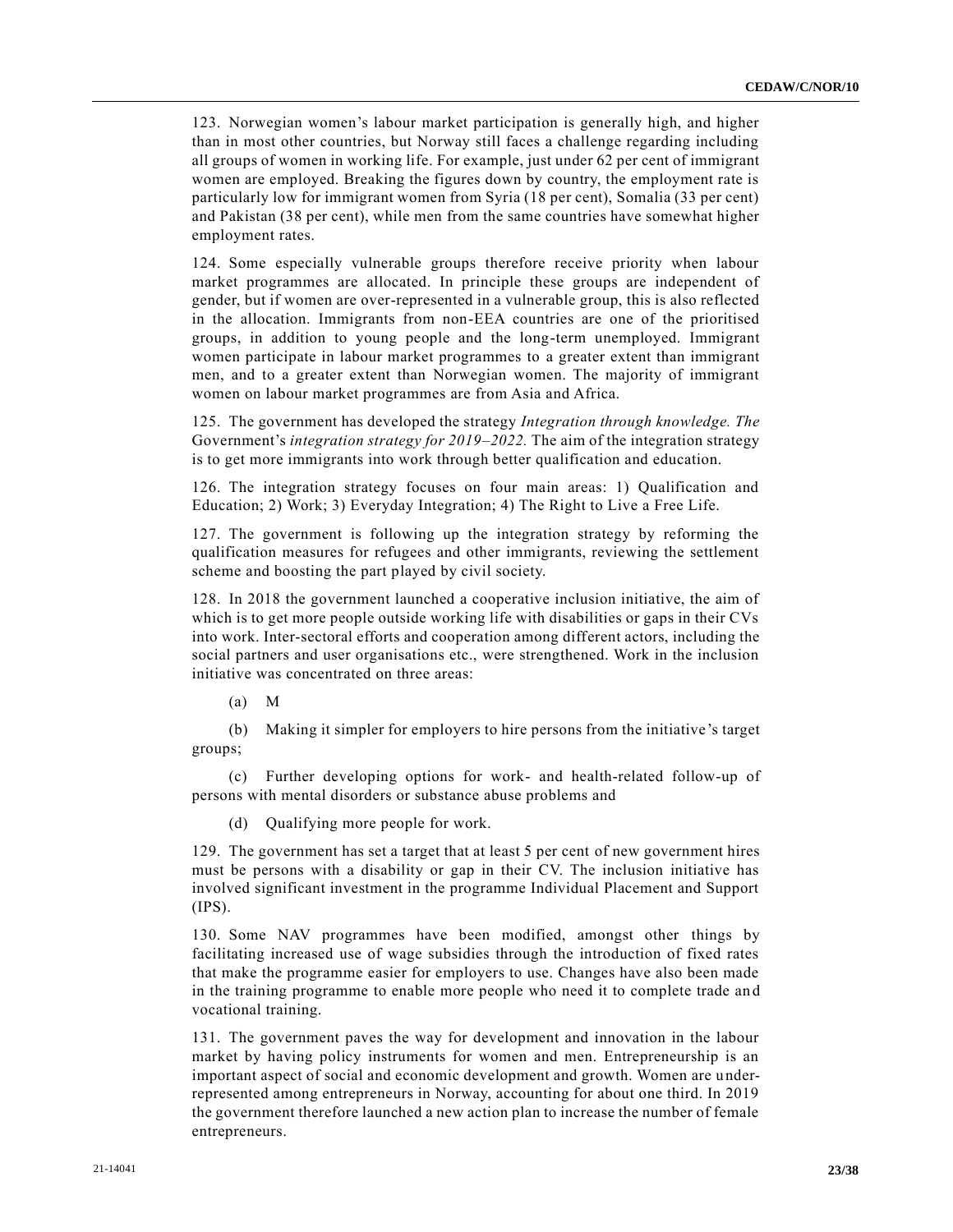123. Norwegian women's labour market participation is generally high, and higher than in most other countries, but Norway still faces a challenge regarding including all groups of women in working life. For example, just under 62 per cent of immigrant women are employed. Breaking the figures down by country, the employment rate is particularly low for immigrant women from Syria (18 per cent), Somalia (33 per cent) and Pakistan (38 per cent), while men from the same countries have somewhat higher employment rates.

124. Some especially vulnerable groups therefore receive priority when labour market programmes are allocated. In principle these groups are independent of gender, but if women are over-represented in a vulnerable group, this is also reflected in the allocation. Immigrants from non-EEA countries are one of the prioritised groups, in addition to young people and the long-term unemployed. Immigrant women participate in labour market programmes to a greater extent than immigrant men, and to a greater extent than Norwegian women. The majority of immigrant women on labour market programmes are from Asia and Africa.

125. The government has developed the strategy *Integration through knowledge. The* Government's *integration strategy for 2019–2022.* The aim of the integration strategy is to get more immigrants into work through better qualification and education.

126. The integration strategy focuses on four main areas: 1) Qualification and Education; 2) Work; 3) Everyday Integration; 4) The Right to Live a Free Life.

127. The government is following up the integration strategy by reforming the qualification measures for refugees and other immigrants, reviewing the settlement scheme and boosting the part played by civil society.

128. In 2018 the government launched a cooperative inclusion initiative, the aim of which is to get more people outside working life with disabilities or gaps in their CVs into work. Inter-sectoral efforts and cooperation among different actors, including the social partners and user organisations etc., were strengthened. Work in the inclusion initiative was concentrated on three areas:

(a) M

(b) Making it simpler for employers to hire persons from the initiative's target groups;

(c) Further developing options for work- and health-related follow-up of persons with mental disorders or substance abuse problems and

(d) Qualifying more people for work.

129. The government has set a target that at least 5 per cent of new government hires must be persons with a disability or gap in their CV. The inclusion initiative has involved significant investment in the programme Individual Placement and Support (IPS).

130. Some NAV programmes have been modified, amongst other things by facilitating increased use of wage subsidies through the introduction of fixed rates that make the programme easier for employers to use. Changes have also been made in the training programme to enable more people who need it to complete trade an d vocational training.

131. The government paves the way for development and innovation in the labour market by having policy instruments for women and men. Entrepreneurship is an important aspect of social and economic development and growth. Women are u nderrepresented among entrepreneurs in Norway, accounting for about one third. In 2019 the government therefore launched a new action plan to increase the number of female entrepreneurs.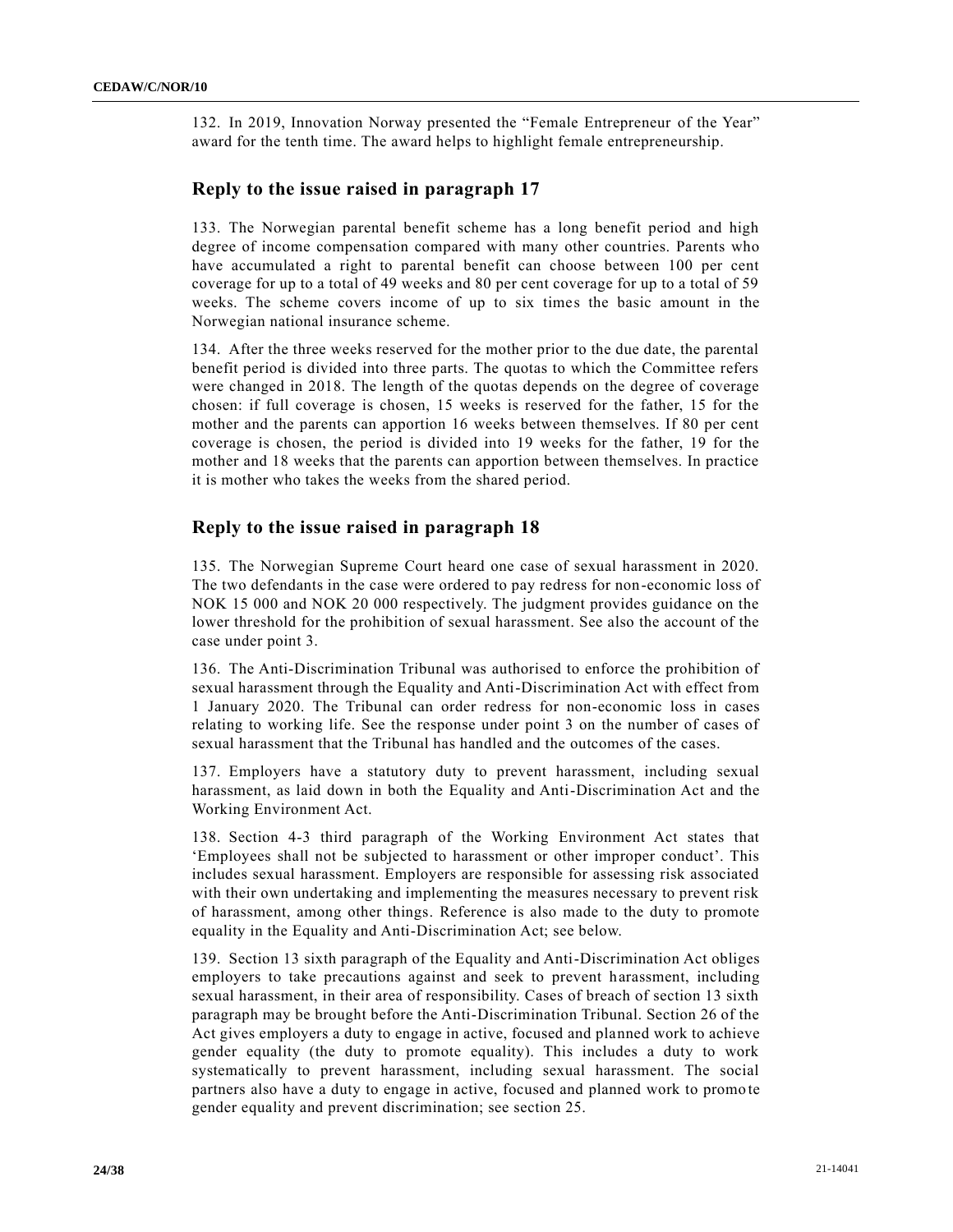132. In 2019, Innovation Norway presented the "Female Entrepreneur of the Year" award for the tenth time. The award helps to highlight female entrepreneurship.

### **Reply to the issue raised in paragraph 17**

133. The Norwegian parental benefit scheme has a long benefit period and high degree of income compensation compared with many other countries. Parents who have accumulated a right to parental benefit can choose between 100 per cent coverage for up to a total of 49 weeks and 80 per cent coverage for up to a total of 59 weeks. The scheme covers income of up to six times the basic amount in the Norwegian national insurance scheme.

134. After the three weeks reserved for the mother prior to the due date, the parental benefit period is divided into three parts. The quotas to which the Committee refers were changed in 2018. The length of the quotas depends on the degree of coverage chosen: if full coverage is chosen, 15 weeks is reserved for the father, 15 for the mother and the parents can apportion 16 weeks between themselves. If 80 per cent coverage is chosen, the period is divided into 19 weeks for the father, 19 for the mother and 18 weeks that the parents can apportion between themselves. In practice it is mother who takes the weeks from the shared period.

### **Reply to the issue raised in paragraph 18**

135. The Norwegian Supreme Court heard one case of sexual harassment in 2020. The two defendants in the case were ordered to pay redress for non-economic loss of NOK 15 000 and NOK 20 000 respectively. The judgment provides guidance on the lower threshold for the prohibition of sexual harassment. See also the account of the case under point 3.

136. The Anti-Discrimination Tribunal was authorised to enforce the prohibition of sexual harassment through the Equality and Anti-Discrimination Act with effect from 1 January 2020. The Tribunal can order redress for non-economic loss in cases relating to working life. See the response under point 3 on the number of cases of sexual harassment that the Tribunal has handled and the outcomes of the cases.

137. Employers have a statutory duty to prevent harassment, including sexual harassment, as laid down in both the Equality and Anti-Discrimination Act and the Working Environment Act.

138. Section 4-3 third paragraph of the Working Environment Act states that 'Employees shall not be subjected to harassment or other improper conduct'. This includes sexual harassment. Employers are responsible for assessing risk associated with their own undertaking and implementing the measures necessary to prevent risk of harassment, among other things. Reference is also made to the duty to promote equality in the Equality and Anti-Discrimination Act; see below.

139. Section 13 sixth paragraph of the Equality and Anti-Discrimination Act obliges employers to take precautions against and seek to prevent harassment, including sexual harassment, in their area of responsibility. Cases of breach of section 13 sixth paragraph may be brought before the Anti-Discrimination Tribunal. Section 26 of the Act gives employers a duty to engage in active, focused and planned work to achieve gender equality (the duty to promote equality). This includes a duty to work systematically to prevent harassment, including sexual harassment. The social partners also have a duty to engage in active, focused and planned work to promo te gender equality and prevent discrimination; see section 25.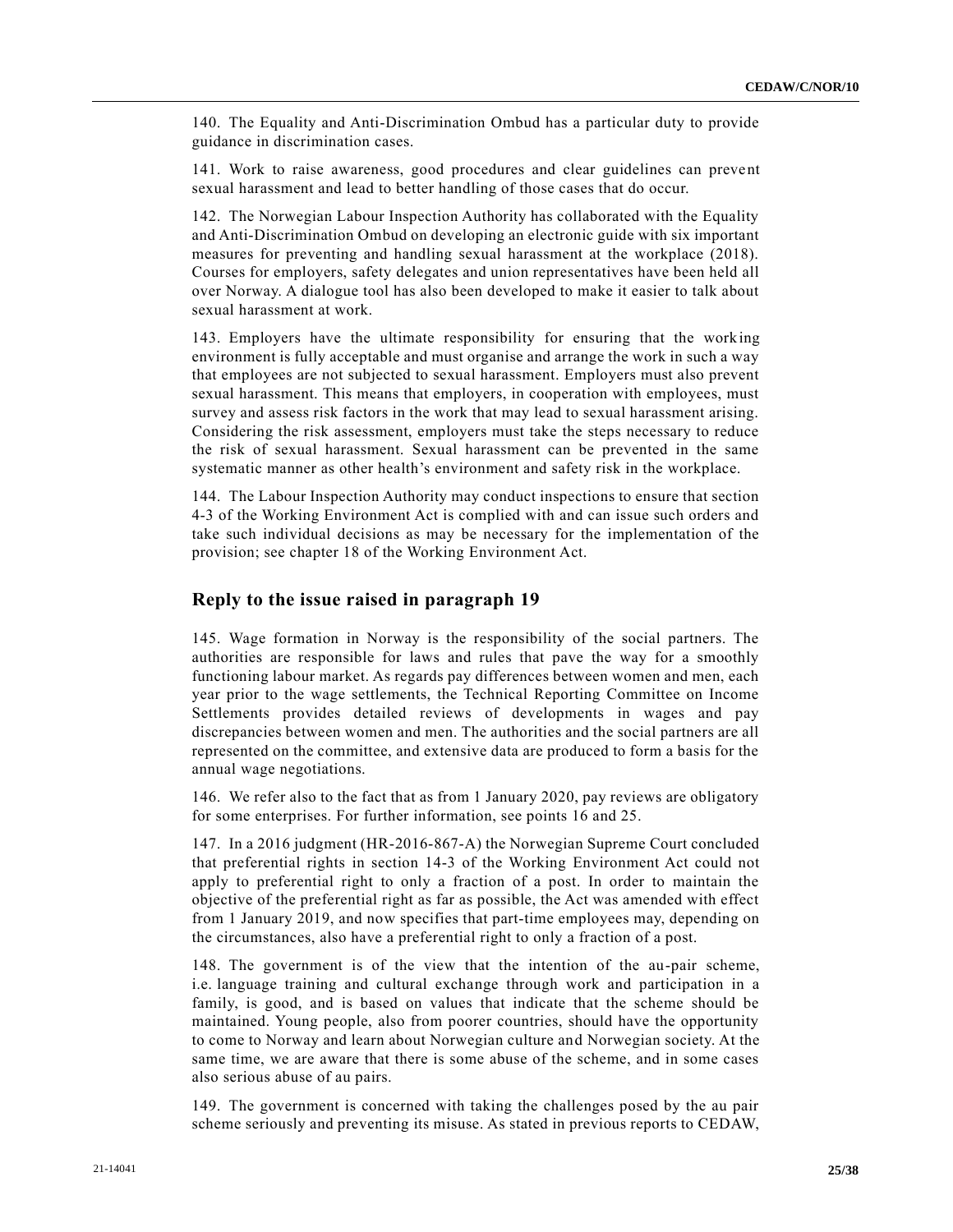140. The Equality and Anti-Discrimination Ombud has a particular duty to provide guidance in discrimination cases.

141. Work to raise awareness, good procedures and clear guidelines can prevent sexual harassment and lead to better handling of those cases that do occur.

142. The Norwegian Labour Inspection Authority has collaborated with the Equality and Anti-Discrimination Ombud on developing an electronic guide with six important measures for preventing and handling sexual harassment at the workplace (2018). Courses for employers, safety delegates and union representatives have been held all over Norway. A dialogue tool has also been developed to make it easier to talk about sexual harassment at work.

143. Employers have the ultimate responsibility for ensuring that the working environment is fully acceptable and must organise and arrange the work in such a way that employees are not subjected to sexual harassment. Employers must also prevent sexual harassment. This means that employers, in cooperation with employees, must survey and assess risk factors in the work that may lead to sexual harassment arising. Considering the risk assessment, employers must take the steps necessary to reduce the risk of sexual harassment. Sexual harassment can be prevented in the same systematic manner as other health's environment and safety risk in the workplace.

144. The Labour Inspection Authority may conduct inspections to ensure that section 4-3 of the Working Environment Act is complied with and can issue such orders and take such individual decisions as may be necessary for the implementation of the provision; see chapter 18 of the Working Environment Act.

### **Reply to the issue raised in paragraph 19**

145. Wage formation in Norway is the responsibility of the social partners. The authorities are responsible for laws and rules that pave the way for a smoothly functioning labour market. As regards pay differences between women and men, each year prior to the wage settlements, the Technical Reporting Committee on Income Settlements provides detailed reviews of developments in wages and pay discrepancies between women and men. The authorities and the social partners are all represented on the committee, and extensive data are produced to form a basis for the annual wage negotiations.

146. We refer also to the fact that as from 1 January 2020, pay reviews are obligatory for some enterprises. For further information, see points 16 and 25.

147. In a 2016 judgment (HR-2016-867-A) the Norwegian Supreme Court concluded that preferential rights in section 14-3 of the Working Environment Act could not apply to preferential right to only a fraction of a post. In order to maintain the objective of the preferential right as far as possible, the Act was amended with effect from 1 January 2019, and now specifies that part-time employees may, depending on the circumstances, also have a preferential right to only a fraction of a post.

148. The government is of the view that the intention of the au-pair scheme, i.e. language training and cultural exchange through work and participation in a family, is good, and is based on values that indicate that the scheme should be maintained. Young people, also from poorer countries, should have the opportunity to come to Norway and learn about Norwegian culture and Norwegian society. At the same time, we are aware that there is some abuse of the scheme, and in some cases also serious abuse of au pairs.

149. The government is concerned with taking the challenges posed by the au pair scheme seriously and preventing its misuse. As stated in previous reports to CEDAW,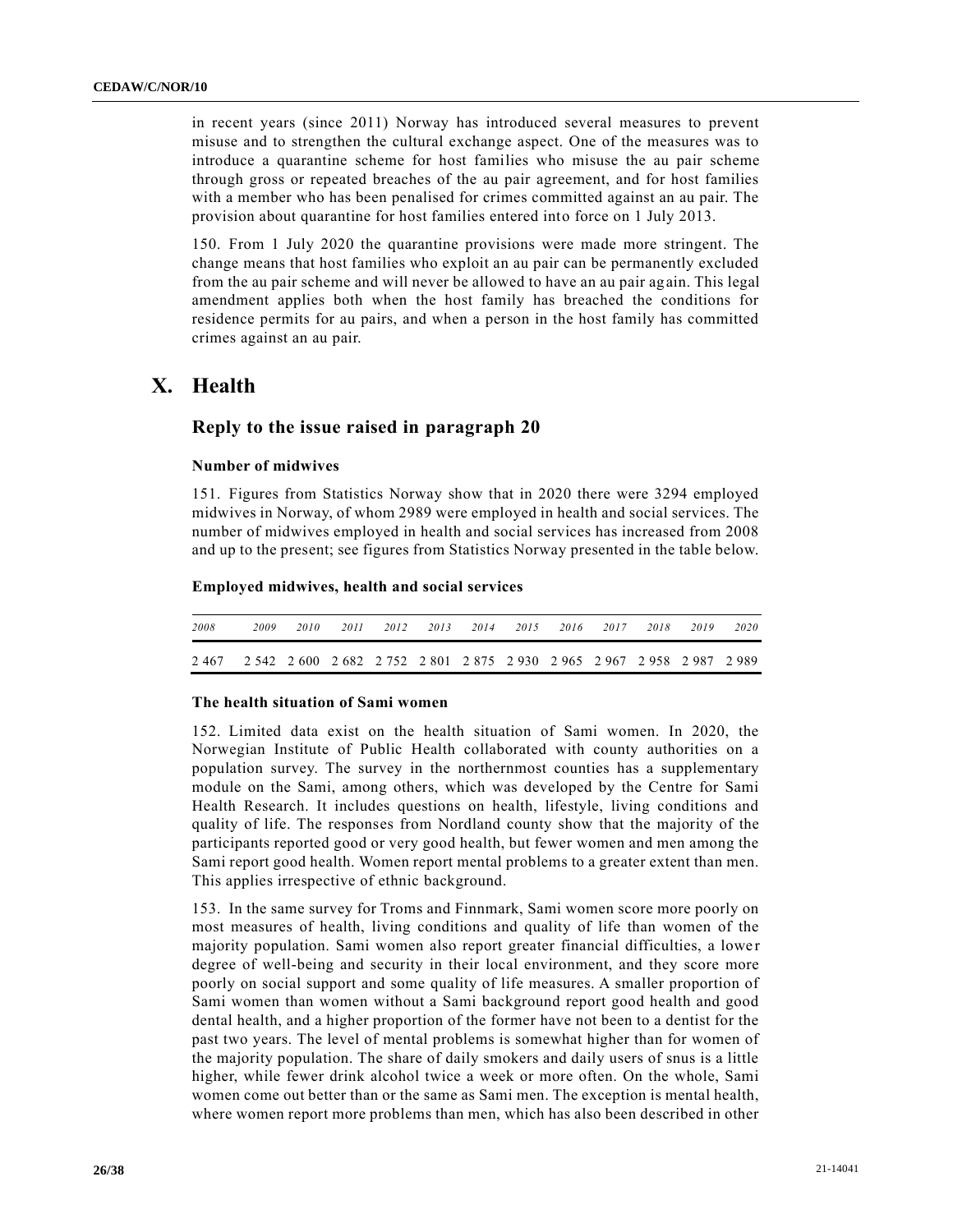in recent years (since 2011) Norway has introduced several measures to prevent misuse and to strengthen the cultural exchange aspect. One of the measures was to introduce a quarantine scheme for host families who misuse the au pair scheme through gross or repeated breaches of the au pair agreement, and for host families with a member who has been penalised for crimes committed against an au pair. The provision about quarantine for host families entered into force on 1 July 2013.

150. From 1 July 2020 the quarantine provisions were made more stringent. The change means that host families who exploit an au pair can be permanently excluded from the au pair scheme and will never be allowed to have an au pair again. This legal amendment applies both when the host family has breached the conditions for residence permits for au pairs, and when a person in the host family has committed crimes against an au pair.

# **X. Health**

### **Reply to the issue raised in paragraph 20**

#### **Number of midwives**

151. Figures from Statistics Norway show that in 2020 there were 3294 employed midwives in Norway, of whom 2989 were employed in health and social services. The number of midwives employed in health and social services has increased from 2008 and up to the present; see figures from Statistics Norway presented in the table below.

#### **Employed midwives, health and social services**

| 2008                                                                          | 2009 | 2010 |  | 2011 2012 2013 2014 2015 2016 2017 |  | 2018 | 2019 | 2020 |
|-------------------------------------------------------------------------------|------|------|--|------------------------------------|--|------|------|------|
| 2 467 2 542 2 600 2 682 2 752 2 801 2 875 2 930 2 965 2 967 2 958 2 987 2 989 |      |      |  |                                    |  |      |      |      |

### **The health situation of Sami women**

152. Limited data exist on the health situation of Sami women. In 2020, the Norwegian Institute of Public Health collaborated with county authorities on a population survey. The survey in the northernmost counties has a supplementary module on the Sami, among others, which was developed by the Centre for Sami Health Research. It includes questions on health, lifestyle, living conditions and quality of life. The responses from Nordland county show that the majority of the participants reported good or very good health, but fewer women and men among the Sami report good health. Women report mental problems to a greater extent than men. This applies irrespective of ethnic background.

153. In the same survey for Troms and Finnmark, Sami women score more poorly on most measures of health, living conditions and quality of life than women of the majority population. Sami women also report greater financial difficulties, a lowe r degree of well-being and security in their local environment, and they score more poorly on social support and some quality of life measures. A smaller proportion of Sami women than women without a Sami background report good health and good dental health, and a higher proportion of the former have not been to a dentist for the past two years. The level of mental problems is somewhat higher than for women of the majority population. The share of daily smokers and daily users of snus is a little higher, while fewer drink alcohol twice a week or more often. On the whole, Sami women come out better than or the same as Sami men. The exception is mental health, where women report more problems than men, which has also been described in other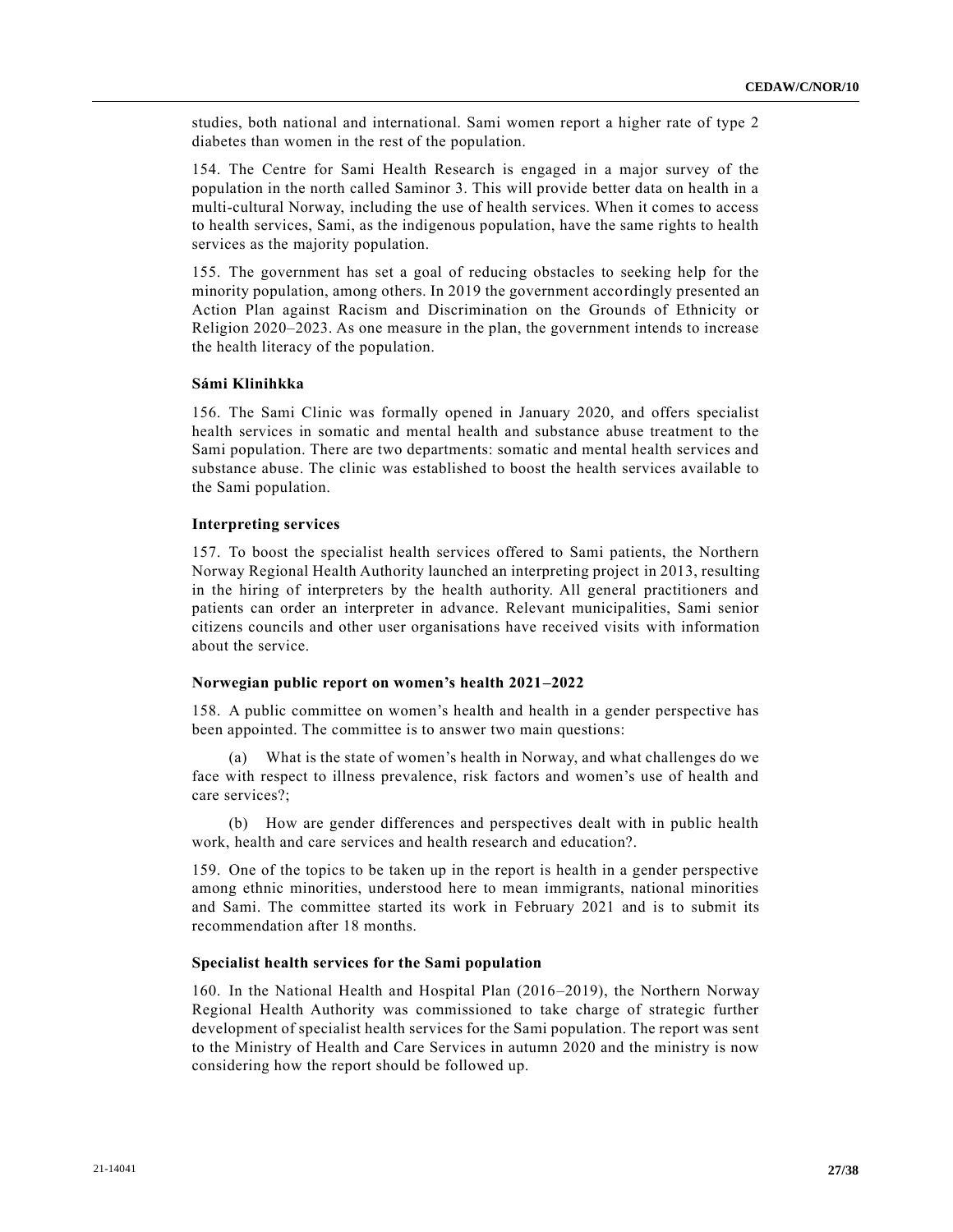studies, both national and international. Sami women report a higher rate of type 2 diabetes than women in the rest of the population.

154. The Centre for Sami Health Research is engaged in a major survey of the population in the north called Saminor 3. This will provide better data on health in a multi-cultural Norway, including the use of health services. When it comes to access to health services, Sami, as the indigenous population, have the same rights to health services as the majority population.

155. The government has set a goal of reducing obstacles to seeking help for the minority population, among others. In 2019 the government accordingly presented an Action Plan against Racism and Discrimination on the Grounds of Ethnicity or Religion 2020–2023. As one measure in the plan, the government intends to increase the health literacy of the population.

### **Sámi Klinihkka**

156. The Sami Clinic was formally opened in January 2020, and offers specialist health services in somatic and mental health and substance abuse treatment to the Sami population. There are two departments: somatic and mental health services and substance abuse. The clinic was established to boost the health services available to the Sami population.

#### **Interpreting services**

157. To boost the specialist health services offered to Sami patients, the Northern Norway Regional Health Authority launched an interpreting project in 2013, resulting in the hiring of interpreters by the health authority. All general practitioners and patients can order an interpreter in advance. Relevant municipalities, Sami senior citizens councils and other user organisations have received visits with information about the service.

#### **Norwegian public report on women's health 2021–2022**

158. A public committee on women's health and health in a gender perspective has been appointed. The committee is to answer two main questions:

(a) What is the state of women's health in Norway, and what challenges do we face with respect to illness prevalence, risk factors and women's use of health and care services?;

(b) How are gender differences and perspectives dealt with in public health work, health and care services and health research and education?.

159. One of the topics to be taken up in the report is health in a gender perspective among ethnic minorities, understood here to mean immigrants, national minorities and Sami. The committee started its work in February 2021 and is to submit its recommendation after 18 months.

#### **Specialist health services for the Sami population**

160. In the National Health and Hospital Plan (2016–2019), the Northern Norway Regional Health Authority was commissioned to take charge of strategic further development of specialist health services for the Sami population. The report was sent to the Ministry of Health and Care Services in autumn 2020 and the ministry is now considering how the report should be followed up.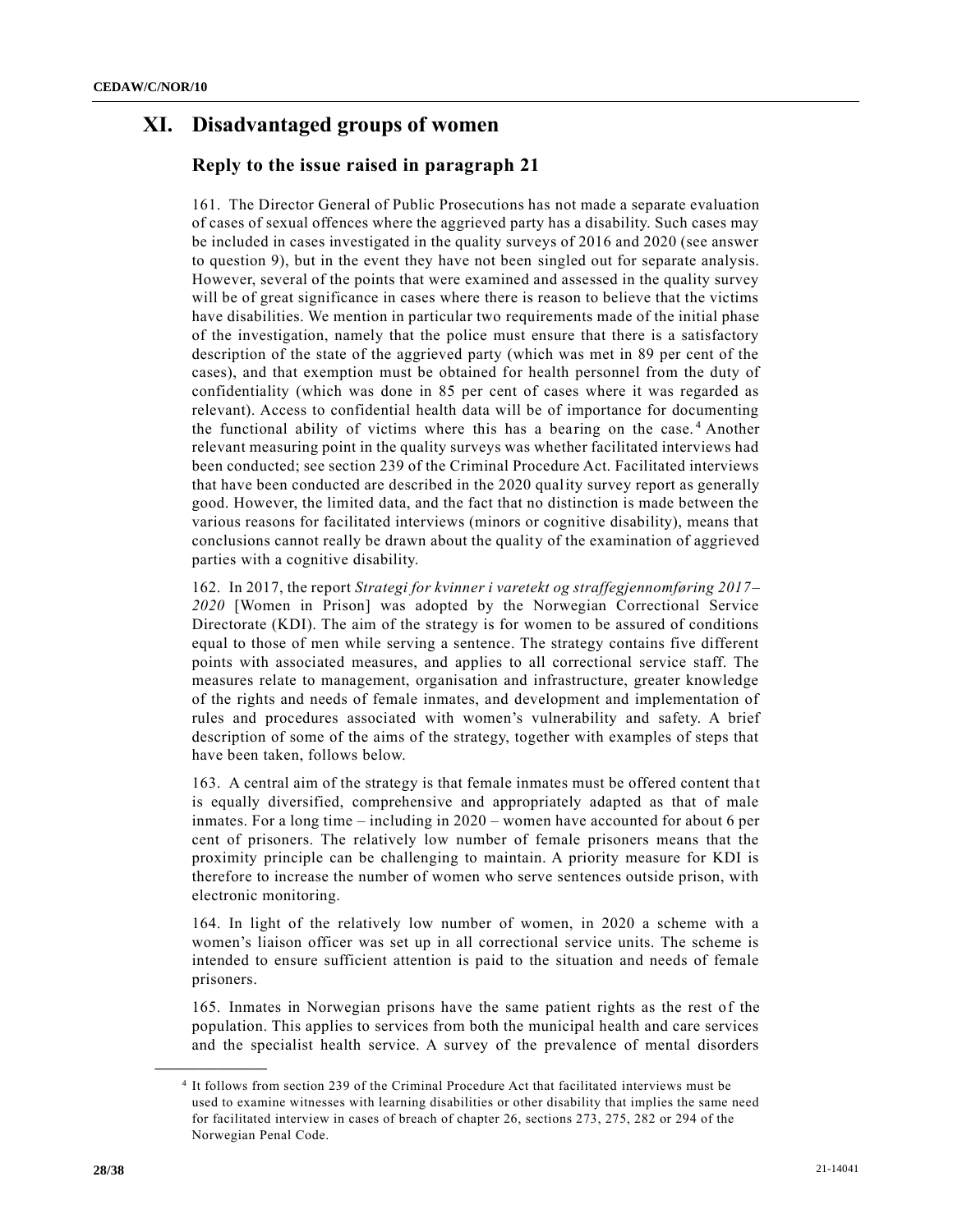# **XI. Disadvantaged groups of women**

# **Reply to the issue raised in paragraph 21**

161. The Director General of Public Prosecutions has not made a separate evaluation of cases of sexual offences where the aggrieved party has a disability. Such cases may be included in cases investigated in the quality surveys of 2016 and 2020 (see answer to question 9), but in the event they have not been singled out for separate analysis. However, several of the points that were examined and assessed in the quality survey will be of great significance in cases where there is reason to believe that the victims have disabilities. We mention in particular two requirements made of the initial phase of the investigation, namely that the police must ensure that there is a satisfactory description of the state of the aggrieved party (which was met in 89 per cent of the cases), and that exemption must be obtained for health personnel from the duty of confidentiality (which was done in 85 per cent of cases where it was regarded as relevant). Access to confidential health data will be of importance for documenting the functional ability of victims where this has a bearing on the case. <sup>4</sup> Another relevant measuring point in the quality surveys was whether facilitated interviews had been conducted; see section 239 of the Criminal Procedure Act. Facilitated interviews that have been conducted are described in the 2020 quality survey report as generally good. However, the limited data, and the fact that no distinction is made between the various reasons for facilitated interviews (minors or cognitive disability), means that conclusions cannot really be drawn about the quality of the examination of aggrieved parties with a cognitive disability.

162. In 2017, the report *Strategi for kvinner i varetekt og straffegjennomføring 2017– 2020* [Women in Prison] was adopted by the Norwegian Correctional Service Directorate (KDI). The aim of the strategy is for women to be assured of conditions equal to those of men while serving a sentence. The strategy contains five different points with associated measures, and applies to all correctional service staff. The measures relate to management, organisation and infrastructure, greater knowledge of the rights and needs of female inmates, and development and implementation of rules and procedures associated with women's vulnerability and safety. A brief description of some of the aims of the strategy, together with examples of steps that have been taken, follows below.

163. A central aim of the strategy is that female inmates must be offered content tha t is equally diversified, comprehensive and appropriately adapted as that of male inmates. For a long time – including in 2020 – women have accounted for about 6 per cent of prisoners. The relatively low number of female prisoners means that the proximity principle can be challenging to maintain. A priority measure for KDI is therefore to increase the number of women who serve sentences outside prison, with electronic monitoring.

164. In light of the relatively low number of women, in 2020 a scheme with a women's liaison officer was set up in all correctional service units. The scheme is intended to ensure sufficient attention is paid to the situation and needs of female prisoners.

165. Inmates in Norwegian prisons have the same patient rights as the rest of the population. This applies to services from both the municipal health and care services and the specialist health service. A survey of the prevalence of mental disorders

**\_\_\_\_\_\_\_\_\_\_\_\_\_\_\_\_\_\_**

<sup>4</sup> It follows from section 239 of the Criminal Procedure Act that facilitated interviews must be used to examine witnesses with learning disabilities or other disability that implies the same need for facilitated interview in cases of breach of chapter 26, sections 273, 275, 282 or 294 of the Norwegian Penal Code.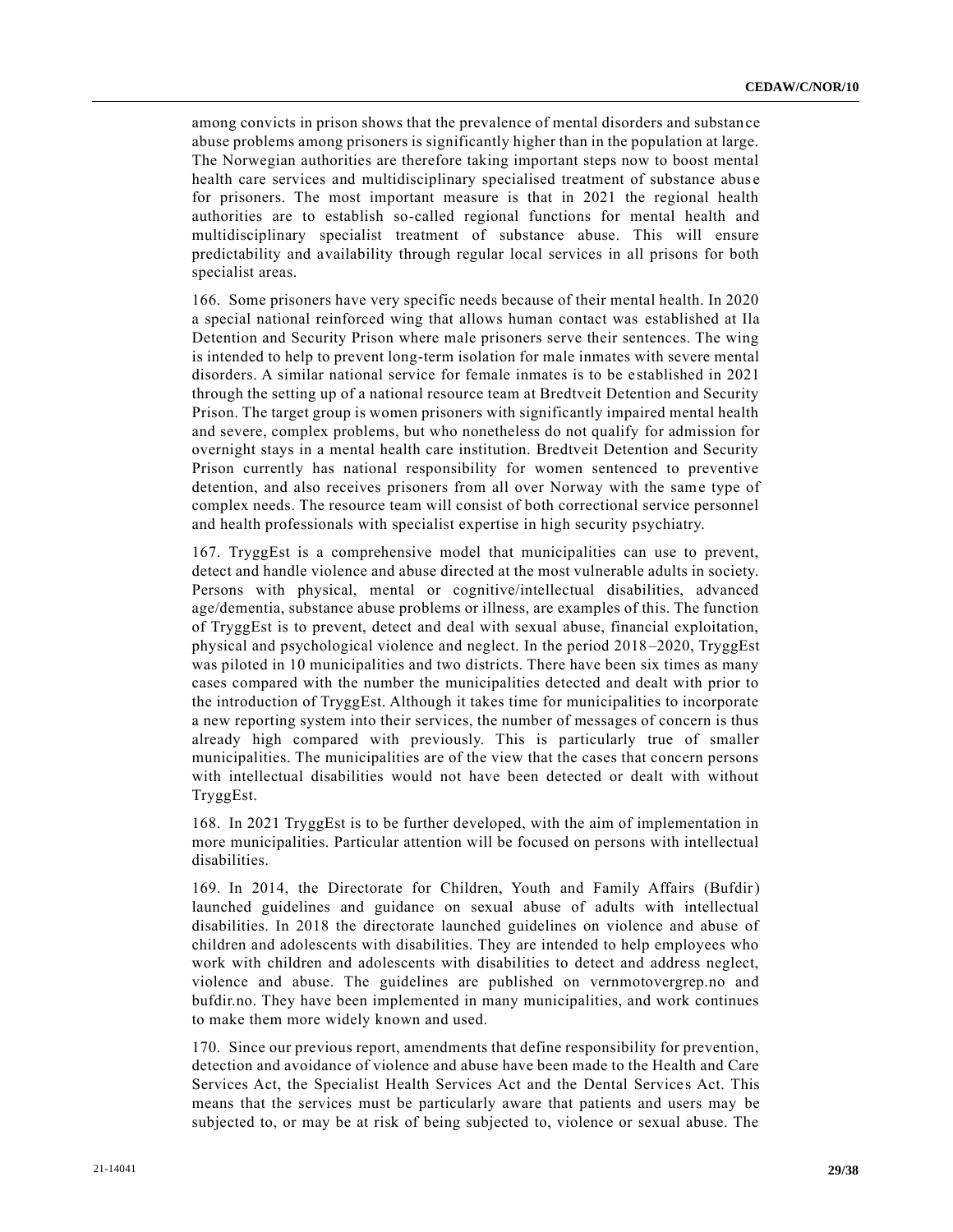among convicts in prison shows that the prevalence of mental disorders and substance abuse problems among prisoners is significantly higher than in the population at large. The Norwegian authorities are therefore taking important steps now to boost mental health care services and multidisciplinary specialised treatment of substance abus e for prisoners. The most important measure is that in 2021 the regional health authorities are to establish so-called regional functions for mental health and multidisciplinary specialist treatment of substance abuse. This will ensure predictability and availability through regular local services in all prisons for both specialist areas.

166. Some prisoners have very specific needs because of their mental health. In 2020 a special national reinforced wing that allows human contact was established at Ila Detention and Security Prison where male prisoners serve their sentences. The wing is intended to help to prevent long-term isolation for male inmates with severe mental disorders. A similar national service for female inmates is to be e stablished in 2021 through the setting up of a national resource team at Bredtveit Detention and Security Prison. The target group is women prisoners with significantly impaired mental health and severe, complex problems, but who nonetheless do not qualify for admission for overnight stays in a mental health care institution. Bredtveit Detention and Security Prison currently has national responsibility for women sentenced to preventive detention, and also receives prisoners from all over Norway with the same type of complex needs. The resource team will consist of both correctional service personnel and health professionals with specialist expertise in high security psychiatry.

167. TryggEst is a comprehensive model that municipalities can use to prevent, detect and handle violence and abuse directed at the most vulnerable adults in society. Persons with physical, mental or cognitive/intellectual disabilities, advanced age/dementia, substance abuse problems or illness, are examples of this. The function of TryggEst is to prevent, detect and deal with sexual abuse, financial exploitation, physical and psychological violence and neglect. In the period 2018–2020, TryggEst was piloted in 10 municipalities and two districts. There have been six times as many cases compared with the number the municipalities detected and dealt with prior to the introduction of TryggEst. Although it takes time for municipalities to incorporate a new reporting system into their services, the number of messages of concern is thus already high compared with previously. This is particularly true of smaller municipalities. The municipalities are of the view that the cases that concern persons with intellectual disabilities would not have been detected or dealt with without TryggEst.

168. In 2021 TryggEst is to be further developed, with the aim of implementation in more municipalities. Particular attention will be focused on persons with intellectual disabilities.

169. In 2014, the Directorate for Children, Youth and Family Affairs (Bufdir) launched guidelines and guidance on sexual abuse of adults with intellectual disabilities. In 2018 the directorate launched guidelines on violence and abuse of children and adolescents with disabilities. They are intended to help employees who work with children and adolescents with disabilities to detect and address neglect, violence and abuse. The guidelines are published on vernmotovergrep.no and bufdir.no. They have been implemented in many municipalities, and work continues to make them more widely known and used.

170. Since our previous report, amendments that define responsibility for prevention, detection and avoidance of violence and abuse have been made to the Health and Care Services Act, the Specialist Health Services Act and the Dental Services Act. This means that the services must be particularly aware that patients and users may be subjected to, or may be at risk of being subjected to, violence or sexual abuse. The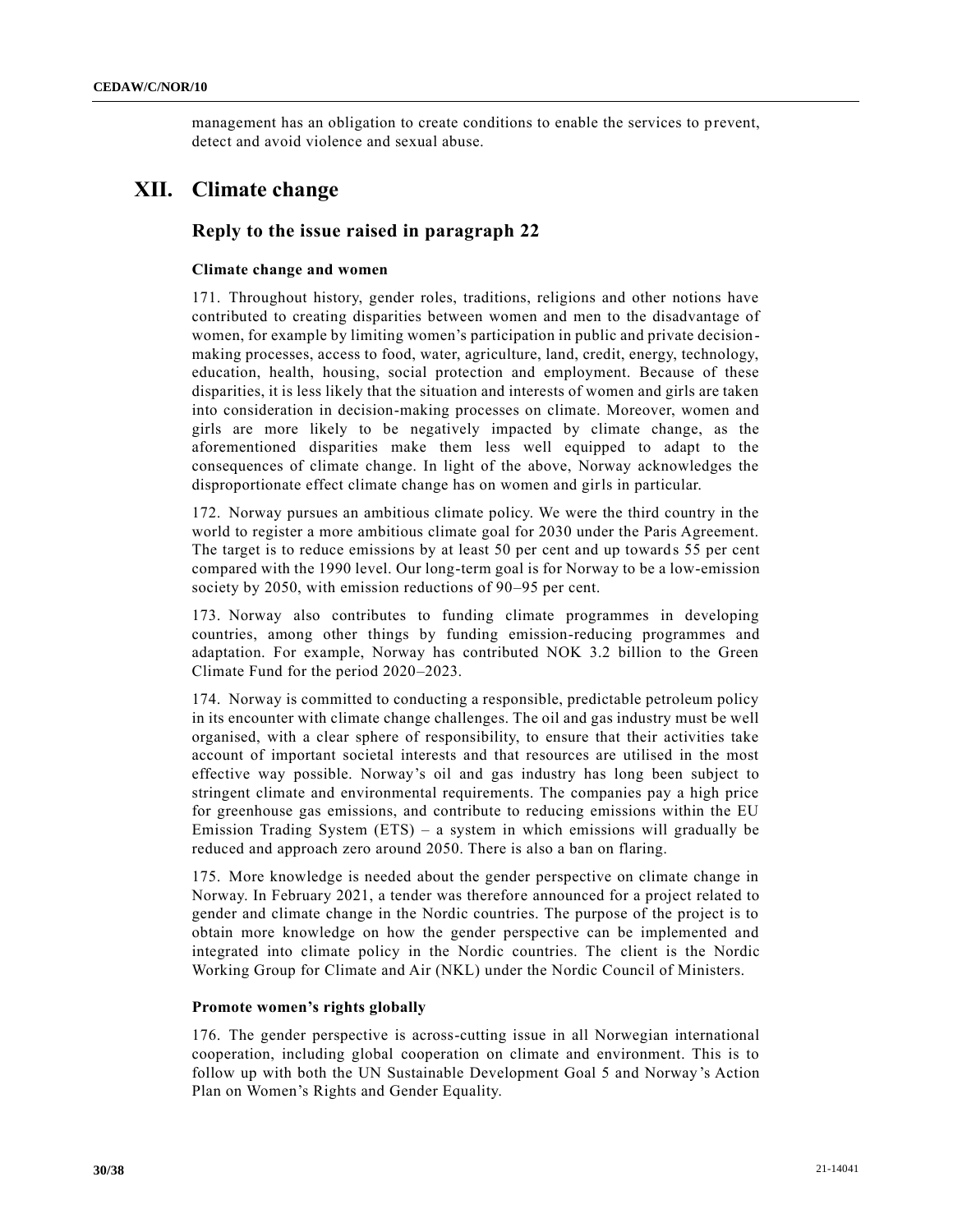management has an obligation to create conditions to enable the services to prevent, detect and avoid violence and sexual abuse.

# **XII. Climate change**

# **Reply to the issue raised in paragraph 22**

### **Climate change and women**

171. Throughout history, gender roles, traditions, religions and other notions have contributed to creating disparities between women and men to the disadvantage of women, for example by limiting women's participation in public and private decisionmaking processes, access to food, water, agriculture, land, credit, energy, technology, education, health, housing, social protection and employment. Because of these disparities, it is less likely that the situation and interests of women and girls are taken into consideration in decision-making processes on climate. Moreover, women and girls are more likely to be negatively impacted by climate change, as the aforementioned disparities make them less well equipped to adapt to the consequences of climate change. In light of the above, Norway acknowledges the disproportionate effect climate change has on women and girls in particular.

172. Norway pursues an ambitious climate policy. We were the third country in the world to register a more ambitious climate goal for 2030 under the Paris Agreement. The target is to reduce emissions by at least 50 per cent and up towards 55 per cent compared with the 1990 level. Our long-term goal is for Norway to be a low-emission society by 2050, with emission reductions of 90–95 per cent.

173. Norway also contributes to funding climate programmes in developing countries, among other things by funding emission-reducing programmes and adaptation. For example, Norway has contributed NOK 3.2 billion to the Green Climate Fund for the period 2020–2023.

174. Norway is committed to conducting a responsible, predictable petroleum policy in its encounter with climate change challenges. The oil and gas industry must be well organised, with a clear sphere of responsibility, to ensure that their activities take account of important societal interests and that resources are utilised in the most effective way possible. Norway's oil and gas industry has long been subject to stringent climate and environmental requirements. The companies pay a high price for greenhouse gas emissions, and contribute to reducing emissions within the EU Emission Trading System (ETS) – a system in which emissions will gradually be reduced and approach zero around 2050. There is also a ban on flaring.

175. More knowledge is needed about the gender perspective on climate change in Norway. In February 2021, a tender was therefore announced for a project related to gender and climate change in the Nordic countries. The purpose of the project is to obtain more knowledge on how the gender perspective can be implemented and integrated into climate policy in the Nordic countries. The client is the Nordic Working Group for Climate and Air (NKL) under the Nordic Council of Ministers.

### **Promote women's rights globally**

176. The gender perspective is across-cutting issue in all Norwegian international cooperation, including global cooperation on climate and environment. This is to follow up with both the UN Sustainable Development Goal 5 and Norway's Action Plan on Women's Rights and Gender Equality.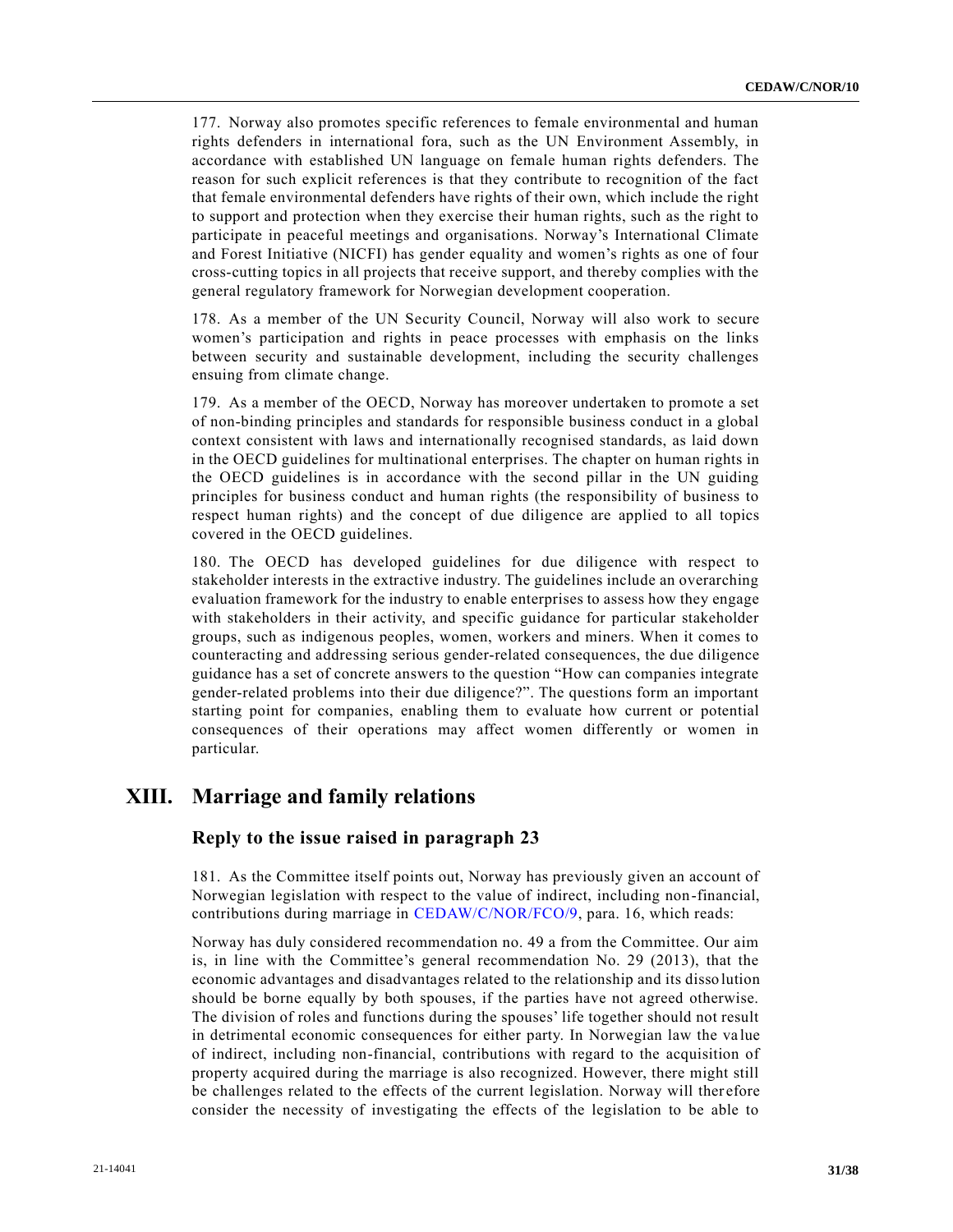177. Norway also promotes specific references to female environmental and human rights defenders in international fora, such as the UN Environment Assembly, in accordance with established UN language on female human rights defenders. The reason for such explicit references is that they contribute to recognition of the fact that female environmental defenders have rights of their own, which include the right to support and protection when they exercise their human rights, such as the right to participate in peaceful meetings and organisations. Norway's International Climate and Forest Initiative (NICFI) has gender equality and women's rights as one of four cross-cutting topics in all projects that receive support, and thereby complies with the general regulatory framework for Norwegian development cooperation.

178. As a member of the UN Security Council, Norway will also work to secure women's participation and rights in peace processes with emphasis on the links between security and sustainable development, including the security challenges ensuing from climate change.

179. As a member of the OECD, Norway has moreover undertaken to promote a set of non-binding principles and standards for responsible business conduct in a global context consistent with laws and internationally recognised standards, as laid down in the OECD guidelines for multinational enterprises. The chapter on human rights in the OECD guidelines is in accordance with the second pillar in the UN guiding principles for business conduct and human rights (the responsibility of business to respect human rights) and the concept of due diligence are applied to all topics covered in the OECD guidelines.

180. The OECD has developed guidelines for due diligence with respect to stakeholder interests in the extractive industry. The guidelines include an overarching evaluation framework for the industry to enable enterprises to assess how they engage with stakeholders in their activity, and specific guidance for particular stakeholder groups, such as indigenous peoples, women, workers and miners. When it comes to counteracting and addressing serious gender-related consequences, the due diligence guidance has a set of concrete answers to the question "How can companies integrate gender-related problems into their due diligence?". The questions form an important starting point for companies, enabling them to evaluate how current or potential consequences of their operations may affect women differently or women in particular.

# **XIII. Marriage and family relations**

### **Reply to the issue raised in paragraph 23**

181. As the Committee itself points out, Norway has previously given an account of Norwegian legislation with respect to the value of indirect, including non-financial, contributions during marriage in [CEDAW/C/NOR/FCO/9,](https://undocs.org/en/CEDAW/C/NOR/FCO/9) para. 16, which reads:

Norway has duly considered recommendation no. 49 a from the Committee. Our aim is, in line with the Committee's general recommendation No. 29 (2013), that the economic advantages and disadvantages related to the relationship and its disso lution should be borne equally by both spouses, if the parties have not agreed otherwise. The division of roles and functions during the spouses' life together should not result in detrimental economic consequences for either party. In Norwegian law the va lue of indirect, including non-financial, contributions with regard to the acquisition of property acquired during the marriage is also recognized. However, there might still be challenges related to the effects of the current legislation. Norway will ther efore consider the necessity of investigating the effects of the legislation to be able to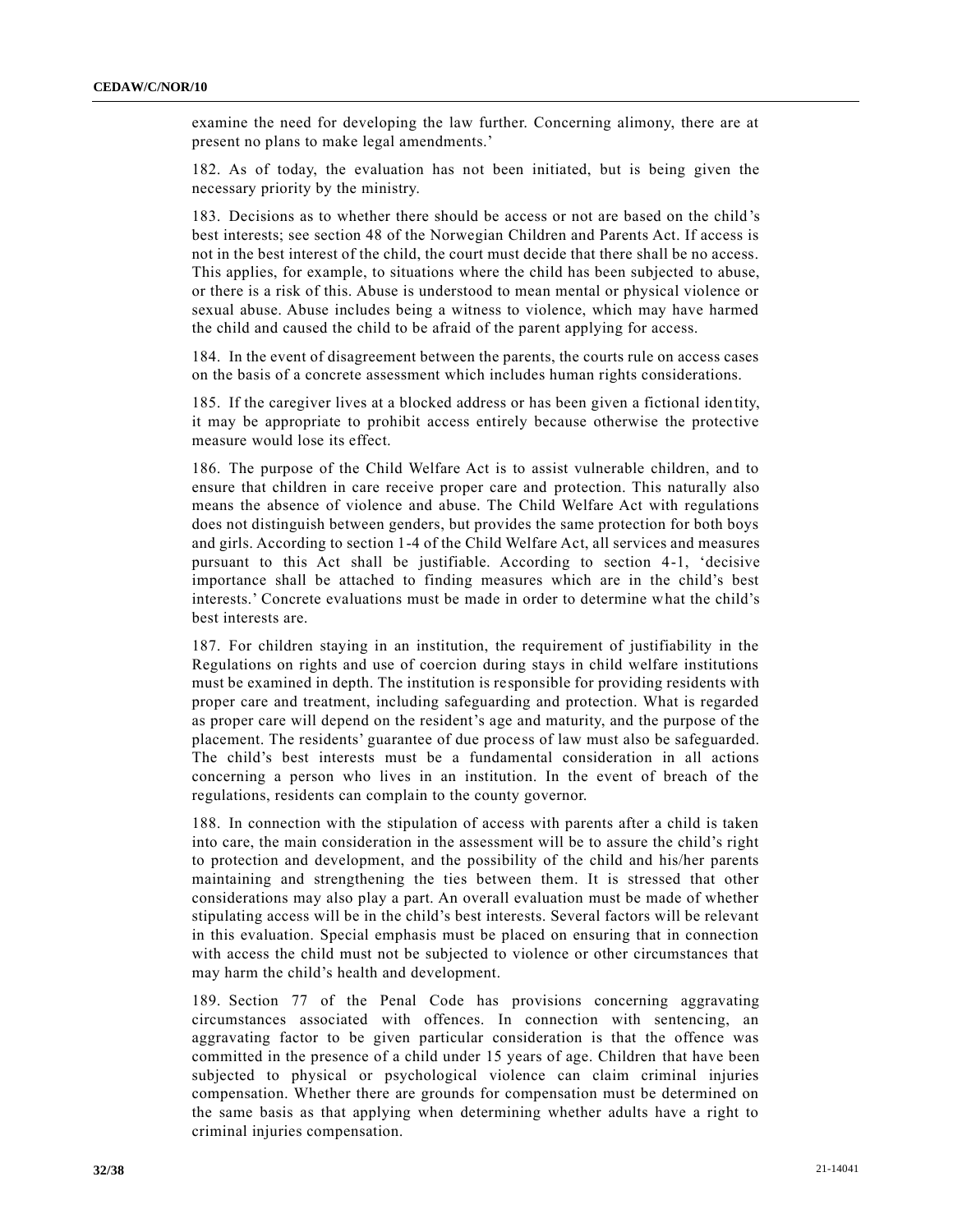examine the need for developing the law further. Concerning alimony, there are at present no plans to make legal amendments.'

182. As of today, the evaluation has not been initiated, but is being given the necessary priority by the ministry.

183. Decisions as to whether there should be access or not are based on the child's best interests; see section 48 of the Norwegian Children and Parents Act. If access is not in the best interest of the child, the court must decide that there shall be no access. This applies, for example, to situations where the child has been subjected to abuse, or there is a risk of this. Abuse is understood to mean mental or physical violence or sexual abuse. Abuse includes being a witness to violence, which may have harmed the child and caused the child to be afraid of the parent applying for access.

184. In the event of disagreement between the parents, the courts rule on access cases on the basis of a concrete assessment which includes human rights considerations.

185. If the caregiver lives at a blocked address or has been given a fictional identity, it may be appropriate to prohibit access entirely because otherwise the protective measure would lose its effect.

186. The purpose of the Child Welfare Act is to assist vulnerable children, and to ensure that children in care receive proper care and protection. This naturally also means the absence of violence and abuse. The Child Welfare Act with regulations does not distinguish between genders, but provides the same protection for both boys and girls. According to section 1-4 of the Child Welfare Act, all services and measures pursuant to this Act shall be justifiable. According to section 4-1, 'decisive importance shall be attached to finding measures which are in the child's best interests.' Concrete evaluations must be made in order to determine what the child's best interests are.

187. For children staying in an institution, the requirement of justifiability in the Regulations on rights and use of coercion during stays in child welfare institutions must be examined in depth. The institution is responsible for providing residents with proper care and treatment, including safeguarding and protection. What is regarded as proper care will depend on the resident's age and maturity, and the purpose of the placement. The residents' guarantee of due process of law must also be safeguarded. The child's best interests must be a fundamental consideration in all actions concerning a person who lives in an institution. In the event of breach of the regulations, residents can complain to the county governor.

188. In connection with the stipulation of access with parents after a child is taken into care, the main consideration in the assessment will be to assure the child's right to protection and development, and the possibility of the child and his/her parents maintaining and strengthening the ties between them. It is stressed that other considerations may also play a part. An overall evaluation must be made of whether stipulating access will be in the child's best interests. Several factors will be relevant in this evaluation. Special emphasis must be placed on ensuring that in connection with access the child must not be subjected to violence or other circumstances that may harm the child's health and development.

189. Section 77 of the Penal Code has provisions concerning aggravating circumstances associated with offences. In connection with sentencing, an aggravating factor to be given particular consideration is that the offence was committed in the presence of a child under 15 years of age. Children that have been subjected to physical or psychological violence can claim criminal injuries compensation. Whether there are grounds for compensation must be determined on the same basis as that applying when determining whether adults have a right to criminal injuries compensation.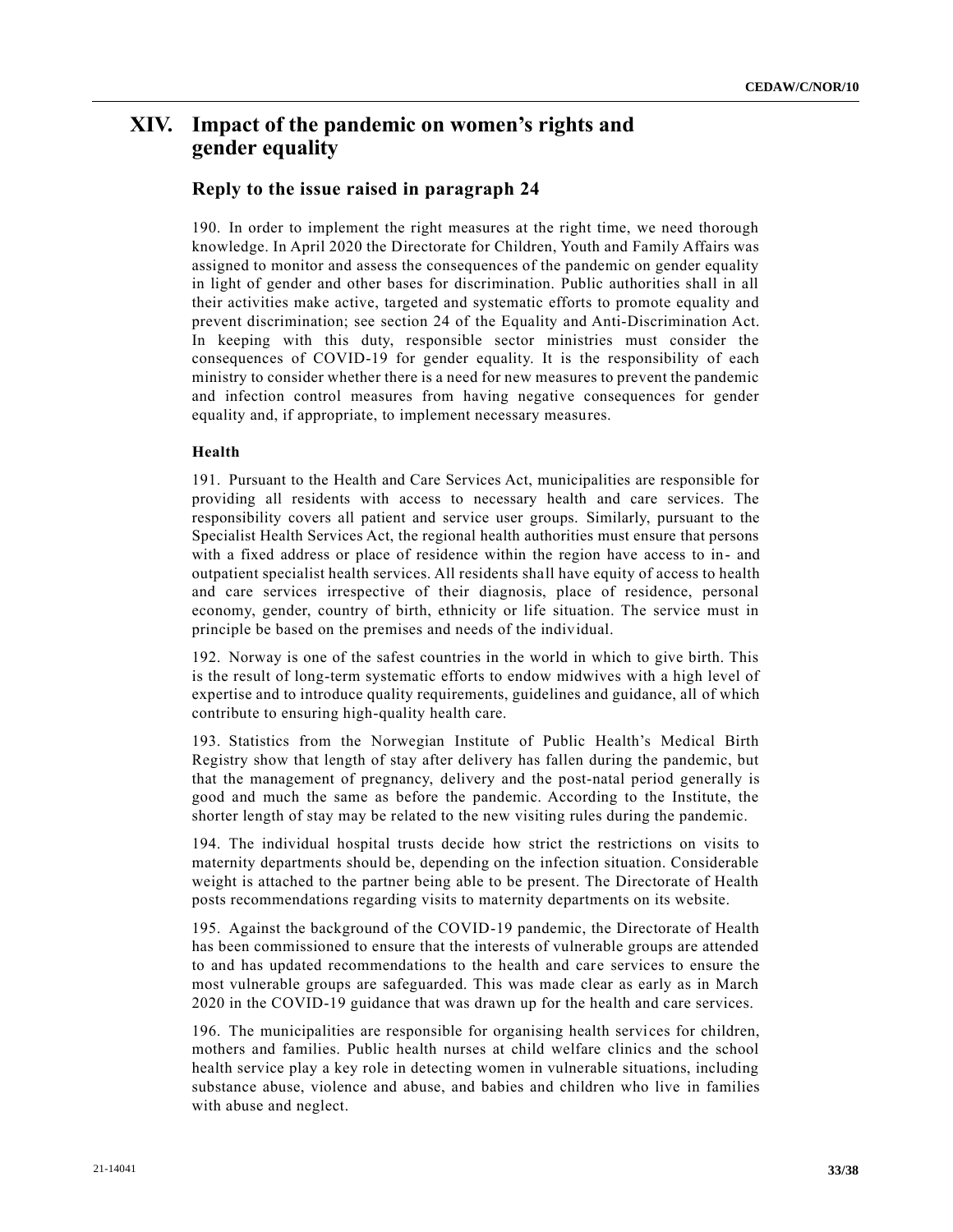# **XIV. Impact of the pandemic on women's rights and gender equality**

### **Reply to the issue raised in paragraph 24**

190. In order to implement the right measures at the right time, we need thorough knowledge. In April 2020 the Directorate for Children, Youth and Family Affairs was assigned to monitor and assess the consequences of the pandemic on gender equality in light of gender and other bases for discrimination. Public authorities shall in all their activities make active, targeted and systematic efforts to promote equality and prevent discrimination; see section 24 of the Equality and Anti-Discrimination Act. In keeping with this duty, responsible sector ministries must consider the consequences of COVID-19 for gender equality. It is the responsibility of each ministry to consider whether there is a need for new measures to prevent the pandemic and infection control measures from having negative consequences for gender equality and, if appropriate, to implement necessary measures.

#### **Health**

191. Pursuant to the Health and Care Services Act, municipalities are responsible for providing all residents with access to necessary health and care services. The responsibility covers all patient and service user groups. Similarly, pursuant to the Specialist Health Services Act, the regional health authorities must ensure that persons with a fixed address or place of residence within the region have access to in- and outpatient specialist health services. All residents shall have equity of access to health and care services irrespective of their diagnosis, place of residence, personal economy, gender, country of birth, ethnicity or life situation. The service must in principle be based on the premises and needs of the individual.

192. Norway is one of the safest countries in the world in which to give birth. This is the result of long-term systematic efforts to endow midwives with a high level of expertise and to introduce quality requirements, guidelines and guidance, all of which contribute to ensuring high-quality health care.

193. Statistics from the Norwegian Institute of Public Health's Medical Birth Registry show that length of stay after delivery has fallen during the pandemic, but that the management of pregnancy, delivery and the post-natal period generally is good and much the same as before the pandemic. According to the Institute, the shorter length of stay may be related to the new visiting rules during the pandemic.

194. The individual hospital trusts decide how strict the restrictions on visits to maternity departments should be, depending on the infection situation. Considerable weight is attached to the partner being able to be present. The Directorate of Health posts recommendations regarding visits to maternity departments on its website.

195. Against the background of the COVID-19 pandemic, the Directorate of Health has been commissioned to ensure that the interests of vulnerable groups are attended to and has updated recommendations to the health and care services to ensure the most vulnerable groups are safeguarded. This was made clear as early as in March 2020 in the COVID-19 guidance that was drawn up for the health and care services.

196. The municipalities are responsible for organising health services for children, mothers and families. Public health nurses at child welfare clinics and the school health service play a key role in detecting women in vulnerable situations, including substance abuse, violence and abuse, and babies and children who live in families with abuse and neglect.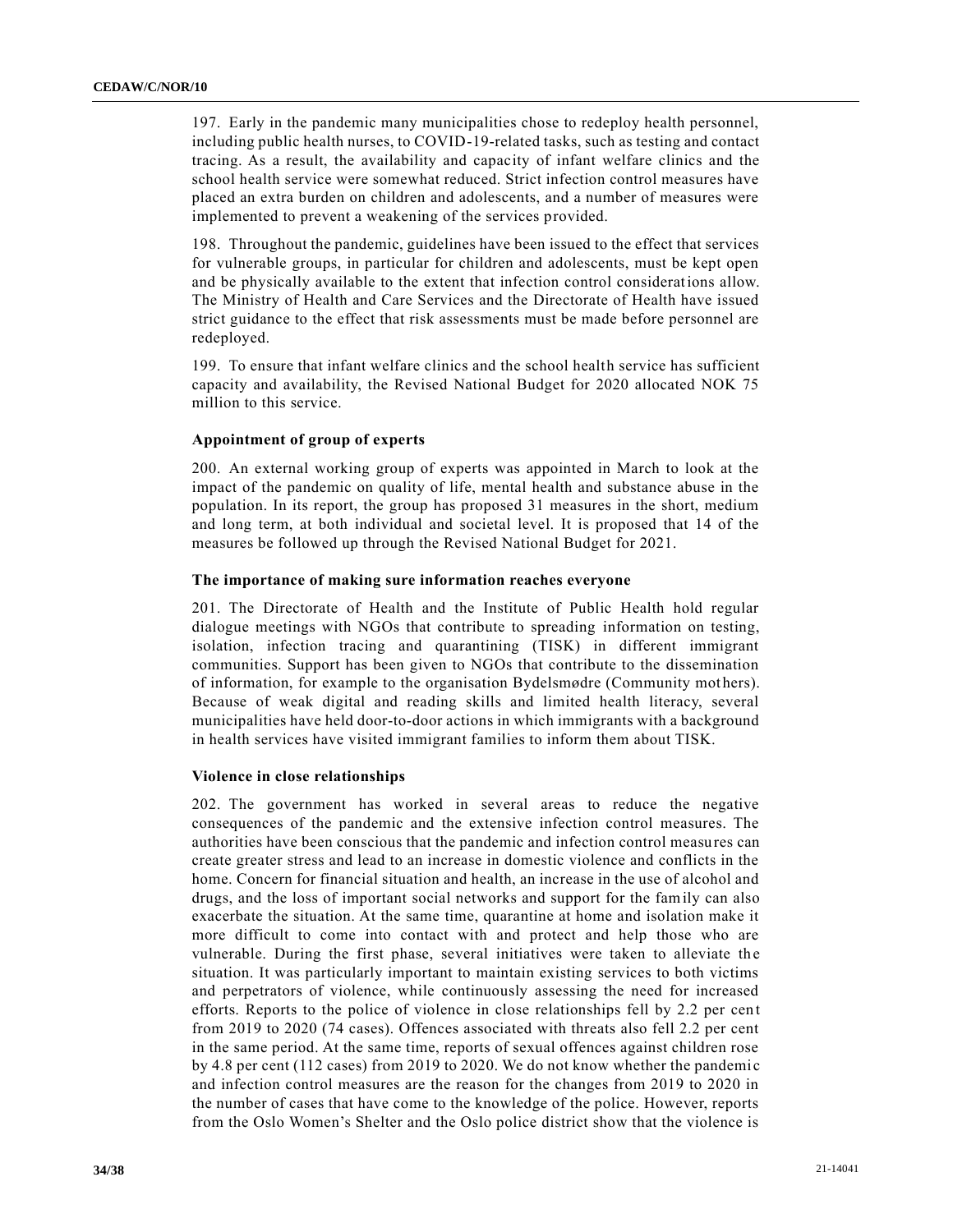197. Early in the pandemic many municipalities chose to redeploy health personnel, including public health nurses, to COVID-19-related tasks, such as testing and contact tracing. As a result, the availability and capacity of infant welfare clinics and the school health service were somewhat reduced. Strict infection control measures have placed an extra burden on children and adolescents, and a number of measures were implemented to prevent a weakening of the services provided.

198. Throughout the pandemic, guidelines have been issued to the effect that services for vulnerable groups, in particular for children and adolescents, must be kept open and be physically available to the extent that infection control considerations allow. The Ministry of Health and Care Services and the Directorate of Health have issued strict guidance to the effect that risk assessments must be made before personnel are redeployed.

199. To ensure that infant welfare clinics and the school health service has sufficient capacity and availability, the Revised National Budget for 2020 allocated NOK 75 million to this service.

#### **Appointment of group of experts**

200. An external working group of experts was appointed in March to look at the impact of the pandemic on quality of life, mental health and substance abuse in the population. In its report, the group has proposed 31 measures in the short, medium and long term, at both individual and societal level. It is proposed that 14 of the measures be followed up through the Revised National Budget for 2021.

### **The importance of making sure information reaches everyone**

201. The Directorate of Health and the Institute of Public Health hold regular dialogue meetings with NGOs that contribute to spreading information on testing, isolation, infection tracing and quarantining (TISK) in different immigrant communities. Support has been given to NGOs that contribute to the dissemination of information, for example to the organisation Bydelsmødre (Community mot hers). Because of weak digital and reading skills and limited health literacy, several municipalities have held door-to-door actions in which immigrants with a background in health services have visited immigrant families to inform them about TISK.

#### **Violence in close relationships**

202. The government has worked in several areas to reduce the negative consequences of the pandemic and the extensive infection control measures. The authorities have been conscious that the pandemic and infection control measures can create greater stress and lead to an increase in domestic violence and conflicts in the home. Concern for financial situation and health, an increase in the use of alcohol and drugs, and the loss of important social networks and support for the family can also exacerbate the situation. At the same time, quarantine at home and isolation make it more difficult to come into contact with and protect and help those who are vulnerable. During the first phase, several initiatives were taken to alleviate the situation. It was particularly important to maintain existing services to both victims and perpetrators of violence, while continuously assessing the need for increased efforts. Reports to the police of violence in close relationships fell by 2.2 per cent from 2019 to 2020 (74 cases). Offences associated with threats also fell 2.2 per cent in the same period. At the same time, reports of sexual offences against children rose by 4.8 per cent (112 cases) from 2019 to 2020. We do not know whether the pandemic and infection control measures are the reason for the changes from 2019 to 2020 in the number of cases that have come to the knowledge of the police. However, reports from the Oslo Women's Shelter and the Oslo police district show that the violence is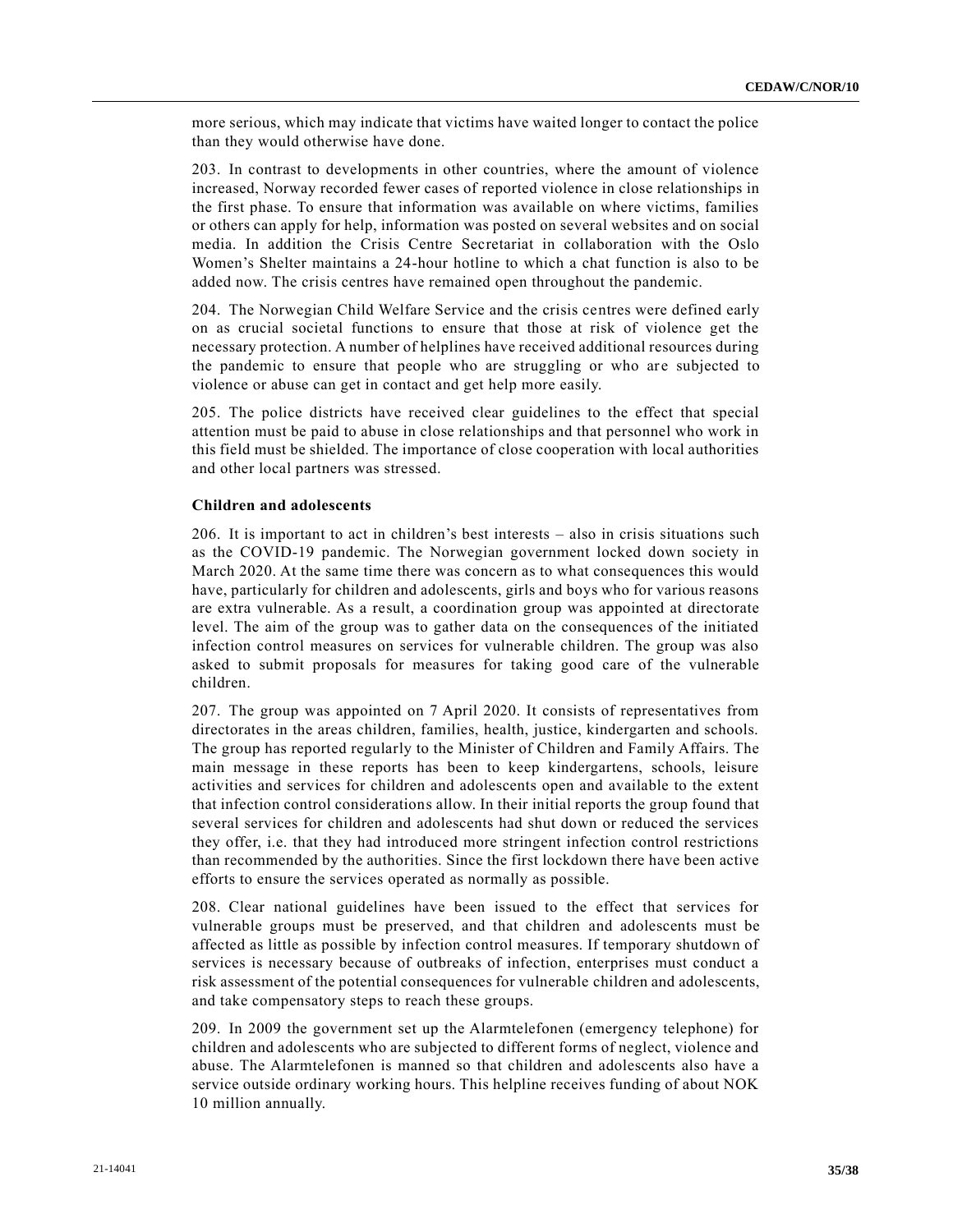more serious, which may indicate that victims have waited longer to contact the police than they would otherwise have done.

203. In contrast to developments in other countries, where the amount of violence increased, Norway recorded fewer cases of reported violence in close relationships in the first phase. To ensure that information was available on where victims, families or others can apply for help, information was posted on several websites and on social media. In addition the Crisis Centre Secretariat in collaboration with the Oslo Women's Shelter maintains a 24-hour hotline to which a chat function is also to be added now. The crisis centres have remained open throughout the pandemic.

204. The Norwegian Child Welfare Service and the crisis centres were defined early on as crucial societal functions to ensure that those at risk of violence get the necessary protection. A number of helplines have received additional resources during the pandemic to ensure that people who are struggling or who are subjected to violence or abuse can get in contact and get help more easily.

205. The police districts have received clear guidelines to the effect that special attention must be paid to abuse in close relationships and that personnel who work in this field must be shielded. The importance of close cooperation with local authorities and other local partners was stressed.

### **Children and adolescents**

206. It is important to act in children's best interests – also in crisis situations such as the COVID-19 pandemic. The Norwegian government locked down society in March 2020. At the same time there was concern as to what consequences this would have, particularly for children and adolescents, girls and boys who for various reasons are extra vulnerable. As a result, a coordination group was appointed at directorate level. The aim of the group was to gather data on the consequences of the initiated infection control measures on services for vulnerable children. The group was also asked to submit proposals for measures for taking good care of the vulnerable children.

207. The group was appointed on 7 April 2020. It consists of representatives from directorates in the areas children, families, health, justice, kindergarten and schools. The group has reported regularly to the Minister of Children and Family Affairs. The main message in these reports has been to keep kindergartens, schools, leisure activities and services for children and adolescents open and available to the extent that infection control considerations allow. In their initial reports the group found that several services for children and adolescents had shut down or reduced the services they offer, i.e. that they had introduced more stringent infection control restrictions than recommended by the authorities. Since the first lockdown there have been active efforts to ensure the services operated as normally as possible.

208. Clear national guidelines have been issued to the effect that services for vulnerable groups must be preserved, and that children and adolescents must be affected as little as possible by infection control measures. If temporary shutdown of services is necessary because of outbreaks of infection, enterprises must conduct a risk assessment of the potential consequences for vulnerable children and adolescents, and take compensatory steps to reach these groups.

209. In 2009 the government set up the Alarmtelefonen (emergency telephone) for children and adolescents who are subjected to different forms of neglect, violence and abuse. The Alarmtelefonen is manned so that children and adolescents also have a service outside ordinary working hours. This helpline receives funding of about NOK 10 million annually.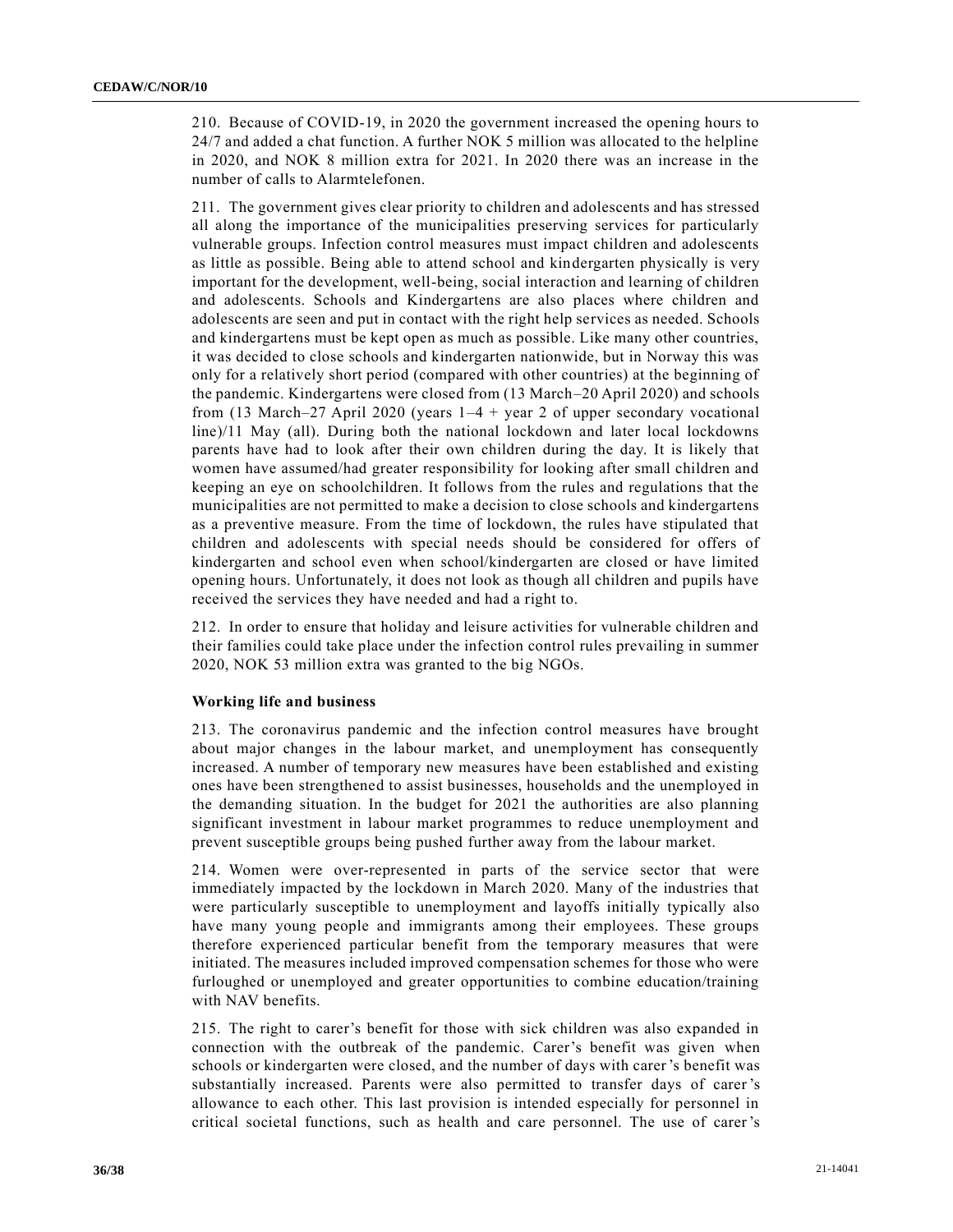210. Because of COVID-19, in 2020 the government increased the opening hours to 24/7 and added a chat function. A further NOK 5 million was allocated to the helpline in 2020, and NOK 8 million extra for 2021. In 2020 there was an increase in the number of calls to Alarmtelefonen.

211. The government gives clear priority to children and adolescents and has stressed all along the importance of the municipalities preserving services for particularly vulnerable groups. Infection control measures must impact children and adolescents as little as possible. Being able to attend school and kindergarten physically is very important for the development, well-being, social interaction and learning of children and adolescents. Schools and Kindergartens are also places where children and adolescents are seen and put in contact with the right help services as needed. Schools and kindergartens must be kept open as much as possible. Like many other countries, it was decided to close schools and kindergarten nationwide, but in Norway this was only for a relatively short period (compared with other countries) at the beginning of the pandemic. Kindergartens were closed from (13 March–20 April 2020) and schools from (13 March–27 April 2020 (years  $1-4$  + year 2 of upper secondary vocational line)/11 May (all). During both the national lockdown and later local lockdowns parents have had to look after their own children during the day. It is likely that women have assumed/had greater responsibility for looking after small children and keeping an eye on schoolchildren. It follows from the rules and regulations that the municipalities are not permitted to make a decision to close schools and kindergartens as a preventive measure. From the time of lockdown, the rules have stipulated that children and adolescents with special needs should be considered for offers of kindergarten and school even when school/kindergarten are closed or have limited opening hours. Unfortunately, it does not look as though all children and pupils have received the services they have needed and had a right to.

212. In order to ensure that holiday and leisure activities for vulnerable children and their families could take place under the infection control rules prevailing in summer 2020, NOK 53 million extra was granted to the big NGOs.

### **Working life and business**

213. The coronavirus pandemic and the infection control measures have brought about major changes in the labour market, and unemployment has consequently increased. A number of temporary new measures have been established and existing ones have been strengthened to assist businesses, households and the unemployed in the demanding situation. In the budget for 2021 the authorities are also planning significant investment in labour market programmes to reduce unemployment and prevent susceptible groups being pushed further away from the labour market.

214. Women were over-represented in parts of the service sector that were immediately impacted by the lockdown in March 2020. Many of the industries that were particularly susceptible to unemployment and layoffs initially typically also have many young people and immigrants among their employees. These groups therefore experienced particular benefit from the temporary measures that were initiated. The measures included improved compensation schemes for those who were furloughed or unemployed and greater opportunities to combine education/training with NAV benefits.

215. The right to carer's benefit for those with sick children was also expanded in connection with the outbreak of the pandemic. Carer's benefit was given when schools or kindergarten were closed, and the number of days with carer's benefit was substantially increased. Parents were also permitted to transfer days of carer 's allowance to each other. This last provision is intended especially for personnel in critical societal functions, such as health and care personnel. The use of carer's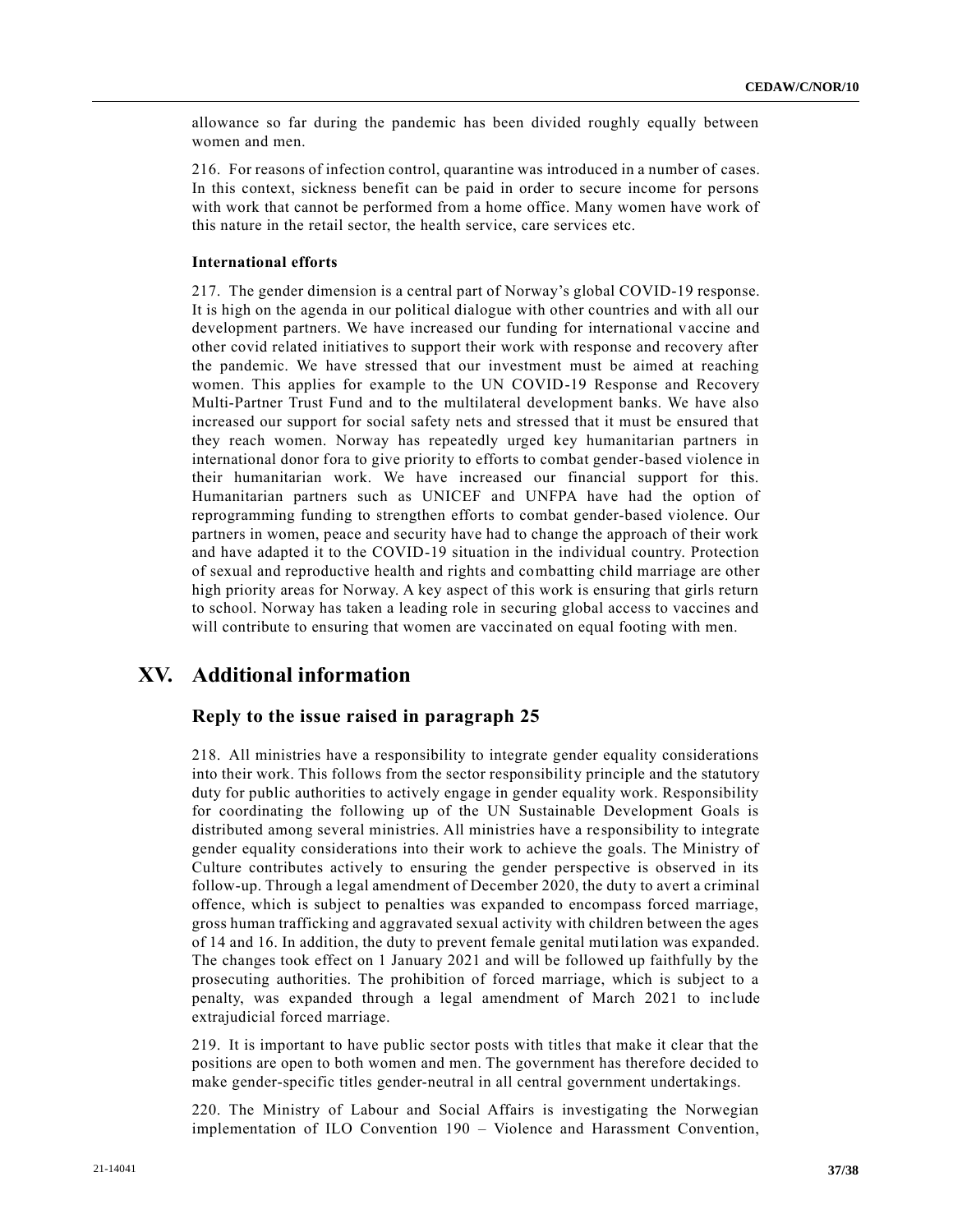allowance so far during the pandemic has been divided roughly equally between women and men.

216. For reasons of infection control, quarantine was introduced in a number of cases. In this context, sickness benefit can be paid in order to secure income for persons with work that cannot be performed from a home office. Many women have work of this nature in the retail sector, the health service, care services etc.

#### **International efforts**

217. The gender dimension is a central part of Norway's global COVID-19 response. It is high on the agenda in our political dialogue with other countries and with all our development partners. We have increased our funding for international v accine and other covid related initiatives to support their work with response and recovery after the pandemic. We have stressed that our investment must be aimed at reaching women. This applies for example to the UN COVID-19 Response and Recovery Multi-Partner Trust Fund and to the multilateral development banks. We have also increased our support for social safety nets and stressed that it must be ensured that they reach women. Norway has repeatedly urged key humanitarian partners in international donor fora to give priority to efforts to combat gender-based violence in their humanitarian work. We have increased our financial support for this. Humanitarian partners such as UNICEF and UNFPA have had the option of reprogramming funding to strengthen efforts to combat gender-based violence. Our partners in women, peace and security have had to change the approach of their work and have adapted it to the COVID-19 situation in the individual country. Protection of sexual and reproductive health and rights and combatting child marriage are other high priority areas for Norway. A key aspect of this work is ensuring that girls return to school. Norway has taken a leading role in securing global access to vaccines and will contribute to ensuring that women are vaccinated on equal footing with men.

# **XV. Additional information**

### **Reply to the issue raised in paragraph 25**

218. All ministries have a responsibility to integrate gender equality considerations into their work. This follows from the sector responsibility principle and the statutory duty for public authorities to actively engage in gender equality work. Responsibility for coordinating the following up of the UN Sustainable Development Goals is distributed among several ministries. All ministries have a responsibility to integrate gender equality considerations into their work to achieve the goals. The Ministry of Culture contributes actively to ensuring the gender perspective is observed in its follow-up. Through a legal amendment of December 2020, the duty to avert a criminal offence, which is subject to penalties was expanded to encompass forced marriage, gross human trafficking and aggravated sexual activity with children between the ages of 14 and 16. In addition, the duty to prevent female genital mutilation was expanded. The changes took effect on 1 January 2021 and will be followed up faithfully by the prosecuting authorities. The prohibition of forced marriage, which is subject to a penalty, was expanded through a legal amendment of March 2021 to include extrajudicial forced marriage.

219. It is important to have public sector posts with titles that make it clear that the positions are open to both women and men. The government has therefore decided to make gender-specific titles gender-neutral in all central government undertakings.

220. The Ministry of Labour and Social Affairs is investigating the Norwegian implementation of ILO Convention 190 – Violence and Harassment Convention,